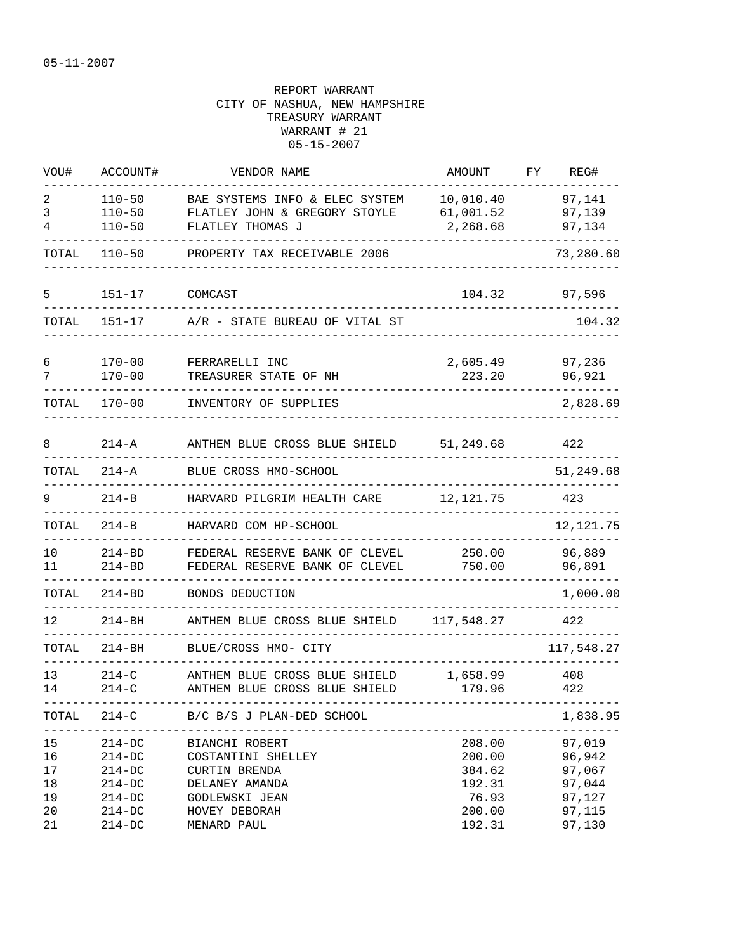| WOU#                             | ACCOUNT#                                                               | VENDOR NAME                                                                                                              | AMOUNT                                                  | FΥ | REG#                                                     |
|----------------------------------|------------------------------------------------------------------------|--------------------------------------------------------------------------------------------------------------------------|---------------------------------------------------------|----|----------------------------------------------------------|
| 2<br>3<br>4                      | $110 - 50$<br>$110 - 50$<br>$110 - 50$                                 | BAE SYSTEMS INFO & ELEC SYSTEM<br>FLATLEY JOHN & GREGORY STOYLE<br>FLATLEY THOMAS J                                      | 10,010.40<br>61,001.52<br>2,268.68                      |    | 97,141<br>97,139<br>97,134                               |
| TOTAL                            | $110 - 50$                                                             | PROPERTY TAX RECEIVABLE 2006                                                                                             |                                                         |    | 73,280.60                                                |
| 5                                | $151 - 17$                                                             | COMCAST                                                                                                                  | 104.32                                                  |    | 97,596                                                   |
| TOTAL                            | $151 - 17$                                                             | A/R - STATE BUREAU OF VITAL ST                                                                                           |                                                         |    | 104.32                                                   |
| 6<br>7                           | $170 - 00$<br>$170 - 00$                                               | FERRARELLI INC<br>TREASURER STATE OF NH                                                                                  | 2,605.49<br>223.20                                      |    | 97,236<br>96,921                                         |
| TOTAL                            | $170 - 00$                                                             | INVENTORY OF SUPPLIES                                                                                                    |                                                         |    | 2,828.69                                                 |
| 8                                | $214 - A$                                                              | ANTHEM BLUE CROSS BLUE SHIELD                                                                                            | 51,249.68                                               |    | 422                                                      |
| TOTAL                            | $214 - A$                                                              | BLUE CROSS HMO-SCHOOL                                                                                                    |                                                         |    | 51,249.68                                                |
| 9                                | $214-B$                                                                | HARVARD PILGRIM HEALTH CARE                                                                                              | 12, 121.75                                              |    | 423                                                      |
| TOTAL                            | $214 - B$                                                              | HARVARD COM HP-SCHOOL                                                                                                    |                                                         |    | 12, 121.75                                               |
| 10<br>11                         | $214 - BD$<br>$214 - BD$                                               | FEDERAL RESERVE BANK OF CLEVEL<br>FEDERAL RESERVE BANK OF CLEVEL                                                         | 250.00<br>750.00                                        |    | 96,889<br>96,891                                         |
| TOTAL                            | $214 - BD$                                                             | BONDS DEDUCTION                                                                                                          |                                                         |    | 1,000.00                                                 |
| 12                               | $214 - BH$                                                             | ANTHEM BLUE CROSS BLUE SHIELD                                                                                            | 117,548.27                                              |    | 422                                                      |
| TOTAL                            | $214 - BH$                                                             | BLUE/CROSS HMO- CITY                                                                                                     |                                                         |    | 117,548.27                                               |
| 13<br>14                         | $214 - C$<br>$214 - C$                                                 | ANTHEM BLUE CROSS BLUE SHIELD<br>ANTHEM BLUE CROSS BLUE SHIELD                                                           | 1,658.99<br>179.96                                      |    | 408<br>422                                               |
| TOTAL                            | $214 - C$                                                              | B/C B/S J PLAN-DED SCHOOL                                                                                                |                                                         |    | 1,838.95                                                 |
| 15<br>16<br>17<br>18<br>19<br>20 | $214-DC$<br>$214-DC$<br>$214-DC$<br>$214 - DC$<br>$214-DC$<br>$214-DC$ | BIANCHI ROBERT<br>COSTANTINI SHELLEY<br><b>CURTIN BRENDA</b><br>DELANEY AMANDA<br><b>GODLEWSKI JEAN</b><br>HOVEY DEBORAH | 208.00<br>200.00<br>384.62<br>192.31<br>76.93<br>200.00 |    | 97,019<br>96,942<br>97,067<br>97,044<br>97,127<br>97,115 |
| 21                               | $214-DC$                                                               | MENARD PAUL                                                                                                              | 192.31                                                  |    | 97,130                                                   |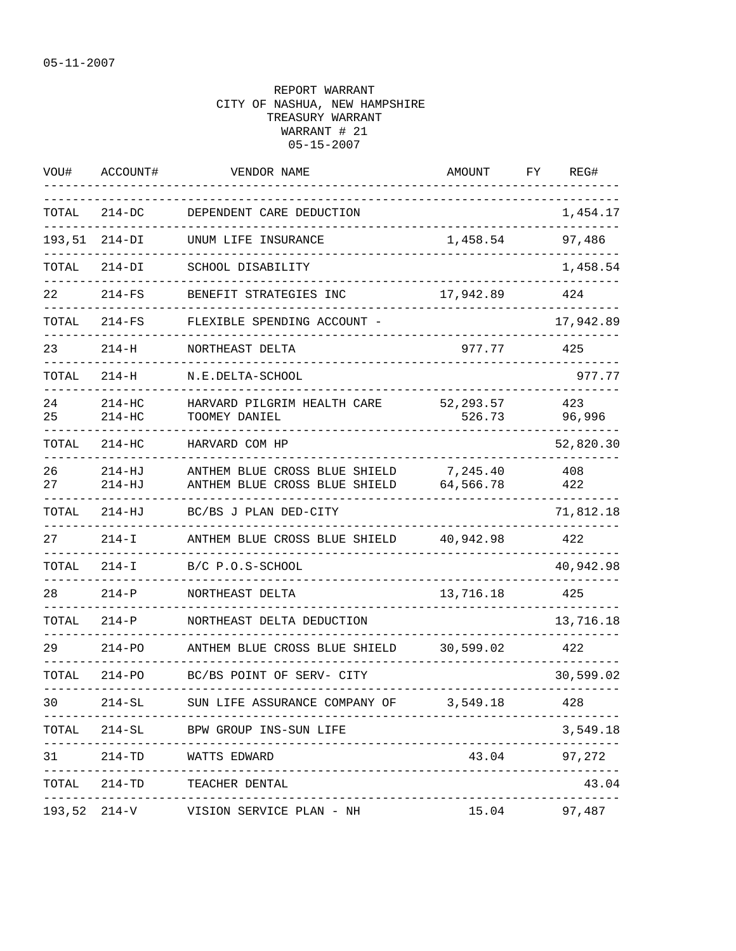| WOU#     | ACCOUNT#                 | VENDOR NAME                                                    | AMOUNT                | FΥ | REG#          |
|----------|--------------------------|----------------------------------------------------------------|-----------------------|----|---------------|
| TOTAL    | $214-DC$                 | DEPENDENT CARE DEDUCTION                                       |                       |    | 1,454.17      |
| 193,51   | $214-DI$                 | UNUM LIFE INSURANCE                                            | 1,458.54              |    | 97,486        |
| TOTAL    | 214-DI                   | SCHOOL DISABILITY                                              |                       |    | 1,458.54      |
| 22       | $214-FS$                 | BENEFIT STRATEGIES INC                                         | 17,942.89             |    | 424           |
| TOTAL    | $214-FS$                 | FLEXIBLE SPENDING ACCOUNT -                                    |                       |    | 17,942.89     |
| 23       | $214 - H$                | NORTHEAST DELTA                                                | 977.77                |    | 425           |
| TOTAL    | $214 - H$                | N.E.DELTA-SCHOOL                                               |                       |    | 977.77        |
| 24<br>25 | $214-HC$<br>$214-HC$     | HARVARD PILGRIM HEALTH CARE<br>TOOMEY DANIEL                   | 52, 293.57<br>526.73  |    | 423<br>96,996 |
| TOTAL    | $214 - HC$               | HARVARD COM HP                                                 |                       |    | 52,820.30     |
| 26<br>27 | $214 - HJ$<br>$214 - HJ$ | ANTHEM BLUE CROSS BLUE SHIELD<br>ANTHEM BLUE CROSS BLUE SHIELD | 7,245.40<br>64,566.78 |    | 408<br>422    |
| TOTAL    | $214 - HJ$               | BC/BS J PLAN DED-CITY                                          |                       |    | 71,812.18     |
| 27       | $214 - I$                | ANTHEM BLUE CROSS BLUE SHIELD                                  | 40,942.98             |    | 422           |
| TOTAL    | $214 - I$                | B/C P.O.S-SCHOOL                                               |                       |    | 40,942.98     |
| 28       | $214-P$                  | NORTHEAST DELTA                                                | 13,716.18             |    | 425           |
| TOTAL    | $214-P$                  | NORTHEAST DELTA DEDUCTION                                      |                       |    | 13,716.18     |
| 29       | $214 - PO$               | ANTHEM BLUE CROSS BLUE SHIELD                                  | 30,599.02             |    | 422           |
| TOTAL    | $214-PO$                 | BC/BS POINT OF SERV- CITY                                      |                       |    | 30,599.02     |
| 30       | $214-SL$                 | SUN LIFE ASSURANCE COMPANY OF                                  | 3,549.18              |    | 428           |
|          |                          | TOTAL 214-SL BPW GROUP INS-SUN LIFE                            |                       |    | 3,549.18      |
| 31       |                          | 214-TD WATTS EDWARD<br>------------------------                | 43.04                 |    | 97,272        |
|          |                          | TOTAL 214-TD TEACHER DENTAL                                    |                       |    | 43.04         |
|          |                          | 193,52 214-V VISION SERVICE PLAN - NH                          | 15.04 97,487          |    |               |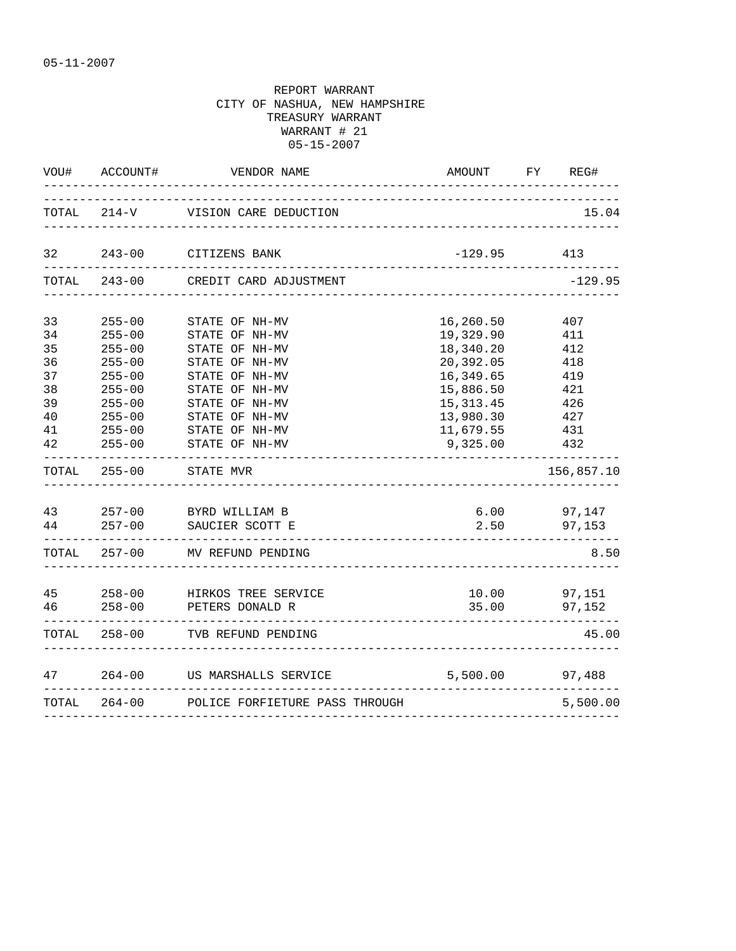|                                  | VOU# ACCOUNT#                                                                    | VENDOR NAME                                                                                              | AMOUNT                                                                     |                   | FY REG#                      |
|----------------------------------|----------------------------------------------------------------------------------|----------------------------------------------------------------------------------------------------------|----------------------------------------------------------------------------|-------------------|------------------------------|
|                                  |                                                                                  | TOTAL 214-V VISION CARE DEDUCTION                                                                        |                                                                            |                   | 15.04                        |
|                                  |                                                                                  | 32 243-00 CITIZENS BANK                                                                                  | $-129.95$                                                                  |                   | 413                          |
|                                  |                                                                                  | TOTAL 243-00 CREDIT CARD ADJUSTMENT                                                                      |                                                                            |                   | $-129.95$                    |
| 33<br>34<br>35<br>36<br>37<br>38 | $255 - 00$<br>$255 - 00$<br>$255 - 00$<br>$255 - 00$<br>$255 - 00$<br>$255 - 00$ | STATE OF NH-MV<br>STATE OF NH-MV<br>STATE OF NH-MV<br>STATE OF NH-MV<br>STATE OF NH-MV<br>STATE OF NH-MV | 16,260.50<br>19,329.90<br>18,340.20<br>20,392.05<br>16,349.65<br>15,886.50 | 418<br>419<br>421 | 407<br>411<br>412            |
| 39<br>40<br>41<br>42             | $255 - 00$<br>$255 - 00$<br>$255 - 00$                                           | STATE OF NH-MV<br>STAIL C.<br>STATE OF NH-MV<br>CE NH-MV<br>STATE OF NH-MV<br>255-00 STATE OF NH-MV      | 15, 313. 45<br>13,980.30<br>11,679.55<br>9,325.00<br>__________            | 431<br>432        | 426<br>427                   |
|                                  |                                                                                  | TOTAL 255-00 STATE MVR<br>_______________________                                                        |                                                                            |                   | 156,857.10                   |
|                                  |                                                                                  | 43 257-00 BYRD WILLIAM B<br>44 257-00 SAUCIER SCOTT E                                                    | 2.50                                                                       |                   | 6.00 97,147<br>97, 153       |
|                                  |                                                                                  | TOTAL 257-00 MV REFUND PENDING                                                                           |                                                                            |                   | 8.50                         |
|                                  |                                                                                  | 45 258-00 HIRKOS TREE SERVICE<br>46 258-00 PETERS DONALD R                                               |                                                                            |                   | 10.00 97,151<br>35.00 97,152 |
|                                  |                                                                                  | TOTAL 258-00 TVB REFUND PENDING                                                                          |                                                                            |                   | 45.00                        |
| 47                               |                                                                                  | 264-00 US MARSHALLS SERVICE                                                                              | 5,500.00                                                                   |                   | 97,488                       |
|                                  |                                                                                  | TOTAL 264-00 POLICE FORFIETURE PASS THROUGH<br>_________________________________                         |                                                                            |                   | 5,500.00                     |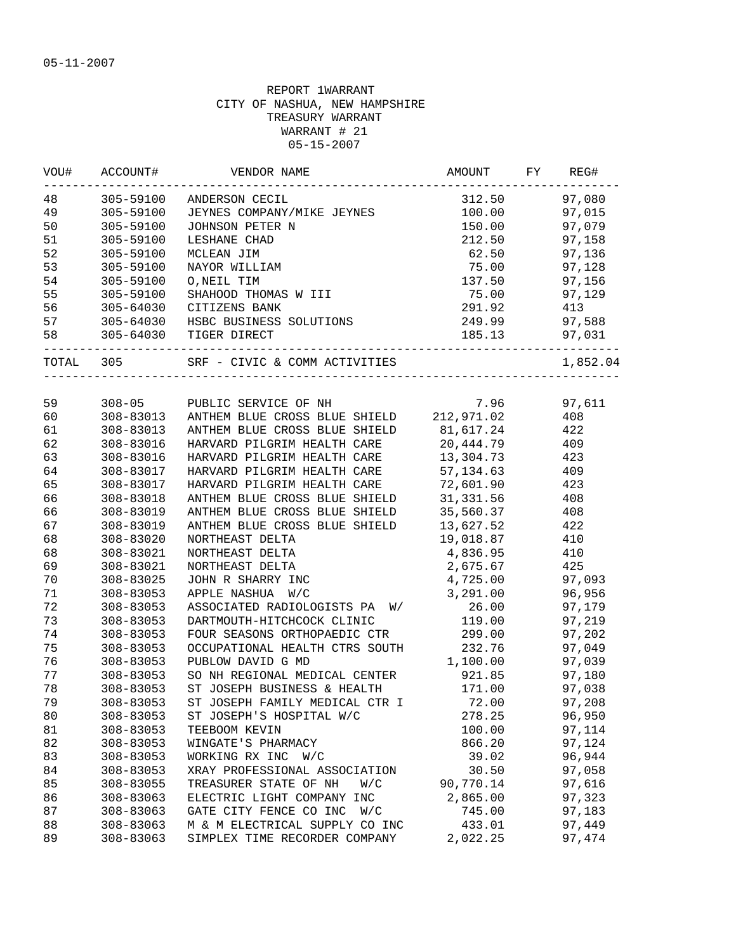| VOU#   | ACCOUNT#      | VENDOR NAME                                        | AMOUNT                          | FY | REG#          |
|--------|---------------|----------------------------------------------------|---------------------------------|----|---------------|
| 48     | 305-59100     | ANDERSON CECIL                                     | 312.50                          |    | 97,080        |
| 49     | 305-59100     | JEYNES COMPANY/MIKE JEYNES                         | 100.00                          |    | 97,015        |
| 50     | 305-59100     | JOHNSON PETER N                                    | 150.00                          |    | 97,079        |
| 51     | 305-59100     | LESHANE CHAD                                       | 212.50                          |    | 97,158        |
| 52     | 305-59100     | MCLEAN JIM                                         | 62.50                           |    | 97,136        |
| 53     | 305-59100     | NAYOR WILLIAM                                      | 75.00                           |    | 97,128        |
| 54     | 305-59100     | O, NEIL TIM                                        | 137.50                          |    | 97,156        |
| 55     | 305-59100     | SHAHOOD THOMAS W III                               | 75.00                           |    | 97,129        |
| 56     | 305-64030     | CITIZENS BANK                                      | 291.92                          |    | 413           |
| 57     |               | 305-64030 HSBC BUSINESS SOLUTIONS                  | 249.99                          |    | 97,588        |
| 58     |               | 305-64030 TIGER DIRECT                             | ------------------------------- |    | 185.13 97,031 |
|        | TOTAL 305     |                                                    |                                 |    | 1,852.04      |
|        |               |                                                    |                                 |    |               |
| 59     |               | 308-05 PUBLIC SERVICE OF NH                        | 7.96                            |    | 97,611        |
| 60     |               | 308-83013 ANTHEM BLUE CROSS BLUE SHIELD 212,971.02 |                                 |    | 408           |
| 61     | 308-83013     | ANTHEM BLUE CROSS BLUE SHIELD 81,617.24            |                                 |    | 422           |
| 62     | 308-83016     | HARVARD PILGRIM HEALTH CARE                        | 20,444.79                       |    | 409           |
| 63     | 308-83016     | HARVARD PILGRIM HEALTH CARE 13,304.73              |                                 |    | 423           |
| 64     | 308-83017     | HARVARD PILGRIM HEALTH CARE                        | 57,134.63                       |    | 409           |
| 65     | 308-83017     | HARVARD PILGRIM HEALTH CARE                        | 72,601.90                       |    | 423           |
| 66     | 308-83018     | ANTHEM BLUE CROSS BLUE SHIELD                      | 31,331.56                       |    | 408           |
| 66     | 308-83019     | ANTHEM BLUE CROSS BLUE SHIELD                      | 35,560.37                       |    | 408           |
| 67     | 308-83019     | ANTHEM BLUE CROSS BLUE SHIELD                      | 13,627.52                       |    | 422           |
| 68     | 308-83020     | NORTHEAST DELTA                                    | 19,018.87                       |    | 410           |
| 68     | 308-83021     | NORTHEAST DELTA                                    | 4,836.95                        |    | 410           |
| 69     | 308-83021     | NORTHEAST DELTA                                    | 2,675.67                        |    | 425           |
| 70     | 308-83025     | JOHN R SHARRY INC                                  | 4,725.00                        |    | 97,093        |
| $71\,$ | 308-83053     | APPLE NASHUA W/C                                   | 3,291.00                        |    | 96,956        |
| 72     | 308-83053     | ASSOCIATED RADIOLOGISTS PA<br>W/                   | 26.00                           |    | 97,179        |
| 73     | 308-83053     | DARTMOUTH-HITCHCOCK CLINIC                         | 119.00                          |    | 97,219        |
| 74     | $308 - 83053$ | FOUR SEASONS ORTHOPAEDIC CTR                       | 299.00                          |    | 97,202        |
| 75     | $308 - 83053$ | OCCUPATIONAL HEALTH CTRS SOUTH                     | 232.76                          |    | 97,049        |
| 76     | 308-83053     | PUBLOW DAVID G MD                                  | 1,100.00                        |    | 97,039        |
| 77     | 308-83053     | SO NH REGIONAL MEDICAL CENTER                      | 921.85                          |    | 97,180        |
| 78     | $308 - 83053$ | ST JOSEPH BUSINESS & HEALTH                        | 171.00                          |    | 97,038        |
| 79     | 308-83053     | ST JOSEPH FAMILY MEDICAL CTR I                     | 72.00                           |    | 97,208        |
| 80     | 308-83053     | ST JOSEPH'S HOSPITAL W/C                           | 278.25                          |    | 96,950        |
| 81     | 308-83053     | TEEBOOM KEVIN                                      | 100.00                          |    | 97,114        |
| 82     | 308-83053     | WINGATE'S PHARMACY                                 | 866.20                          |    | 97,124        |
| 83     | 308-83053     | WORKING RX INC W/C                                 | 39.02                           |    | 96,944        |
| 84     | 308-83053     | XRAY PROFESSIONAL ASSOCIATION                      | 30.50                           |    | 97,058        |
| 85     | 308-83055     | TREASURER STATE OF NH<br>W/C                       | 90,770.14                       |    | 97,616        |
| 86     | 308-83063     | ELECTRIC LIGHT COMPANY INC                         | 2,865.00                        |    | 97,323        |
| 87     | 308-83063     | GATE CITY FENCE CO INC<br>W/C                      | 745.00                          |    | 97,183        |
| 88     | 308-83063     | M & M ELECTRICAL SUPPLY CO INC                     | 433.01                          |    | 97,449        |
| 89     | 308-83063     | SIMPLEX TIME RECORDER COMPANY                      | 2,022.25                        |    | 97,474        |
|        |               |                                                    |                                 |    |               |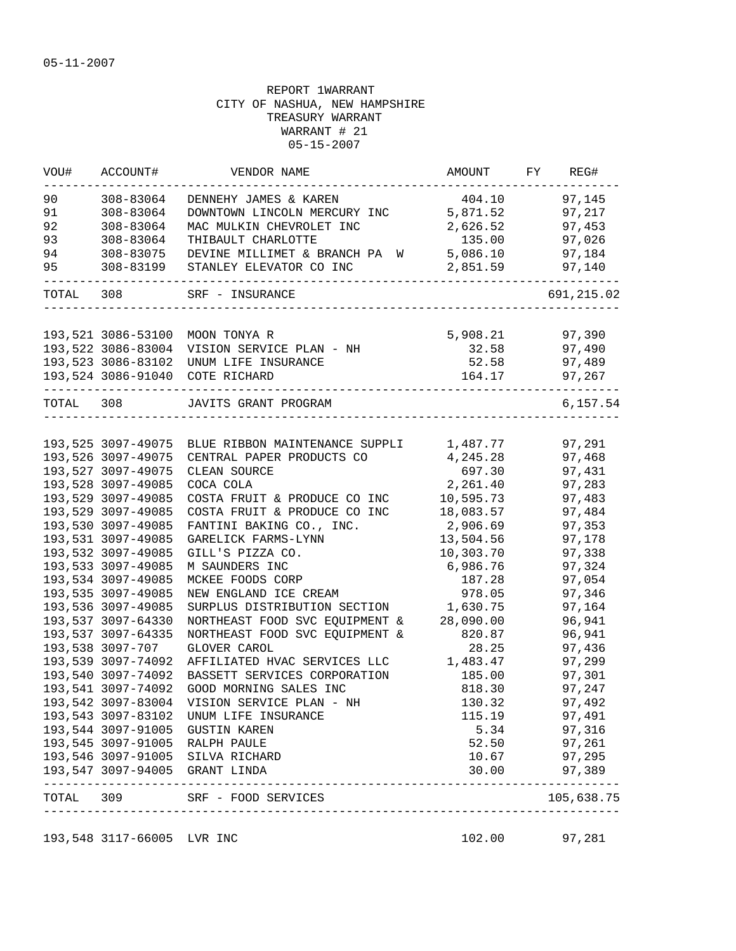| VOU#      | ACCOUNT#           | VENDOR NAME                                       | AMOUNT    | FY | REG#                         |
|-----------|--------------------|---------------------------------------------------|-----------|----|------------------------------|
| 90        | 308-83064          | DENNEHY JAMES & KAREN                             | 404.10    |    | 97,145                       |
| 91        | 308-83064          | DOWNTOWN LINCOLN MERCURY INC                      | 5,871.52  |    | 97,217                       |
| 92        | 308-83064          | MAC MULKIN CHEVROLET INC                          | 2,626.52  |    | 97,453                       |
| 93        | 308-83064          | THIBAULT CHARLOTTE                                | 135.00    |    | 97,026                       |
| 94        | 308-83075          | DEVINE MILLIMET & BRANCH PA W                     | 5,086.10  |    | 97,184                       |
| 95        | 308-83199          | STANLEY ELEVATOR CO INC                           | 2,851.59  |    | 97,140                       |
| TOTAL 308 |                    | SRF - INSURANCE                                   |           |    | 691, 215.02                  |
|           |                    |                                                   |           |    | 97,390                       |
|           | 193,521 3086-53100 | MOON TONYA R                                      | 5,908.21  |    |                              |
|           | 193,522 3086-83004 | VISION SERVICE PLAN - NH                          | 32.58     |    | 97,490                       |
|           |                    | 193, 523 3086-83102 UNUM LIFE INSURANCE           | 52.58     |    | 97,489                       |
|           |                    | 193,524 3086-91040 COTE RICHARD                   | 164.17    |    | 97,267                       |
| TOTAL 308 |                    | JAVITS GRANT PROGRAM                              |           |    | 6,157.54                     |
|           |                    |                                                   |           |    |                              |
|           |                    | 193,525 3097-49075 BLUE RIBBON MAINTENANCE SUPPLI | 1,487.77  |    | 97,291                       |
|           | 193,526 3097-49075 | CENTRAL PAPER PRODUCTS CO                         | 4,245.28  |    | 97,468                       |
|           | 193,527 3097-49075 | CLEAN SOURCE                                      | 697.30    |    | 97,431                       |
|           | 193,528 3097-49085 | COCA COLA                                         | 2,261.40  |    | 97,283                       |
|           | 193,529 3097-49085 | COSTA FRUIT & PRODUCE CO INC                      | 10,595.73 |    | 97,483                       |
|           | 193,529 3097-49085 | COSTA FRUIT & PRODUCE CO INC                      | 18,083.57 |    | 97,484                       |
|           | 193,530 3097-49085 | FANTINI BAKING CO., INC.                          | 2,906.69  |    | 97,353                       |
|           | 193,531 3097-49085 | GARELICK FARMS-LYNN                               | 13,504.56 |    | 97,178                       |
|           | 193,532 3097-49085 | GILL'S PIZZA CO.                                  | 10,303.70 |    | 97,338                       |
|           | 193,533 3097-49085 | M SAUNDERS INC                                    | 6,986.76  |    | 97,324                       |
|           | 193,534 3097-49085 | MCKEE FOODS CORP                                  | 187.28    |    | 97,054                       |
|           | 193,535 3097-49085 | NEW ENGLAND ICE CREAM                             | 978.05    |    | 97,346                       |
|           | 193,536 3097-49085 | SURPLUS DISTRIBUTION SECTION                      | 1,630.75  |    | 97,164                       |
|           | 193,537 3097-64330 | NORTHEAST FOOD SVC EQUIPMENT &                    | 28,090.00 |    | 96,941                       |
|           | 193,537 3097-64335 | NORTHEAST FOOD SVC EQUIPMENT &                    | 820.87    |    | 96,941                       |
|           | 193,538 3097-707   | GLOVER CAROL                                      | 28.25     |    | 97,436                       |
|           | 193,539 3097-74092 | AFFILIATED HVAC SERVICES LLC                      | 1,483.47  |    | 97,299                       |
|           | 193,540 3097-74092 | BASSETT SERVICES CORPORATION                      | 185.00    |    | 97,301                       |
|           | 193,541 3097-74092 | GOOD MORNING SALES INC                            | 818.30    |    | 97,247                       |
|           | 193,542 3097-83004 | VISION SERVICE PLAN - NH                          | 130.32    |    | 97,492                       |
|           | 193,543 3097-83102 | UNUM LIFE INSURANCE                               | 115.19    |    | 97,491                       |
|           | 193,544 3097-91005 | <b>GUSTIN KAREN</b>                               | 5.34      |    | 97,316                       |
|           | 193,545 3097-91005 | RALPH PAULE                                       | 52.50     |    | 97,261                       |
|           | 193,546 3097-91005 | SILVA RICHARD                                     | 10.67     |    | 97,295                       |
|           |                    | 193,547 3097-94005 GRANT LINDA                    | 30.00     |    | 97,389                       |
| TOTAL     | 309                | SRF - FOOD SERVICES                               |           |    | --------------<br>105,638.75 |

193,548 3117-66005 LVR INC 102.00 97,281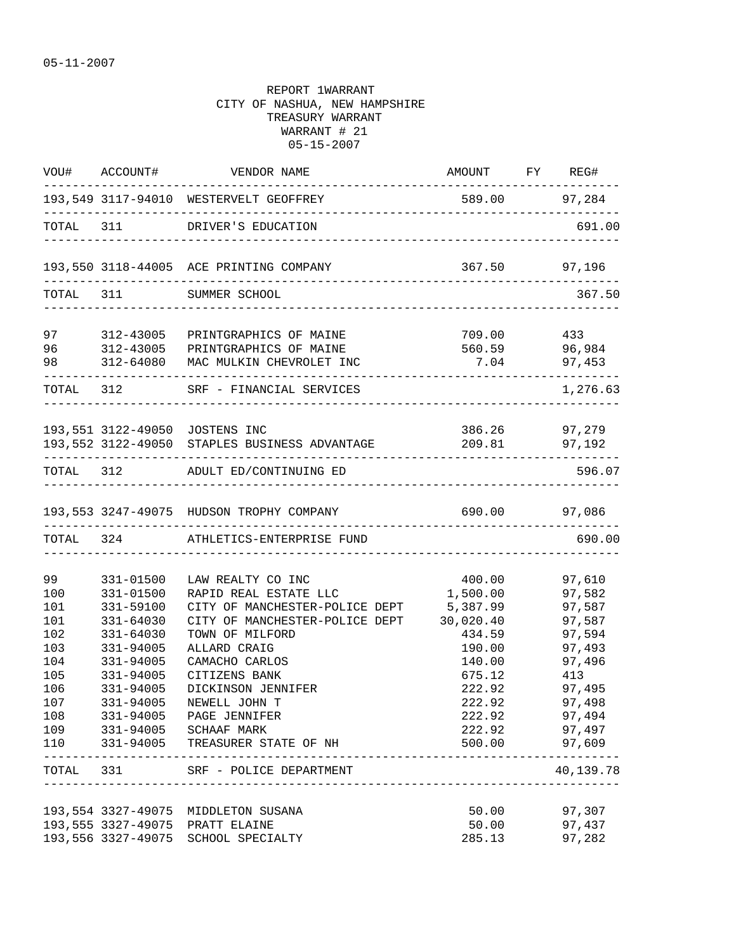|                                                                                 |                                                                                                                                | VOU# ACCOUNT# VENDOR NAME                                                                                                                                                                                                                                                                                              | AMOUNT FY REG#                                                                                                                        |                                                                                                                                            |
|---------------------------------------------------------------------------------|--------------------------------------------------------------------------------------------------------------------------------|------------------------------------------------------------------------------------------------------------------------------------------------------------------------------------------------------------------------------------------------------------------------------------------------------------------------|---------------------------------------------------------------------------------------------------------------------------------------|--------------------------------------------------------------------------------------------------------------------------------------------|
|                                                                                 | _______________________                                                                                                        | 193,549 3117-94010 WESTERVELT GEOFFREY                                                                                                                                                                                                                                                                                 | 589.00 97,284                                                                                                                         |                                                                                                                                            |
|                                                                                 |                                                                                                                                | TOTAL 311 DRIVER'S EDUCATION                                                                                                                                                                                                                                                                                           |                                                                                                                                       | 691.00                                                                                                                                     |
|                                                                                 |                                                                                                                                | 193,550 3118-44005 ACE PRINTING COMPANY                                                                                                                                                                                                                                                                                | 367.50 97,196                                                                                                                         |                                                                                                                                            |
|                                                                                 |                                                                                                                                | TOTAL 311 SUMMER SCHOOL                                                                                                                                                                                                                                                                                                |                                                                                                                                       | 367.50                                                                                                                                     |
| 97 8                                                                            | 312-43005                                                                                                                      | PRINTGRAPHICS OF MAINE<br>96 312-43005 PRINTGRAPHICS OF MAINE<br>98 312-64080 MAC MULKIN CHEVROLET INC                                                                                                                                                                                                                 | 709.00 433                                                                                                                            | 560.59 96,984<br>$7.04$ 97,453                                                                                                             |
|                                                                                 |                                                                                                                                | TOTAL 312 SRF - FINANCIAL SERVICES                                                                                                                                                                                                                                                                                     | ----------------------------                                                                                                          | 1,276.63                                                                                                                                   |
|                                                                                 |                                                                                                                                | 193,551 3122-49050 JOSTENS INC<br>193,552 3122-49050 STAPLES BUSINESS ADVANTAGE                                                                                                                                                                                                                                        |                                                                                                                                       | 386.26 97,279<br>209.81 97,192                                                                                                             |
|                                                                                 |                                                                                                                                | TOTAL 312 ADULT ED/CONTINUING ED                                                                                                                                                                                                                                                                                       |                                                                                                                                       | 596.07                                                                                                                                     |
|                                                                                 |                                                                                                                                | 193,553 3247-49075 HUDSON TROPHY COMPANY                                                                                                                                                                                                                                                                               | 690.00 97,086                                                                                                                         |                                                                                                                                            |
|                                                                                 |                                                                                                                                | TOTAL 324 ATHLETICS-ENTERPRISE FUND                                                                                                                                                                                                                                                                                    |                                                                                                                                       | 690.00                                                                                                                                     |
| 99<br>100<br>101<br>101<br>102<br>103<br>104<br>105<br>106<br>107<br>108<br>110 | 331-01500<br>331-01500<br>331-59100<br>331-64030<br>331-64030<br>331-94005<br>331-94005<br>331-94005<br>331-94005<br>331-94005 | LAW REALTY CO INC<br>RAPID REAL ESTATE LLC<br>CITY OF MANCHESTER-POLICE DEPT<br>CITY OF MANCHESTER-POLICE DEPT<br>TOWN OF MILFORD<br>ALLARD CRAIG<br>CAMACHO CARLOS<br>CITIZENS BANK<br>DICKINSON JENNIFER<br>NEWELL JOHN T<br>331-94005 PAGE JENNIFER<br>109 331-94005 SCHAAF MARK<br>331-94005 TREASURER STATE OF NH | 400.00<br>1,500.00<br>5,387.99<br>30,020.40<br>434.59<br>190.00<br>140.00<br>675.12<br>222.92<br>222.92<br>222.92<br>222.92<br>500.00 | 97,610<br>97,582<br>97,587<br>97,587<br>97,594<br>97,493<br>97,496<br>413<br>97,495<br>97,498<br>97,494<br>97,497<br>97,609<br>$- - - - -$ |
|                                                                                 |                                                                                                                                | TOTAL 331 SRF - POLICE DEPARTMENT<br>___________________________                                                                                                                                                                                                                                                       |                                                                                                                                       | 40,139.78                                                                                                                                  |
|                                                                                 | 193,556 3327-49075                                                                                                             | 193,554 3327-49075 MIDDLETON SUSANA<br>193,555 3327-49075 PRATT ELAINE<br>SCHOOL SPECIALTY                                                                                                                                                                                                                             | 50.00<br>50.00<br>285.13                                                                                                              | 97,307<br>97,437<br>97,282                                                                                                                 |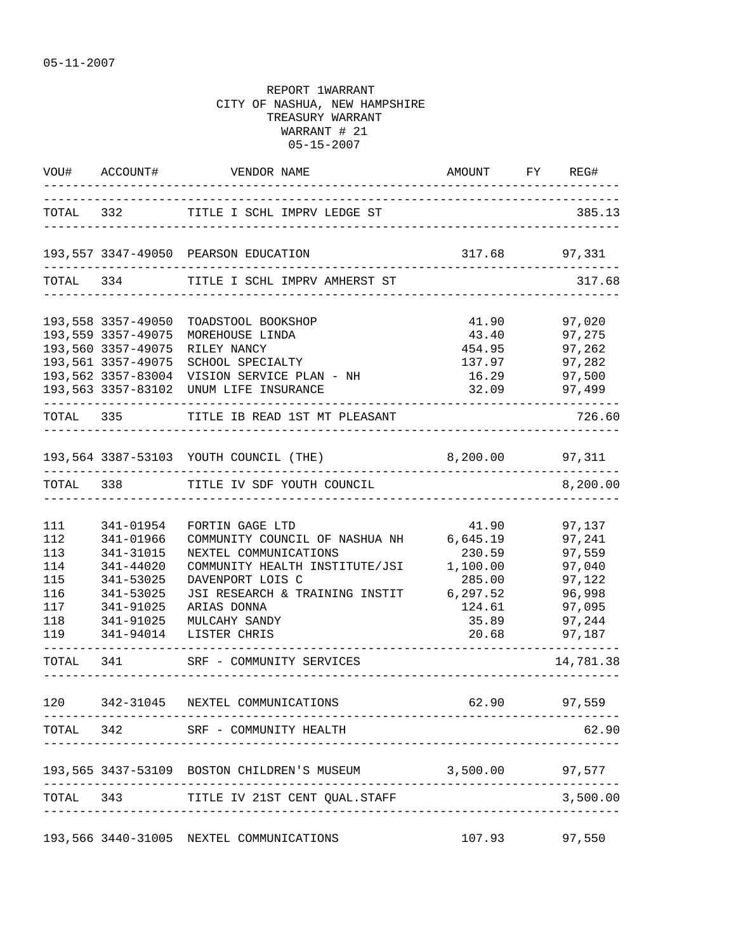|     |                                | VOU# ACCOUNT# VENDOR NAME                                   | AMOUNT FY REG#<br>_____________________________ |           |
|-----|--------------------------------|-------------------------------------------------------------|-------------------------------------------------|-----------|
|     |                                | TOTAL 332 TITLE I SCHL IMPRV LEDGE ST                       | _________________________________               | 385.13    |
|     |                                | 193,557 3347-49050 PEARSON EDUCATION                        | 317.68 97,331                                   |           |
|     |                                | TOTAL 334 TITLE I SCHL IMPRV AMHERST ST                     |                                                 | 317.68    |
|     | 193,558 3357-49050             | TOADSTOOL BOOKSHOP                                          | 41.90                                           | 97,020    |
|     | 193,559 3357-49075             | MOREHOUSE LINDA                                             | 43.40 97,275                                    |           |
|     | 193,560 3357-49075             | RILEY NANCY                                                 | 454.95 97,262                                   |           |
|     | 193,561 3357-49075             | SCHOOL SPECIALTY                                            | 137.97                                          | 97,282    |
|     | 193,562 3357-83004             | VISION SERVICE PLAN - NH                                    | 16.29                                           | 97,500    |
|     |                                | 193,563 3357-83102 UNUM LIFE INSURANCE                      | 32.09                                           | 97,499    |
|     |                                | TOTAL 335 TITLE IB READ 1ST MT PLEASANT                     |                                                 | 726.60    |
|     |                                | 193,564 3387-53103 YOUTH COUNCIL (THE) 8,200.00 97,311      |                                                 |           |
|     | ------------------------------ | TOTAL 338 TITLE IV SDF YOUTH COUNCIL                        |                                                 | 8,200.00  |
|     |                                |                                                             |                                                 |           |
| 111 | 341-01954                      | FORTIN GAGE LTD                                             | 41.90                                           | 97,137    |
| 112 | 341-01966                      | COMMUNITY COUNCIL OF NASHUA NH                              | 6,645.19                                        | 97,241    |
| 113 | 341-31015                      | NEXTEL COMMUNICATIONS                                       | 230.59                                          | 97,559    |
| 114 | 341-44020                      | COMMUNITY HEALTH INSTITUTE/JSI                              | 1,100.00                                        | 97,040    |
| 115 | 341-53025                      | DAVENPORT LOIS C                                            | 285.00                                          | 97,122    |
| 116 | 341-53025                      | JSI RESEARCH & TRAINING INSTIT                              | 6, 297.52                                       | 96,998    |
| 117 | 341-91025                      | ARIAS DONNA                                                 | 124.61                                          | 97,095    |
| 118 | 341-91025                      | MULCAHY SANDY                                               | 35.89                                           | 97,244    |
| 119 | 341-94014                      | LISTER CHRIS                                                | 20.68                                           | 97,187    |
|     |                                | TOTAL 341 SRF - COMMUNITY SERVICES                          |                                                 | 14,781.38 |
| 120 |                                | 342-31045 NEXTEL COMMUNICATIONS                             | 62.90                                           | 97,559    |
|     |                                | --------------------<br>TOTAL 342 SRF - COMMUNITY HEALTH    |                                                 | 62.90     |
|     |                                | 193,565 3437-53109 BOSTON CHILDREN'S MUSEUM 3,500.00 97,577 |                                                 |           |
|     |                                |                                                             |                                                 |           |
|     |                                | TOTAL 343 TITLE IV 21ST CENT QUAL.STAFF                     |                                                 | 3,500.00  |
|     |                                | 193,566 3440-31005 NEXTEL COMMUNICATIONS                    | 107.93                                          | 97,550    |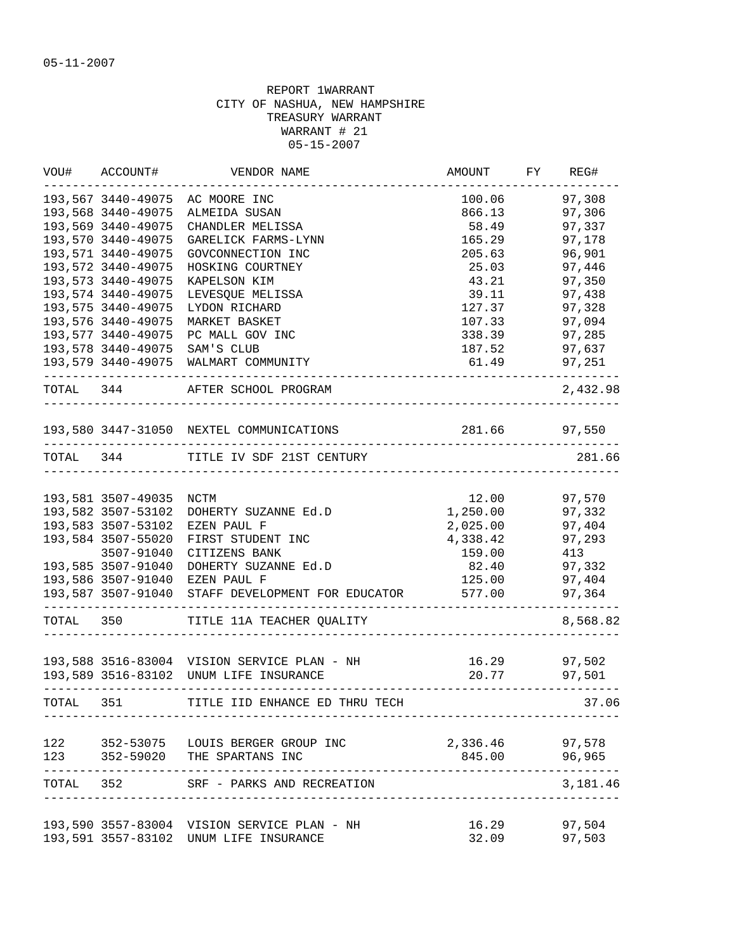| VOU#      | ACCOUNT#           | VENDOR NAME                                 | AMOUNT                                 | FY REG#          |
|-----------|--------------------|---------------------------------------------|----------------------------------------|------------------|
|           | 193,567 3440-49075 | AC MOORE INC                                | 100.06                                 | 97,308           |
|           | 193,568 3440-49075 | ALMEIDA SUSAN                               | 866.13                                 | 97,306           |
|           | 193,569 3440-49075 | CHANDLER MELISSA                            | 58.49                                  | 97,337           |
|           | 193,570 3440-49075 | GARELICK FARMS-LYNN                         | 165.29                                 | 97,178           |
|           | 193,571 3440-49075 | GOVCONNECTION INC                           | 205.63                                 | 96,901           |
|           | 193,572 3440-49075 | HOSKING COURTNEY                            | 25.03                                  | 97,446           |
|           | 193,573 3440-49075 | KAPELSON KIM                                | 43.21                                  | 97,350           |
|           | 193,574 3440-49075 | LEVESQUE MELISSA                            | 39.11                                  | 97,438           |
|           | 193,575 3440-49075 | LYDON RICHARD                               | 127.37                                 | 97,328           |
|           | 193,576 3440-49075 | MARKET BASKET                               | 107.33                                 | 97,094           |
|           | 193,577 3440-49075 | PC MALL GOV INC                             | 338.39                                 | 97,285           |
|           | 193,578 3440-49075 | SAM'S CLUB                                  | 187.52                                 | 97,637           |
|           | 193,579 3440-49075 | WALMART COMMUNITY                           | 61.49                                  | 97,251           |
| TOTAL 344 |                    | AFTER SCHOOL PROGRAM<br>___________________ |                                        | 2,432.98         |
|           |                    | 193,580 3447-31050 NEXTEL COMMUNICATIONS    | 281.66                                 | 97,550           |
|           |                    | TOTAL 344 TITLE IV SDF 21ST CENTURY         |                                        | 281.66           |
|           |                    |                                             | ______________________________________ |                  |
|           | 193,581 3507-49035 | NCTM                                        | 12.00                                  | 97,570           |
|           | 193,582 3507-53102 | DOHERTY SUZANNE Ed.D                        | 1,250.00                               | 97,332           |
|           | 193,583 3507-53102 | EZEN PAUL F                                 | 2,025.00                               | 97,404           |
|           | 193,584 3507-55020 | FIRST STUDENT INC                           | 4,338.42                               | 97,293           |
|           | 3507-91040         | CITIZENS BANK                               | 159.00                                 | 413              |
|           | 193,585 3507-91040 | DOHERTY SUZANNE Ed.D                        | 82.40                                  | 97,332           |
|           | 193,586 3507-91040 | EZEN PAUL F                                 | 125.00                                 | 97,404           |
|           | 193,587 3507-91040 | STAFF DEVELOPMENT FOR EDUCATOR              | 577.00                                 | 97,364           |
| TOTAL 350 |                    | TITLE 11A TEACHER QUALITY                   |                                        | 8,568.82         |
|           |                    | 193,588 3516-83004 VISION SERVICE PLAN - NH | 16.29                                  |                  |
|           |                    | 193,589 3516-83102 UNUM LIFE INSURANCE      | 20.77                                  | 97,502<br>97,501 |
|           |                    |                                             |                                        |                  |
| TOTAL 351 |                    | TITLE IID ENHANCE ED THRU TECH              |                                        | 37.06            |
| 122       |                    | 352-53075 LOUIS BERGER GROUP INC            | 2,336.46 97,578                        |                  |
| 123       |                    | 352-59020 THE SPARTANS INC                  | 845.00                                 | 96,965           |
| TOTAL 352 |                    | SRF - PARKS AND RECREATION                  |                                        | 3,181.46         |
|           |                    | 193,590 3557-83004 VISION SERVICE PLAN - NH | 16.29                                  | 97,504           |
|           |                    | 193,591 3557-83102 UNUM LIFE INSURANCE      | 32.09                                  | 97,503           |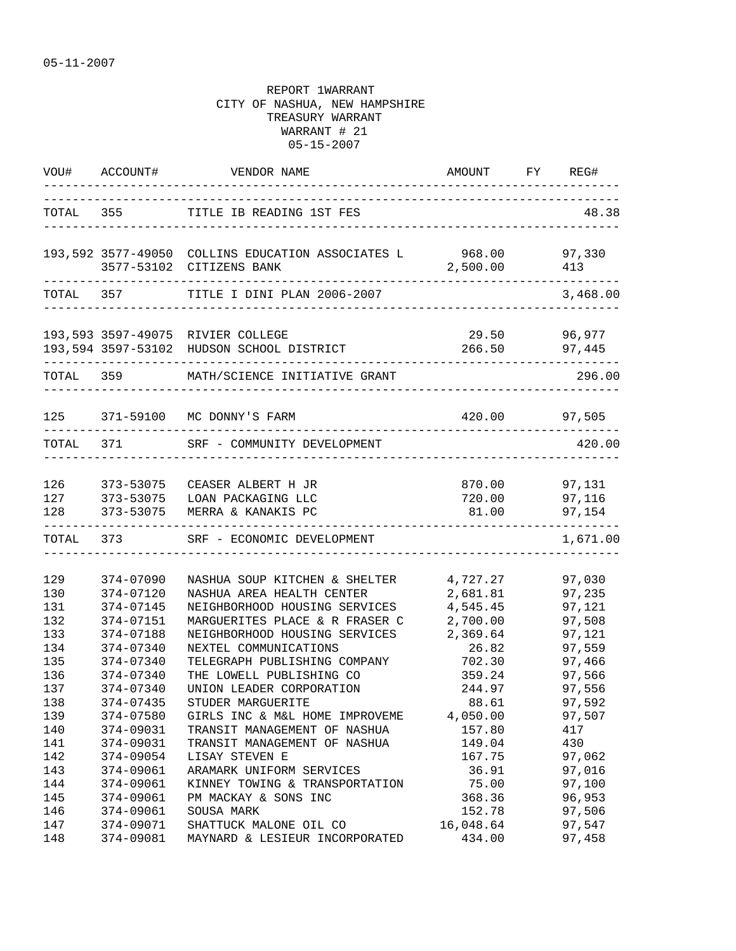|                          |                                                  | VOU# ACCOUNT# VENDOR NAME                                                                                 | AMOUNT FY REG#<br>___________________________ |                                      |
|--------------------------|--------------------------------------------------|-----------------------------------------------------------------------------------------------------------|-----------------------------------------------|--------------------------------------|
|                          |                                                  | TOTAL 355 TITLE IB READING 1ST FES                                                                        |                                               | 48.38                                |
|                          |                                                  | 193,592 3577-49050 COLLINS EDUCATION ASSOCIATES L 968.00<br>3577-53102 CITIZENS BANK                      | 2,500.00                                      | 97,330<br>413                        |
|                          |                                                  | TOTAL 357 TITLE I DINI PLAN 2006-2007                                                                     |                                               | 3,468.00                             |
|                          |                                                  | 193,593 3597-49075 RIVIER COLLEGE<br>193,594 3597-53102 HUDSON SCHOOL DISTRICT                            | 29.50 96,977<br>266.50 97,445                 |                                      |
|                          | TOTAL 359                                        | MATH/SCIENCE INITIATIVE GRANT                                                                             |                                               | 296.00                               |
|                          |                                                  | 125 371-59100 MC DONNY'S FARM                                                                             | 420.00 97,505                                 |                                      |
|                          |                                                  | TOTAL 371 SRF - COMMUNITY DEVELOPMENT                                                                     |                                               | 420.00                               |
| 128                      | 126 373-53075<br>373-53075                       | CEASER ALBERT H JR<br>127 373-53075 LOAN PACKAGING LLC<br>MERRA & KANAKIS PC                              | 870.00 97,131<br>720.00<br>81.00              | 97,116<br>97,154                     |
|                          |                                                  | TOTAL 373 SRF - ECONOMIC DEVELOPMENT                                                                      |                                               | 1,671.00                             |
| 129<br>130<br>131        | 374-07090<br>374-07120<br>374-07145              | NASHUA SOUP KITCHEN & SHELTER<br>NASHUA AREA HEALTH CENTER<br>NEIGHBORHOOD HOUSING SERVICES               | 4,727.27<br>2,681.81<br>4,545.45              | 97,030<br>97,235<br>97,121           |
| 132<br>133<br>134        | 374-07151<br>374-07188<br>374-07340              | MARGUERITES PLACE & R FRASER C<br>NEIGHBORHOOD HOUSING SERVICES<br>NEXTEL COMMUNICATIONS                  | 2,700.00<br>2,369.64<br>26.82                 | 97,508<br>97,121<br>97,559           |
| 135<br>136<br>137<br>138 | 374-07340<br>374-07340<br>374-07340<br>374-07435 | TELEGRAPH PUBLISHING COMPANY<br>THE LOWELL PUBLISHING CO<br>UNION LEADER CORPORATION<br>STUDER MARGUERITE | 702.30<br>359.24<br>244.97<br>88.61           | 97,466<br>97,566<br>97,556<br>97,592 |
| 139<br>140<br>141        | 374-07580<br>374-09031<br>374-09031              | GIRLS INC & M&L HOME IMPROVEME<br>TRANSIT MANAGEMENT OF NASHUA<br>TRANSIT MANAGEMENT OF NASHUA            | 4,050.00<br>157.80<br>149.04                  | 97,507<br>417<br>430                 |
| 142<br>143<br>144        | 374-09054<br>374-09061<br>374-09061              | LISAY STEVEN E<br>ARAMARK UNIFORM SERVICES<br>KINNEY TOWING & TRANSPORTATION                              | 167.75<br>36.91<br>75.00                      | 97,062<br>97,016<br>97,100           |
| 145<br>146<br>147        | 374-09061<br>374-09061<br>374-09071              | PM MACKAY & SONS INC<br>SOUSA MARK<br>SHATTUCK MALONE OIL CO                                              | 368.36<br>152.78<br>16,048.64                 | 96,953<br>97,506<br>97,547           |
| 148                      | 374-09081                                        | MAYNARD & LESIEUR INCORPORATED                                                                            | 434.00                                        | 97,458                               |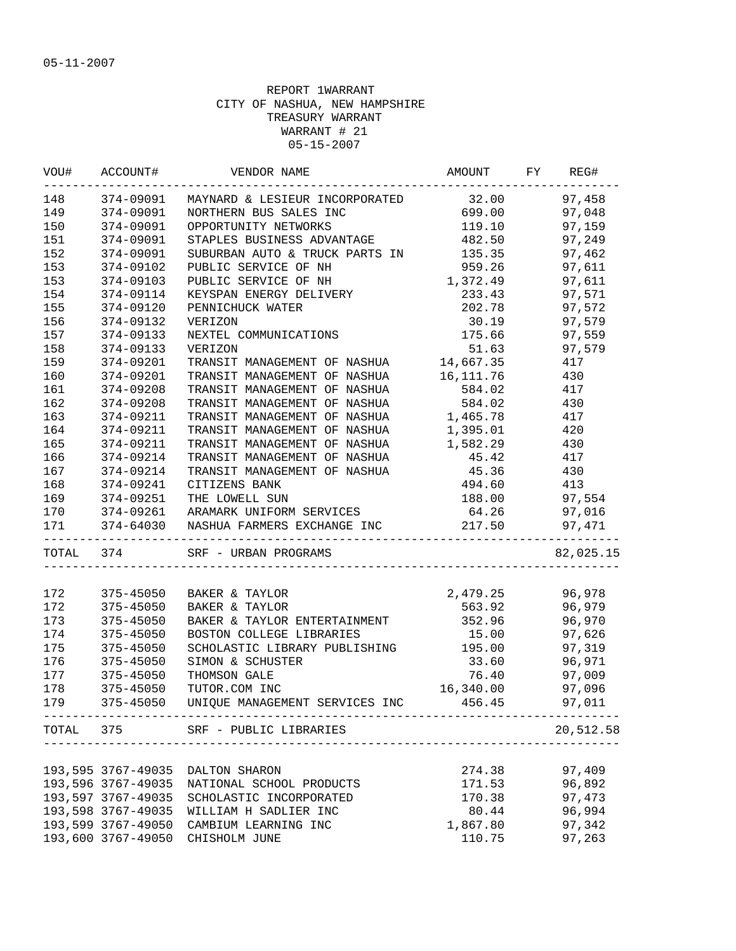|                                           | VOU# ACCOUNT#      | VENDOR NAME                                                | AMOUNT FY  | REG#             |
|-------------------------------------------|--------------------|------------------------------------------------------------|------------|------------------|
| 148                                       | 374-09091          | MAYNARD & LESIEUR INCORPORATED                             | 32.00      | 97,458           |
| 149                                       | 374-09091          | NORTHERN BUS SALES INC                                     | 699.00     | 97,048           |
| 150                                       | 374-09091          | OPPORTUNITY NETWORKS                                       | 119.10     | 97,159           |
| 151                                       | 374-09091          | STAPLES BUSINESS ADVANTAGE                                 | 482.50     | 97,249           |
| 152                                       | 374-09091          | SUBURBAN AUTO & TRUCK PARTS IN                             | 135.35     | 97,462           |
| 153                                       | 374-09102          | PUBLIC SERVICE OF NH                                       | 959.26     | 97,611           |
| 153                                       | 374-09103          | PUBLIC SERVICE OF NH                                       | 1,372.49   | 97,611           |
| 154                                       | 374-09114          | KEYSPAN ENERGY DELIVERY                                    | 233.43     | 97,571           |
| 155                                       | 374-09120          | PENNICHUCK WATER                                           | 202.78     | 97,572           |
| 156                                       | 374-09132          | VERIZON                                                    | 30.19      | 97,579           |
| 157                                       | 374-09133          | NEXTEL COMMUNICATIONS                                      | 175.66     | 97,559           |
| 158                                       | 374-09133          | VERIZON                                                    | 51.63      | 97,579           |
| 159                                       | 374-09201          | TRANSIT MANAGEMENT OF NASHUA                               | 14,667.35  | 417              |
| 160                                       | 374-09201          | TRANSIT MANAGEMENT OF NASHUA                               | 16,111.76  | 430              |
| 161                                       | 374-09208          | TRANSIT MANAGEMENT OF NASHUA                               | 584.02     | 417              |
| 162                                       | 374-09208          | TRANSIT MANAGEMENT OF NASHUA                               | 584.02 430 |                  |
| 163                                       | 374-09211          | TRANSIT MANAGEMENT OF NASHUA 1,465.78                      |            | 417              |
| 164                                       | 374-09211          | TRANSIT MANAGEMENT OF NASHUA                               | 1,395.01   | 420              |
| 165                                       | 374-09211          | TRANSIT MANAGEMENT OF NASHUA                               | 1,582.29   | 430              |
| 166                                       | 374-09214          | TRANSIT MANAGEMENT OF NASHUA                               | 45.42      | 417              |
| 167                                       | 374-09214          | TRANSIT MANAGEMENT OF NASHUA                               | 45.36      | 430              |
| 168                                       | 374-09241          | CITIZENS BANK                                              | 494.60     | 413              |
| 169                                       | $374 - 09251$      | THE LOWELL SUN                                             | 188.00     | 97,554           |
| 170                                       | 374-09261          | ARAMARK UNIFORM SERVICES                                   | 64.26      | 97,016           |
| 171                                       |                    | 374-64030 NASHUA FARMERS EXCHANGE INC<br>----------------  | 217.50     | 97,471<br>------ |
| TOTAL 374                                 |                    | SRF - URBAN PROGRAMS                                       |            | 82,025.15        |
|                                           |                    |                                                            |            |                  |
| $\begin{array}{c} 172 \\ 172 \end{array}$ | 375-45050          | BAKER & TAYLOR                                             | 2,479.25   | 96,978           |
| 172                                       | 375-45050          | BAKER & TAYLOR                                             | 563.92     | 96,979           |
| 173                                       | 375-45050          | BAKER & TAYLOR ENTERTAINMENT                               | 352.96     | 96,970           |
| 174                                       | 375-45050          | BOSTON COLLEGE LIBRARIES                                   | 15.00      | 97,626           |
| 175                                       | 375-45050          | SCHOLASTIC LIBRARY PUBLISHING                              | 195.00     | 97,319           |
| 176                                       | 375-45050          | SIMON & SCHUSTER                                           | 33.60      | 96,971           |
| 177                                       | 375-45050          | THOMSON GALE                                               | 76.40      | 97,009           |
| 178                                       | 375-45050          | TUTOR.COM INC                                              | 16,340.00  | 97,096           |
|                                           |                    | 179 375-45050 UNIQUE MANAGEMENT SERVICES INC 456.45 97,011 |            |                  |
| TOTAL 375                                 |                    | SRF - PUBLIC LIBRARIES                                     |            | 20,512.58        |
|                                           |                    |                                                            |            |                  |
|                                           |                    | 193,595 3767-49035 DALTON SHARON                           | 274.38     | 97,409           |
|                                           | 193,596 3767-49035 | NATIONAL SCHOOL PRODUCTS                                   | 171.53     | 96,892           |
|                                           | 193,597 3767-49035 | SCHOLASTIC INCORPORATED                                    | 170.38     | 97,473           |
|                                           | 193,598 3767-49035 | WILLIAM H SADLIER INC                                      | 80.44      | 96,994           |
|                                           | 193,599 3767-49050 | CAMBIUM LEARNING INC                                       | 1,867.80   | 97,342           |
|                                           | 193,600 3767-49050 | CHISHOLM JUNE                                              | 110.75     | 97,263           |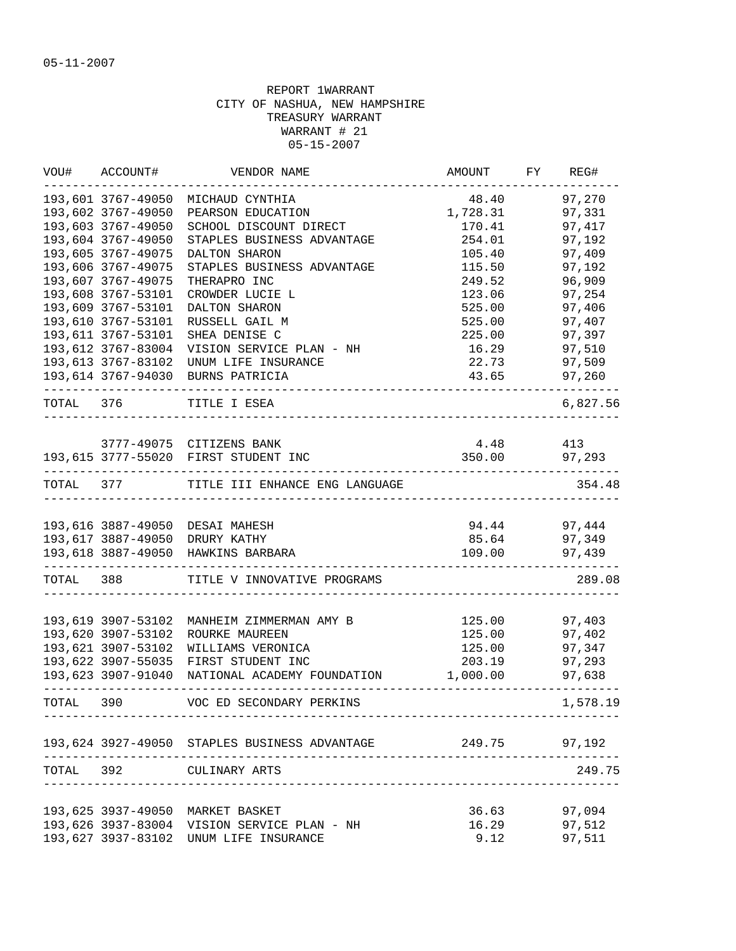| WOU#      | ACCOUNT#              | VENDOR NAME                                   | AMOUNT   | FY | REG#         |
|-----------|-----------------------|-----------------------------------------------|----------|----|--------------|
|           | 193,601 3767-49050    | MICHAUD CYNTHIA                               | 48.40    |    | 97,270       |
|           | 193,602 3767-49050    | PEARSON EDUCATION                             | 1,728.31 |    | 97,331       |
|           | 193,603 3767-49050    | SCHOOL DISCOUNT DIRECT                        | 170.41   |    | 97,417       |
|           | 193,604 3767-49050    | STAPLES BUSINESS ADVANTAGE                    | 254.01   |    | 97,192       |
|           | 193,605 3767-49075    | DALTON SHARON                                 | 105.40   |    | 97,409       |
|           | 193,606 3767-49075    | STAPLES BUSINESS ADVANTAGE                    | 115.50   |    | 97,192       |
|           | 193,607 3767-49075    | THERAPRO INC                                  | 249.52   |    | 96,909       |
|           | 193,608 3767-53101    | CROWDER LUCIE L                               | 123.06   |    | 97,254       |
|           | 193,609 3767-53101    | DALTON SHARON                                 | 525.00   |    | 97,406       |
|           | 193,610 3767-53101    | RUSSELL GAIL M                                | 525.00   |    | 97,407       |
|           | 193,611 3767-53101    | SHEA DENISE C                                 | 225.00   |    | 97,397       |
|           | 193,612 3767-83004    | VISION SERVICE PLAN - NH                      | 16.29    |    | 97,510       |
|           | 193,613 3767-83102    | UNUM LIFE INSURANCE                           | 22.73    |    | 97,509       |
|           |                       | 193,614 3767-94030 BURNS PATRICIA             | 43.65    |    | 97,260       |
|           | TOTAL 376             | TITLE I ESEA                                  |          |    | 6,827.56     |
|           |                       | 3777-49075 CITIZENS BANK                      | 4.48     |    | 413          |
|           |                       | 193,615 3777-55020 FIRST STUDENT INC          | 350.00   |    | 97,293       |
|           | --------------------- |                                               |          |    |              |
|           |                       | TOTAL 377 TITLE III ENHANCE ENG LANGUAGE      |          |    | 354.48       |
|           |                       | 193,616 3887-49050 DESAI MAHESH               |          |    | 94.44 97,444 |
|           |                       | 193,617 3887-49050 DRURY KATHY                | 85.64    |    | 97,349       |
|           |                       | 193,618 3887-49050 HAWKINS BARBARA            | 109.00   |    | 97,439       |
| TOTAL 388 |                       | TITLE V INNOVATIVE PROGRAMS                   |          |    | 289.08       |
|           |                       |                                               |          |    |              |
|           | 193,619 3907-53102    | MANHEIM ZIMMERMAN AMY B                       | 125.00   |    | 97,403       |
|           | 193,620 3907-53102    | ROURKE MAUREEN                                | 125.00   |    | 97,402       |
|           | 193,621 3907-53102    | WILLIAMS VERONICA                             | 125.00   |    | 97,347       |
|           | 193,622 3907-55035    | FIRST STUDENT INC                             | 203.19   |    | 97,293       |
|           | 193,623 3907-91040    | NATIONAL ACADEMY FOUNDATION                   | 1,000.00 |    | 97,638       |
| TOTAL     | 390                   | VOC ED SECONDARY PERKINS                      |          |    | 1,578.19     |
|           |                       | 193,624 3927-49050 STAPLES BUSINESS ADVANTAGE | 249.75   |    | 97,192       |
| TOTAL 392 |                       | CULINARY ARTS                                 |          |    | 249.75       |
|           |                       |                                               |          |    |              |
|           | 193,625 3937-49050    | MARKET BASKET                                 | 36.63    |    | 97,094       |
|           | 193,626 3937-83004    | VISION SERVICE PLAN - NH                      | 16.29    |    | 97,512       |
|           | 193,627 3937-83102    | UNUM LIFE INSURANCE                           | 9.12     |    | 97,511       |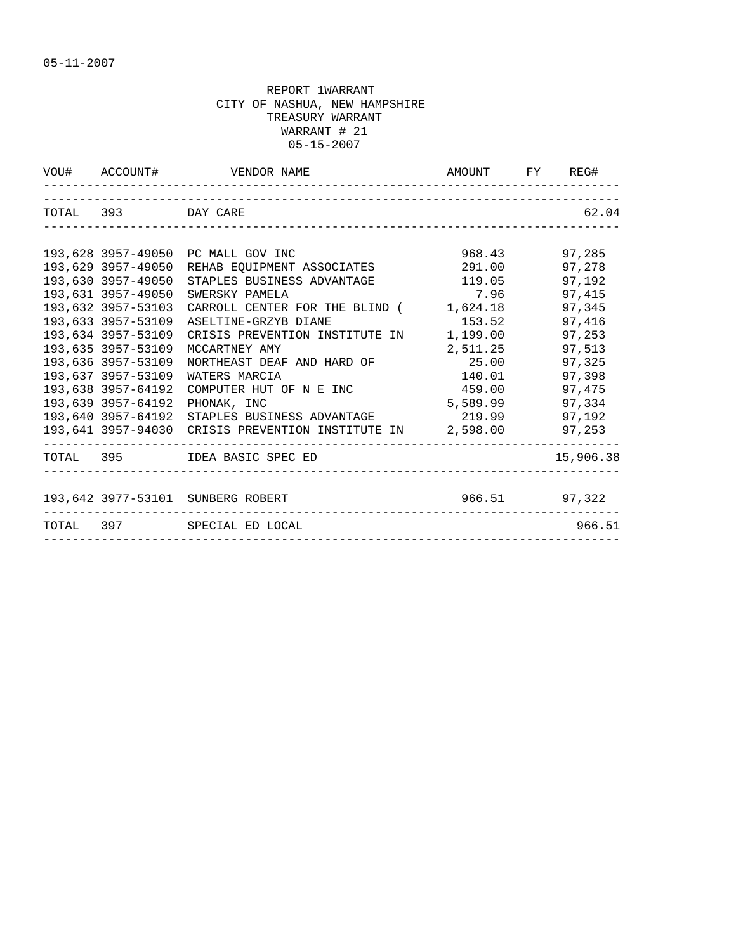|                                                                                                                                                                                                                                                                                                                  | VOU# ACCOUNT# VENDOR NAME                                                                                                                                                                                                                                                                                                                                                    | AMOUNT FY REG#                                                                                                                      |                                                                                                                                          |
|------------------------------------------------------------------------------------------------------------------------------------------------------------------------------------------------------------------------------------------------------------------------------------------------------------------|------------------------------------------------------------------------------------------------------------------------------------------------------------------------------------------------------------------------------------------------------------------------------------------------------------------------------------------------------------------------------|-------------------------------------------------------------------------------------------------------------------------------------|------------------------------------------------------------------------------------------------------------------------------------------|
| TOTAL 393 DAY CARE                                                                                                                                                                                                                                                                                               |                                                                                                                                                                                                                                                                                                                                                                              |                                                                                                                                     | 62.04                                                                                                                                    |
| 193,628 3957-49050<br>193,629 3957-49050<br>193,630 3957-49050<br>193,631 3957-49050<br>193,632 3957-53103<br>193,633 3957-53109<br>193,634 3957-53109<br>193,635 3957-53109<br>193,636 3957-53109<br>193,637 3957-53109<br>193,638 3957-64192<br>193,639 3957-64192<br>193,640 3957-64192<br>193,641 3957-94030 | PC MALL GOV INC<br>REHAB EQUIPMENT ASSOCIATES<br>STAPLES BUSINESS ADVANTAGE<br>SWERSKY PAMELA<br>CARROLL CENTER FOR THE BLIND (<br>ASELTINE-GRZYB DIANE<br>CRISIS PREVENTION INSTITUTE IN<br>MCCARTNEY AMY<br>NORTHEAST DEAF AND HARD OF<br>WATERS MARCIA<br>COMPUTER HUT OF N E INC<br>PHONAK. INC<br>STAPLES BUSINESS ADVANTAGE<br>CRISIS PREVENTION INSTITUTE IN 2,598.00 | 968.43<br>291.00<br>119.05<br>7.96<br>1,624.18<br>153.52<br>1,199.00<br>2,511.25<br>25.00<br>140.01<br>459.00<br>5,589.99<br>219.99 | 97,285<br>97,278<br>97,192<br>97,415<br>97,345<br>97,416<br>97,253<br>97,513<br>97,325<br>97,398<br>97,475<br>97,334<br>97,192<br>97,253 |
|                                                                                                                                                                                                                                                                                                                  | TOTAL 395 IDEA BASIC SPEC ED                                                                                                                                                                                                                                                                                                                                                 |                                                                                                                                     | 15,906.38                                                                                                                                |
|                                                                                                                                                                                                                                                                                                                  | 193,642 3977-53101 SUNBERG ROBERT                                                                                                                                                                                                                                                                                                                                            | $966.51$ 97,322                                                                                                                     |                                                                                                                                          |
|                                                                                                                                                                                                                                                                                                                  | TOTAL 397 SPECIAL ED LOCAL                                                                                                                                                                                                                                                                                                                                                   |                                                                                                                                     | 966.51                                                                                                                                   |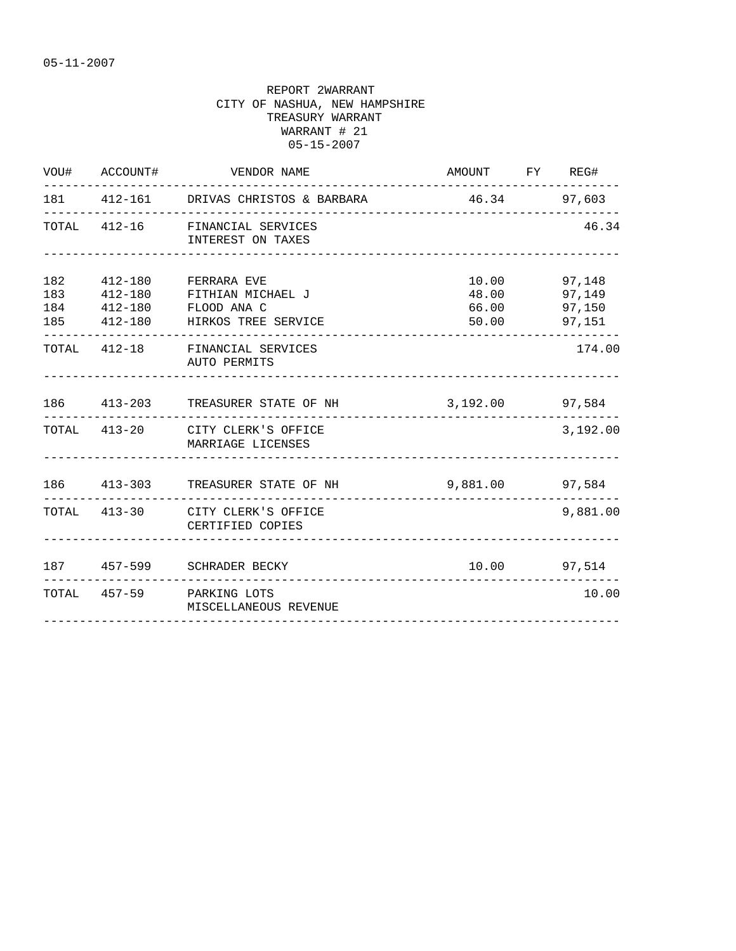|     | VOU# ACCOUNT#              | VENDOR NAME                                                                                          | AMOUNT FY REG# |                                                        |
|-----|----------------------------|------------------------------------------------------------------------------------------------------|----------------|--------------------------------------------------------|
|     |                            | 181  412-161  DRIVAS CHRISTOS & BARBARA  46.34  97,603                                               |                |                                                        |
|     |                            | TOTAL 412-16 FINANCIAL SERVICES<br>INTEREST ON TAXES                                                 |                | 46.34                                                  |
| 182 | $412 - 180$<br>183 412-180 | FERRARA EVE<br>FITHIAN MICHAEL J<br>184   412-180   FLOOD ANA   C<br>185 412-180 HIRKOS TREE SERVICE | 48.00          | 10.00 97,148<br>97,149<br>66.00 97,150<br>50.00 97,151 |
|     |                            | TOTAL 412-18 FINANCIAL SERVICES<br>AUTO PERMITS                                                      |                | 174.00                                                 |
|     |                            | 186  413-203  TREASURER STATE OF NH  3,192.00  97,584                                                |                |                                                        |
|     |                            | TOTAL 413-20 CITY CLERK'S OFFICE<br>MARRIAGE LICENSES                                                |                | 3,192.00                                               |
|     |                            | 186  413-303  TREASURER STATE OF NH    9,881.00  97,584                                              |                |                                                        |
|     |                            | TOTAL 413-30 CITY CLERK'S OFFICE<br>CERTIFIED COPIES                                                 |                | 9,881.00                                               |
|     |                            | 187 457-599 SCHRADER BECKY                                                                           |                | 10.00 97,514                                           |
|     |                            | TOTAL 457-59 PARKING LOTS<br>MISCELLANEOUS REVENUE                                                   |                | 10.00                                                  |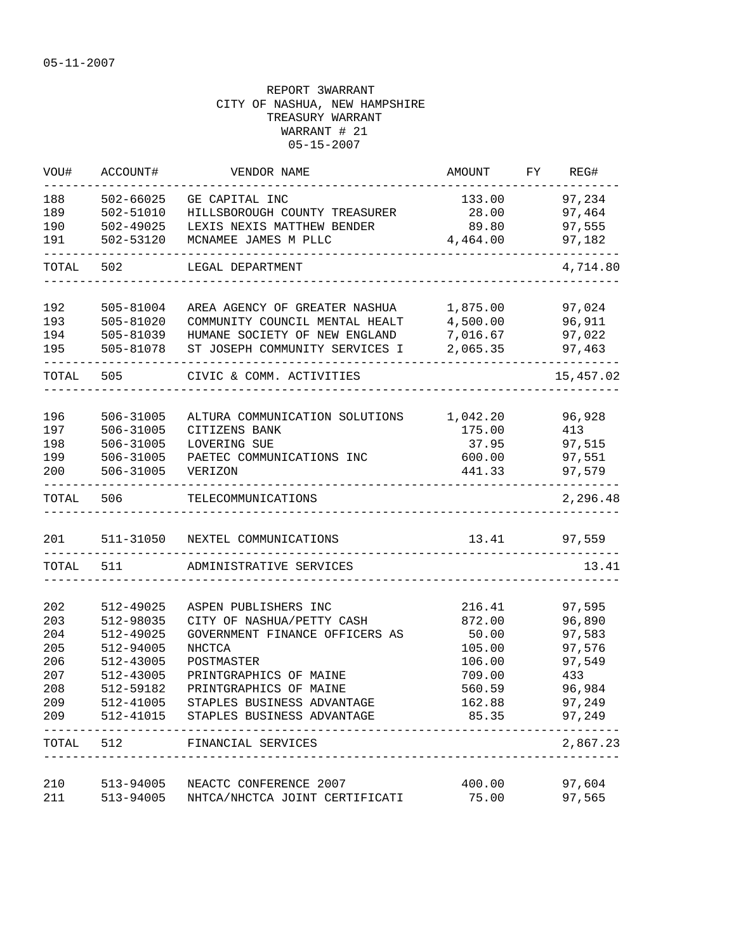| WOU#       | ACCOUNT#               | VENDOR NAME                                     | AMOUNT            | FY | REG#             |
|------------|------------------------|-------------------------------------------------|-------------------|----|------------------|
| 188        | 502-66025              | GE CAPITAL INC                                  | 133.00            |    | 97,234           |
| 189        | 502-51010              | HILLSBOROUGH COUNTY TREASURER                   | 28.00             |    | 97,464           |
| 190        | 502-49025              | LEXIS NEXIS MATTHEW BENDER                      | 89.80             |    | 97,555           |
| 191        | 502-53120              | MCNAMEE JAMES M PLLC                            | 4,464.00          |    | 97,182           |
| TOTAL      | 502                    | LEGAL DEPARTMENT                                |                   |    | 4,714.80         |
| 192        | 505-81004              | AREA AGENCY OF GREATER NASHUA                   | 1,875.00          |    | 97,024           |
| 193        | 505-81020              | COMMUNITY COUNCIL MENTAL HEALT                  | 4,500.00          |    | 96,911           |
| 194        | 505-81039              | HUMANE SOCIETY OF NEW ENGLAND                   | 7,016.67          |    | 97,022           |
| 195        | 505-81078              | ST JOSEPH COMMUNITY SERVICES I                  | 2,065.35          |    | 97,463           |
| TOTAL      | 505                    | CIVIC & COMM. ACTIVITIES                        |                   |    | 15,457.02        |
| 196        | 506-31005              | ALTURA COMMUNICATION SOLUTIONS                  | 1,042.20          |    | 96,928           |
| 197        | 506-31005              | CITIZENS BANK                                   | 175.00            |    | 413              |
| 198        | 506-31005              | LOVERING SUE                                    | 37.95             |    | 97,515           |
| 199        | 506-31005              | PAETEC COMMUNICATIONS INC                       | 600.00            |    | 97,551           |
| 200        | 506-31005              | <b>VERIZON</b>                                  | 441.33            |    | 97,579           |
| TOTAL      | 506                    | TELECOMMUNICATIONS                              |                   |    | 2,296.48         |
| 201        |                        | 511-31050 NEXTEL COMMUNICATIONS                 | _________________ |    | 13.41 97,559     |
| TOTAL      | 511                    | ADMINISTRATIVE SERVICES                         |                   |    | 13.41            |
|            |                        |                                                 |                   |    |                  |
| 202        | 512-49025              | ASPEN PUBLISHERS INC                            | 216.41            |    | 97,595           |
| 203        | 512-98035              | CITY OF NASHUA/PETTY CASH                       | 872.00<br>50.00   |    | 96,890           |
| 204<br>205 | 512-49025<br>512-94005 | GOVERNMENT FINANCE OFFICERS AS<br><b>NHCTCA</b> | 105.00            |    | 97,583<br>97,576 |
| 206        | 512-43005              | POSTMASTER                                      | 106.00            |    | 97,549           |
| 207        | 512-43005              | PRINTGRAPHICS OF MAINE                          | 709.00            |    | 433              |
| 208        | 512-59182              | PRINTGRAPHICS OF MAINE                          | 560.59            |    | 96,984           |
| 209        | 512-41005              | STAPLES BUSINESS ADVANTAGE                      | 162.88            |    | 97,249           |
| 209        |                        | 512-41015 STAPLES BUSINESS ADVANTAGE            | 85.35             |    | 97,249           |
| TOTAL      | 512                    | FINANCIAL SERVICES                              |                   |    | 2,867.23         |
| 210        | 513-94005              | NEACTC CONFERENCE 2007                          | 400.00            |    | 97,604           |
| 211        | 513-94005              | NHTCA/NHCTCA JOINT CERTIFICATI                  | 75.00             |    | 97,565           |
|            |                        |                                                 |                   |    |                  |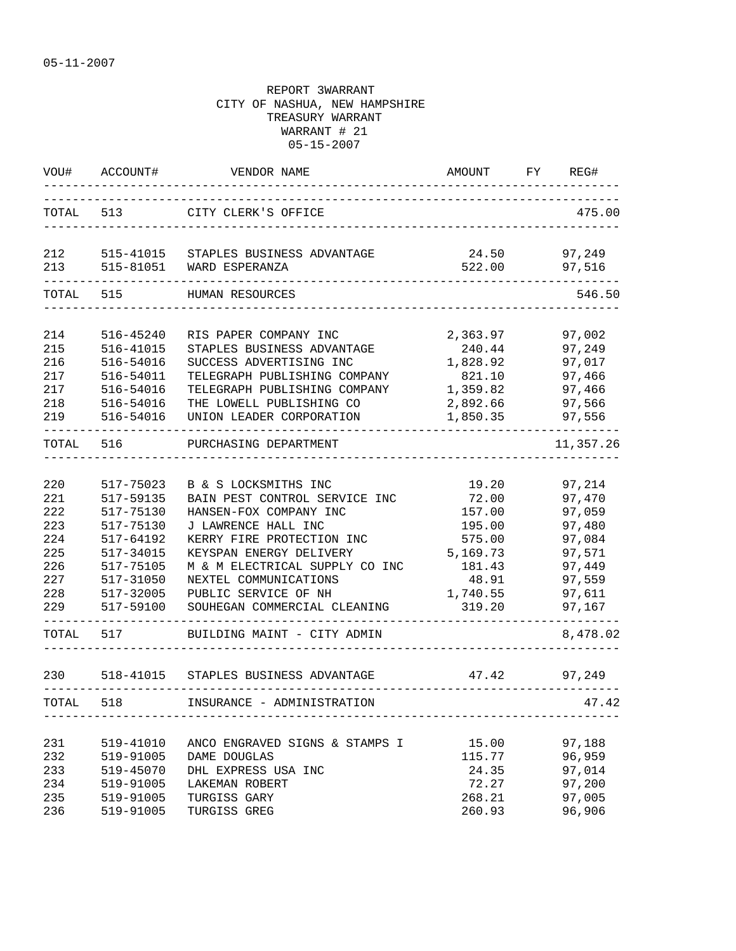| WOU#       | ACCOUNT#  | VENDOR NAME                                            | AMOUNT                        | FY | REG#             |
|------------|-----------|--------------------------------------------------------|-------------------------------|----|------------------|
| TOTAL 513  |           | CITY CLERK'S OFFICE                                    |                               |    | 475.00           |
| 212<br>213 | 515-81051 | 515-41015 STAPLES BUSINESS ADVANTAGE<br>WARD ESPERANZA | 24.50<br>522.00               |    | 97,249<br>97,516 |
| TOTAL      | 515       | HUMAN RESOURCES                                        | _____________________________ |    | 546.50           |
| 214        | 516-45240 | RIS PAPER COMPANY INC                                  | 2,363.97                      |    | 97,002           |
| 215        | 516-41015 | STAPLES BUSINESS ADVANTAGE                             | 240.44                        |    | 97,249           |
| 216        | 516-54016 | SUCCESS ADVERTISING INC                                | 1,828.92                      |    | 97,017           |
| 217        | 516-54011 | TELEGRAPH PUBLISHING COMPANY                           | 821.10                        |    | 97,466           |
| 217        | 516-54016 | TELEGRAPH PUBLISHING COMPANY                           | 1,359.82                      |    | 97,466           |
| 218        | 516-54016 | THE LOWELL PUBLISHING CO                               | 2,892.66                      |    | 97,566           |
| 219        | 516-54016 | UNION LEADER CORPORATION                               | 1,850.35                      |    | 97,556           |
| TOTAL      | 516       | PURCHASING DEPARTMENT                                  |                               |    | 11,357.26        |
| 220        | 517-75023 | B & S LOCKSMITHS INC                                   | 19.20                         |    | 97,214           |
| 221        | 517-59135 | BAIN PEST CONTROL SERVICE INC                          | 72.00                         |    | 97,470           |
| 222        | 517-75130 | HANSEN-FOX COMPANY INC                                 | 157.00                        |    | 97,059           |
| 223        | 517-75130 | J LAWRENCE HALL INC                                    | 195.00                        |    | 97,480           |
| 224        | 517-64192 | KERRY FIRE PROTECTION INC                              | 575.00                        |    | 97,084           |
| 225        | 517-34015 | KEYSPAN ENERGY DELIVERY                                | 5,169.73                      |    | 97,571           |
| 226        | 517-75105 | M & M ELECTRICAL SUPPLY CO INC                         | 181.43                        |    | 97,449           |
| 227        | 517-31050 | NEXTEL COMMUNICATIONS                                  | 48.91                         |    | 97,559           |
| 228        | 517-32005 | PUBLIC SERVICE OF NH                                   | 1,740.55                      |    | 97,611           |
| 229        | 517-59100 | SOUHEGAN COMMERCIAL CLEANING                           | 319.20                        |    | 97,167           |
| TOTAL      | 517       | BUILDING MAINT - CITY ADMIN                            |                               |    | 8,478.02         |
| 230        |           | 518-41015 STAPLES BUSINESS ADVANTAGE                   | 47.42                         |    | 97,249           |
| TOTAL      | 518       | INSURANCE - ADMINISTRATION                             |                               |    | 47.42            |
|            |           |                                                        |                               |    |                  |
| 231        | 519-41010 | ANCO ENGRAVED SIGNS & STAMPS I                         | 15.00                         |    | 97,188           |
| 232        | 519-91005 | DAME DOUGLAS                                           | 115.77                        |    | 96,959           |
| 233        | 519-45070 | DHL EXPRESS USA INC                                    | 24.35                         |    | 97,014           |
| 234        | 519-91005 | LAKEMAN ROBERT                                         | 72.27                         |    | 97,200           |
| 235        | 519-91005 | TURGISS GARY                                           | 268.21                        |    | 97,005           |
| 236        | 519-91005 | TURGISS GREG                                           | 260.93                        |    | 96,906           |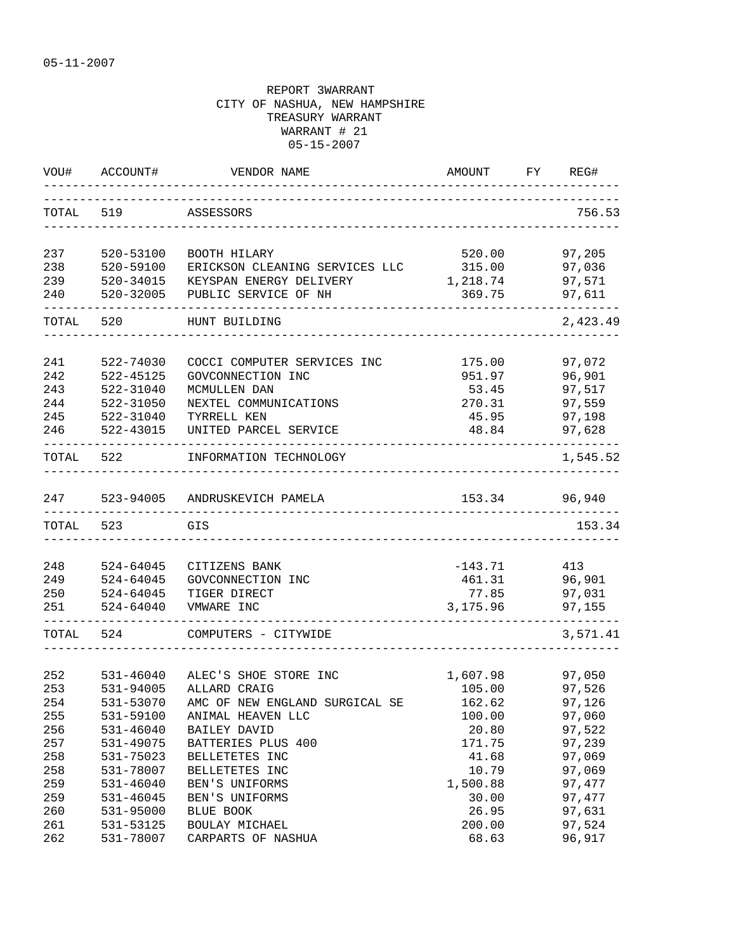| WOU#      | ACCOUNT#  | VENDOR NAME                    | AMOUNT    | FY | REG#          |
|-----------|-----------|--------------------------------|-----------|----|---------------|
| TOTAL     | 519       | ASSESSORS                      |           |    | 756.53        |
| 237       | 520-53100 | BOOTH HILARY                   | 520.00    |    | 97,205        |
| 238       | 520-59100 | ERICKSON CLEANING SERVICES LLC | 315.00    |    | 97,036        |
| 239       | 520-34015 | KEYSPAN ENERGY DELIVERY        | 1,218.74  |    | 97,571        |
| 240       | 520-32005 | PUBLIC SERVICE OF NH           | 369.75    |    | 97,611        |
| TOTAL     | 520       | HUNT BUILDING                  |           |    | 2,423.49      |
| 241       | 522-74030 | COCCI COMPUTER SERVICES INC    | 175.00    |    | 97,072        |
| 242       | 522-45125 | GOVCONNECTION INC              | 951.97    |    | 96,901        |
| 243       | 522-31040 | MCMULLEN DAN                   | 53.45     |    | 97,517        |
| 244       | 522-31050 | NEXTEL COMMUNICATIONS          | 270.31    |    | 97,559        |
| 245       | 522-31040 | TYRRELL KEN                    | 45.95     |    | 97,198        |
| 246       | 522-43015 | UNITED PARCEL SERVICE          | 48.84     |    | 97,628        |
| TOTAL     | 522       | INFORMATION TECHNOLOGY         |           |    | 1,545.52      |
| 247       |           | 523-94005 ANDRUSKEVICH PAMELA  |           |    | 153.34 96,940 |
| TOTAL     | 523       | GIS                            |           |    | 153.34        |
|           |           |                                |           |    |               |
| 248       | 524-64045 | CITIZENS BANK                  | $-143.71$ |    | 413           |
| 249       | 524-64045 | GOVCONNECTION INC              | 461.31    |    | 96,901        |
| 250       | 524-64045 | TIGER DIRECT                   | 77.85     |    | 97,031        |
| 251       | 524-64040 | VMWARE INC                     | 3,175.96  |    | 97,155        |
| TOTAL 524 |           | COMPUTERS - CITYWIDE           |           |    | 3,571.41      |
|           |           |                                |           |    |               |
| 252       | 531-46040 | ALEC'S SHOE STORE INC          | 1,607.98  |    | 97,050        |
| 253       | 531-94005 | ALLARD CRAIG                   | 105.00    |    | 97,526        |
| 254       | 531-53070 | AMC OF NEW ENGLAND SURGICAL SE | 162.62    |    | 97,126        |
| 255       | 531-59100 | ANIMAL HEAVEN LLC              | 100.00    |    | 97,060        |
| 256       | 531-46040 | BAILEY DAVID                   | 20.80     |    | 97,522        |
| 257       | 531-49075 | BATTERIES PLUS 400             | 171.75    |    | 97,239        |
| 258       | 531-75023 | BELLETETES INC                 | 41.68     |    | 97,069        |
| 258       | 531-78007 | BELLETETES INC                 | 10.79     |    | 97,069        |
| 259       | 531-46040 | BEN'S UNIFORMS                 | 1,500.88  |    | 97,477        |
| 259       | 531-46045 | BEN'S UNIFORMS                 | 30.00     |    | 97,477        |
| 260       | 531-95000 | BLUE BOOK                      | 26.95     |    | 97,631        |
| 261       | 531-53125 | BOULAY MICHAEL                 | 200.00    |    | 97,524        |
| 262       | 531-78007 | CARPARTS OF NASHUA             | 68.63     |    | 96,917        |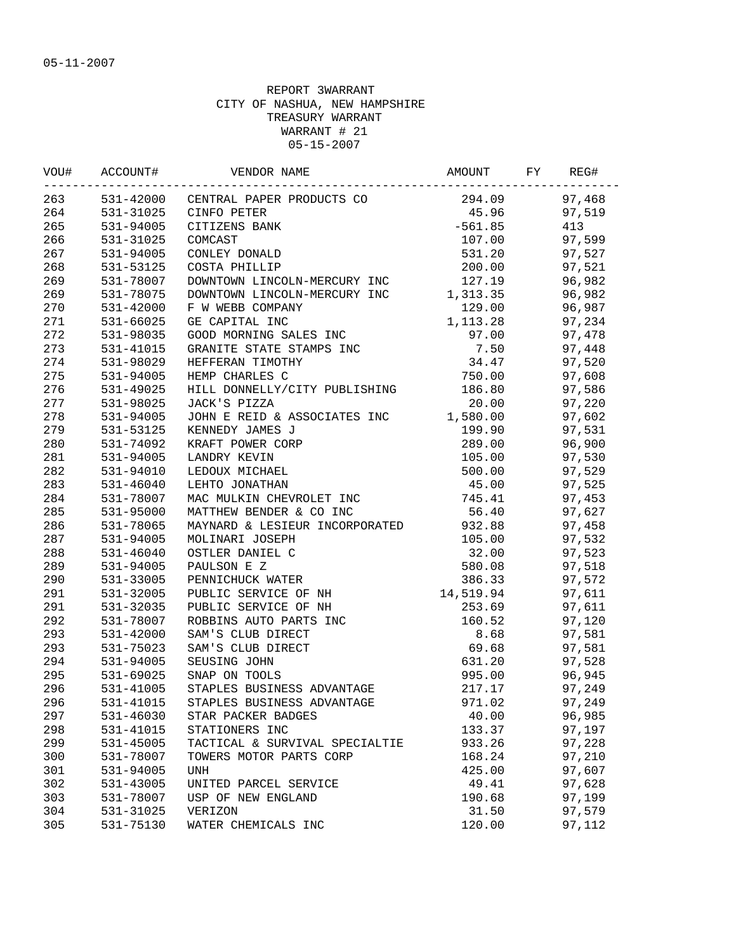| VOU# | ACCOUNT#      | VENDOR NAME                         | AMOUNT    | FY | REG#   |
|------|---------------|-------------------------------------|-----------|----|--------|
| 263  |               | 531-42000 CENTRAL PAPER PRODUCTS CO | 294.09    |    | 97,468 |
| 264  | 531-31025     | CINFO PETER                         | 45.96     |    | 97,519 |
| 265  | 531-94005     | CITIZENS BANK                       | $-561.85$ |    | 413    |
| 266  | 531-31025     | COMCAST                             | 107.00    |    | 97,599 |
| 267  | 531-94005     | CONLEY DONALD                       | 531.20    |    | 97,527 |
| 268  | 531-53125     | COSTA PHILLIP                       | 200.00    |    | 97,521 |
| 269  | 531-78007     | DOWNTOWN LINCOLN-MERCURY INC        | 127.19    |    | 96,982 |
| 269  | 531-78075     | DOWNTOWN LINCOLN-MERCURY INC        | 1,313.35  |    | 96,982 |
| 270  | 531-42000     | F W WEBB COMPANY                    | 129.00    |    | 96,987 |
| 271  | 531-66025     | GE CAPITAL INC                      | 1,113.28  |    | 97,234 |
| 272  | 531-98035     | GOOD MORNING SALES INC              | 97.00     |    | 97,478 |
| 273  | 531-41015     | GRANITE STATE STAMPS INC            | 7.50      |    | 97,448 |
| 274  | 531-98029     | HEFFERAN TIMOTHY                    | 34.47     |    | 97,520 |
| 275  | 531-94005     | HEMP CHARLES C                      | 750.00    |    | 97,608 |
| 276  | 531-49025     | HILL DONNELLY/CITY PUBLISHING       | 186.80    |    | 97,586 |
| 277  | 531-98025     | JACK'S PIZZA                        | 20.00     |    | 97,220 |
| 278  | 531-94005     | JOHN E REID & ASSOCIATES INC        | 1,580.00  |    | 97,602 |
| 279  | 531-53125     | KENNEDY JAMES J                     | 199.90    |    | 97,531 |
| 280  | 531-74092     | KRAFT POWER CORP                    | 289.00    |    | 96,900 |
| 281  | 531-94005     | LANDRY KEVIN                        | 105.00    |    | 97,530 |
| 282  | 531-94010     | LEDOUX MICHAEL                      | 500.00    |    | 97,529 |
| 283  | $531 - 46040$ | LEHTO JONATHAN                      | 45.00     |    | 97,525 |
| 284  | 531-78007     | MAC MULKIN CHEVROLET INC            | 745.41    |    | 97,453 |
| 285  | 531-95000     | MATTHEW BENDER & CO INC             | 56.40     |    | 97,627 |
| 286  | 531-78065     | MAYNARD & LESIEUR INCORPORATED      | 932.88    |    | 97,458 |
| 287  | 531-94005     | MOLINARI JOSEPH                     | 105.00    |    | 97,532 |
| 288  | 531-46040     | OSTLER DANIEL C                     | 32.00     |    | 97,523 |
| 289  | 531-94005     | PAULSON E Z                         | 580.08    |    | 97,518 |
| 290  | 531-33005     | PENNICHUCK WATER                    | 386.33    |    | 97,572 |
| 291  | 531-32005     | PUBLIC SERVICE OF NH                | 14,519.94 |    | 97,611 |
| 291  | 531-32035     | PUBLIC SERVICE OF NH                | 253.69    |    | 97,611 |
| 292  | 531-78007     | ROBBINS AUTO PARTS INC              | 160.52    |    | 97,120 |
| 293  | 531-42000     | SAM'S CLUB DIRECT                   | 8.68      |    | 97,581 |
| 293  | 531-75023     | SAM'S CLUB DIRECT                   | 69.68     |    | 97,581 |
| 294  | 531-94005     | SEUSING JOHN                        | 631.20    |    | 97,528 |
| 295  | 531-69025     | SNAP ON TOOLS                       | 995.00    |    | 96,945 |
| 296  | 531-41005     | STAPLES BUSINESS ADVANTAGE          | 217.17    |    | 97,249 |
| 296  | 531-41015     | STAPLES BUSINESS ADVANTAGE          | 971.02    |    | 97,249 |
| 297  | 531-46030     | STAR PACKER BADGES                  | 40.00     |    | 96,985 |
| 298  | 531-41015     | STATIONERS INC                      | 133.37    |    | 97,197 |
| 299  | 531-45005     | TACTICAL & SURVIVAL SPECIALTIE      | 933.26    |    | 97,228 |
| 300  | 531-78007     | TOWERS MOTOR PARTS CORP             | 168.24    |    | 97,210 |
| 301  | 531-94005     | <b>UNH</b>                          | 425.00    |    | 97,607 |
| 302  | 531-43005     | UNITED PARCEL SERVICE               | 49.41     |    | 97,628 |
| 303  | 531-78007     | USP OF NEW ENGLAND                  | 190.68    |    | 97,199 |
| 304  | 531-31025     | VERIZON                             | 31.50     |    | 97,579 |
| 305  | 531-75130     | WATER CHEMICALS INC                 | 120.00    |    | 97,112 |
|      |               |                                     |           |    |        |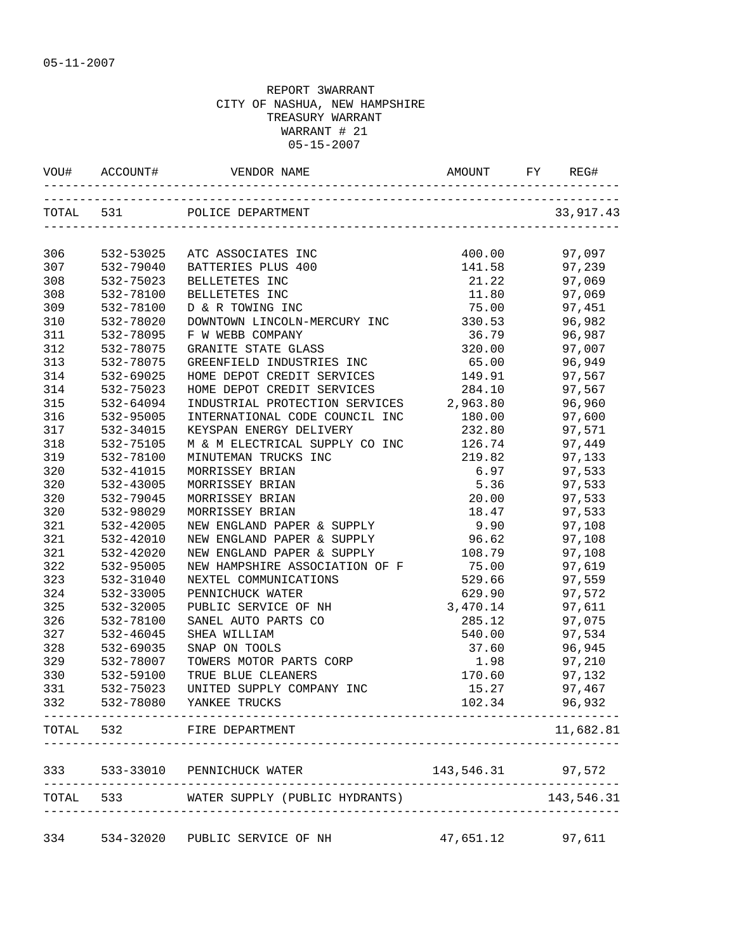|       |           | VOU# ACCOUNT# VENDOR NAME                                |                  | REG#              |
|-------|-----------|----------------------------------------------------------|------------------|-------------------|
|       |           | TOTAL 531 POLICE DEPARTMENT                              |                  | 33,917.43         |
| 306   |           | 532-53025 ATC ASSOCIATES INC                             |                  | 97,097            |
| 307   | 532-79040 | BATTERIES PLUS 400                                       | 400.00<br>141.58 | 97,239            |
| 308   | 532-75023 | BELLETETES INC                                           | 21.22            | 97,069            |
| 308   | 532-78100 | BELLETETES INC                                           |                  | 11.80 97,069      |
| 309   | 532-78100 | D & R TOWING INC                                         |                  | 75.00 97,451      |
| 310   | 532-78020 | DOWNTOWN LINCOLN-MERCURY INC 330.53 96,982               |                  |                   |
| 311   | 532-78095 | F W WEBB COMPANY                                         |                  | 36.79 96,987      |
| 312   | 532-78075 | GRANITE STATE GLASS                                      | 320.00           | 97,007            |
| 313   | 532-78075 | GREENFIELD INDUSTRIES INC                                | 65.00            | 96,949            |
| 314   | 532-69025 |                                                          | 149.91           | 97,567            |
| 314   | 532-75023 | HOME DEPOT CREDIT SERVICES<br>HOME DEPOT CREDIT SERVICES | 284.10           | 97,567            |
| 315   | 532-64094 | INDUSTRIAL PROTECTION SERVICES 2,963.80                  |                  | 96,960            |
| 316   | 532-95005 | INTERNATIONAL CODE COUNCIL INC                           | 180.00           | 97,600            |
| 317   | 532-34015 | KEYSPAN ENERGY DELIVERY                                  | 232.80           | 97,571            |
| 318   | 532-75105 | M & M ELECTRICAL SUPPLY CO INC                           | 126.74           | 97,449            |
| 319   | 532-78100 | MINUTEMAN TRUCKS INC                                     | 219.82           | 97,133            |
| 320   | 532-41015 | MORRISSEY BRIAN                                          | 6.97             | 97,533            |
| 320   | 532-43005 | MORRISSEY BRIAN                                          | 5.36             | 97,533            |
| 320   | 532-79045 | MORRISSEY BRIAN                                          | 20.00            | 97,533            |
| 320   | 532-98029 | MORRISSEY BRIAN                                          | 18.47            | 97,533            |
| 321   | 532-42005 | NEW ENGLAND PAPER & SUPPLY                               | 9.90             | 97,108            |
| 321   | 532-42010 | NEW ENGLAND PAPER & SUPPLY                               | 96.62            | 97,108            |
| 321   | 532-42020 | NEW ENGLAND PAPER & SUPPLY                               | 108.79 97,108    |                   |
| 322   | 532-95005 | NEW HAMPSHIRE ASSOCIATION OF F 75.00 97,619              |                  |                   |
| 323   | 532-31040 | NEXTEL COMMUNICATIONS                                    | 529.66           | 97,559            |
| 324   | 532-33005 | PENNICHUCK WATER                                         | 629.90           | 97,572            |
| 325   | 532-32005 | PUBLIC SERVICE OF NH                                     | 3,470.14         | 97,611            |
| 326   | 532-78100 | SANEL AUTO PARTS CO                                      | 285.12           | 97,075            |
| 327   | 532-46045 | SHEA WILLIAM                                             | 540.00           | 97,534            |
| 328   | 532-69035 | SNAP ON TOOLS                                            | 37.60            | 96,945            |
| 329   | 532-78007 | TOWERS MOTOR PARTS CORP                                  | 1.98             | 97,210            |
| 330   | 532-59100 | TRUE BLUE CLEANERS                                       |                  | 170.60 97,132     |
| 331   | 532-75023 | UNITED SUPPLY COMPANY INC                                |                  | 15.27 97,467      |
| 332   | 532-78080 | YANKEE TRUCKS                                            | 102.34           | 96,932            |
|       |           | TOTAL 532 FIRE DEPARTMENT                                |                  | 11,682.81         |
| 333   |           | 533-33010 PENNICHUCK WATER                               |                  | 143,546.31 97,572 |
| TOTAL |           | -----------------<br>533 WATER SUPPLY (PUBLIC HYDRANTS)  |                  | 143,546.31        |
| 334   |           | 534-32020 PUBLIC SERVICE OF NH                           |                  | 47,651.12 97,611  |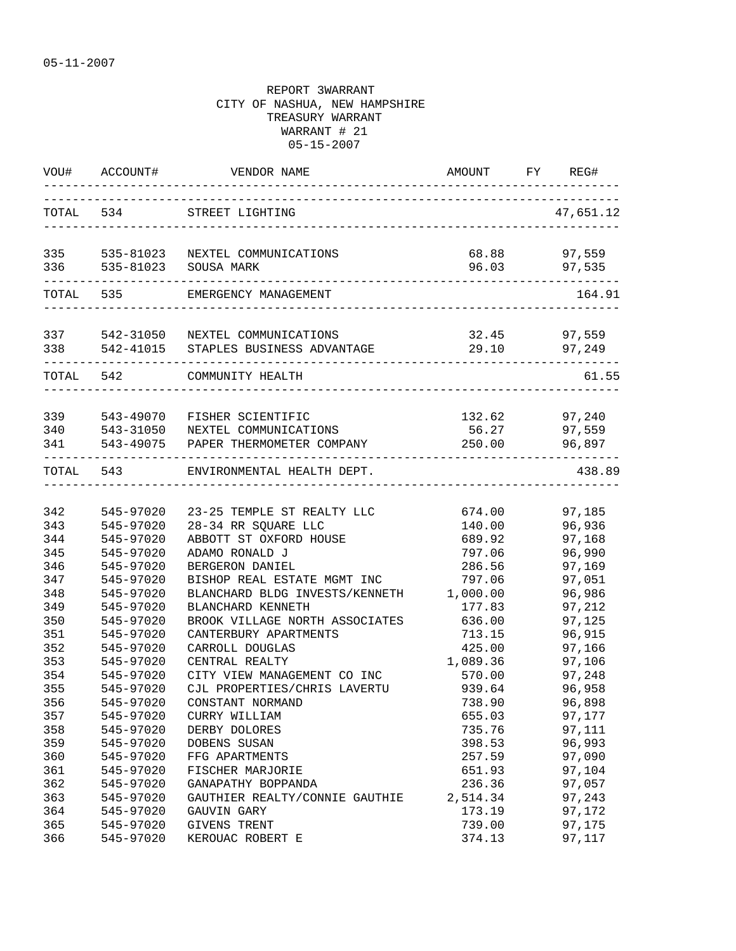| VOU#              | ACCOUNT#               | VENDOR NAME                                                                       | AMOUNT          | FY | REG#                              |
|-------------------|------------------------|-----------------------------------------------------------------------------------|-----------------|----|-----------------------------------|
|                   | TOTAL 534              | STREET LIGHTING                                                                   |                 |    | 47,651.12                         |
| 336               | 535-81023              | 335 535-81023 NEXTEL COMMUNICATIONS<br>SOUSA MARK                                 | 68.88<br>96.03  |    | 97,559<br>97,535                  |
|                   | TOTAL 535              | EMERGENCY MANAGEMENT                                                              |                 |    | 164.91                            |
| 338               |                        | 337 542-31050 NEXTEL COMMUNICATIONS<br>542-41015 STAPLES BUSINESS ADVANTAGE       | 32.45<br>29.10  |    | 97,559<br>97,249                  |
| TOTAL 542         |                        | COMMUNITY HEALTH                                                                  |                 |    | 61.55                             |
| 339<br>340<br>341 | 543-49070<br>543-31050 | FISHER SCIENTIFIC<br>NEXTEL COMMUNICATIONS<br>543-49075 PAPER THERMOMETER COMPANY | 56.27<br>250.00 |    | 132.62 97,240<br>97,559<br>96,897 |
| TOTAL             | 543                    | ---------------------------------<br>ENVIRONMENTAL HEALTH DEPT.                   |                 |    | 438.89                            |
| 342               | 545-97020              | 23-25 TEMPLE ST REALTY LLC                                                        | 674.00          |    | 97,185                            |
| 343               | 545-97020              | 28-34 RR SQUARE LLC                                                               | 140.00          |    | 96,936                            |
| 344               | 545-97020              | ABBOTT ST OXFORD HOUSE                                                            | 689.92          |    | 97,168                            |
| 345               | 545-97020              | ADAMO RONALD J                                                                    | 797.06          |    | 96,990                            |
| 346               | 545-97020              | BERGERON DANIEL                                                                   | 286.56          |    | 97,169                            |
| 347               | 545-97020              | BISHOP REAL ESTATE MGMT INC                                                       | 797.06          |    | 97,051                            |
| 348               | 545-97020              | BLANCHARD BLDG INVESTS/KENNETH                                                    | 1,000.00        |    | 96,986                            |
| 349               | 545-97020              | BLANCHARD KENNETH                                                                 | 177.83          |    | 97,212                            |
| 350               | 545-97020              | BROOK VILLAGE NORTH ASSOCIATES                                                    | 636.00          |    | 97,125                            |
| 351               | 545-97020              | CANTERBURY APARTMENTS                                                             | 713.15          |    | 96,915                            |
| 352               | 545-97020              | CARROLL DOUGLAS                                                                   | 425.00          |    | 97,166                            |
| 353               | 545-97020              | CENTRAL REALTY                                                                    | 1,089.36        |    | 97,106                            |
| 354               | 545-97020              | CITY VIEW MANAGEMENT CO INC                                                       | 570.00          |    | 97,248                            |
| 355               | 545-97020              | CJL PROPERTIES/CHRIS LAVERTU                                                      | 939.64          |    | 96,958                            |
| 356               | 545-97020              | CONSTANT NORMAND                                                                  | 738.90          |    | 96,898                            |
| 357               | 545-97020              | CURRY WILLIAM                                                                     | 655.03          |    | 97,177                            |
| 358               | 545-97020              | DERBY DOLORES                                                                     | 735.76          |    | 97,111                            |
| 359               | 545-97020              | DOBENS SUSAN                                                                      | 398.53          |    | 96,993                            |
| 360               | 545-97020              | FFG APARTMENTS                                                                    | 257.59          |    | 97,090                            |
| 361               | 545-97020              | FISCHER MARJORIE                                                                  | 651.93          |    | 97,104                            |
| 362               | 545-97020              | GANAPATHY BOPPANDA                                                                | 236.36          |    | 97,057                            |
| 363               | 545-97020              | GAUTHIER REALTY/CONNIE GAUTHIE                                                    | 2,514.34        |    | 97,243                            |
| 364               | 545-97020              | GAUVIN GARY                                                                       | 173.19          |    | 97,172                            |
| 365               | 545-97020              | GIVENS TRENT                                                                      | 739.00          |    | 97,175                            |
| 366               | 545-97020              | KEROUAC ROBERT E                                                                  | 374.13          |    | 97,117                            |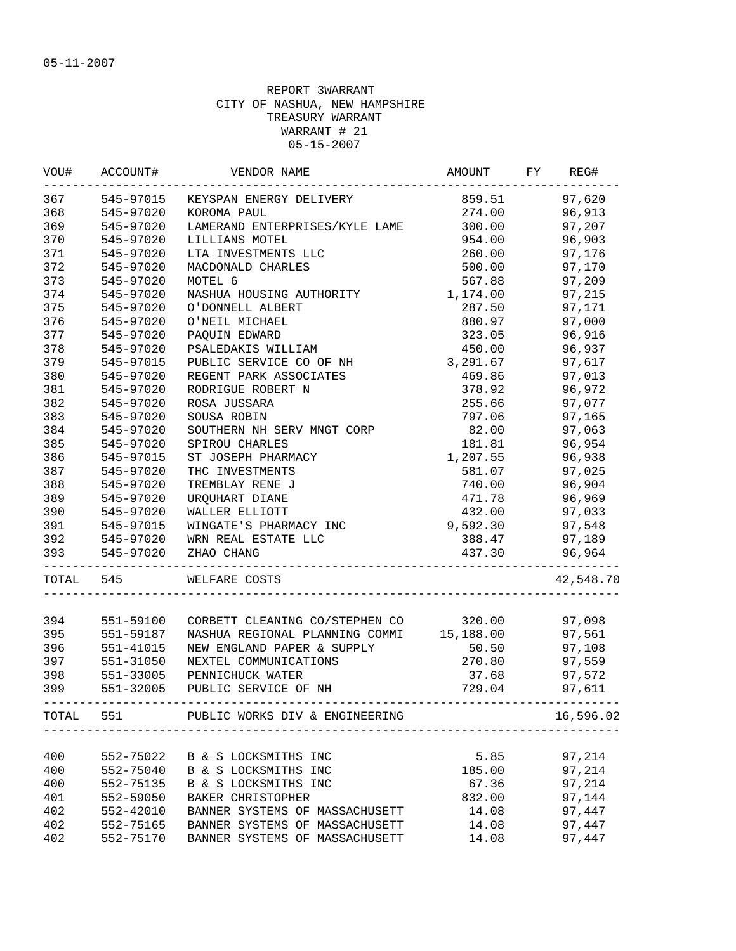| VOU#       | ACCOUNT#  | VENDOR NAME                              | AMOUNT          | FY | REG#             |
|------------|-----------|------------------------------------------|-----------------|----|------------------|
| 367        | 545-97015 | KEYSPAN ENERGY DELIVERY                  | 859.51          |    | 97,620           |
| 368        | 545-97020 | KOROMA PAUL                              | 274.00          |    | 96,913           |
| 369        | 545-97020 | LAMERAND ENTERPRISES/KYLE LAME           | 300.00          |    | 97,207           |
| 370        | 545-97020 | LILLIANS MOTEL                           | 954.00          |    | 96,903           |
| 371        | 545-97020 | LTA INVESTMENTS LLC                      | 260.00          |    | 97,176           |
| 372        | 545-97020 | MACDONALD CHARLES                        | 500.00          |    | 97,170           |
| 373        | 545-97020 | MOTEL 6                                  | 567.88          |    | 97,209           |
| 374        | 545-97020 | NASHUA HOUSING AUTHORITY                 | 1,174.00        |    | 97,215           |
| 375        | 545-97020 | O'DONNELL ALBERT                         | 287.50          |    | 97,171           |
| 376        | 545-97020 | O'NEIL MICHAEL                           | 880.97          |    | 97,000           |
| 377        | 545-97020 | PAQUIN EDWARD                            | 323.05          |    | 96,916           |
| 378        | 545-97020 | PSALEDAKIS WILLIAM                       | 450.00          |    | 96,937           |
| 379        | 545-97015 | PUBLIC SERVICE CO OF NH                  | 3,291.67        |    | 97,617           |
| 380        | 545-97020 | REGENT PARK ASSOCIATES                   | 469.86          |    | 97,013           |
| 381        | 545-97020 | RODRIGUE ROBERT N                        | 378.92          |    | 96,972           |
| 382        | 545-97020 | ROSA JUSSARA                             | 255.66          |    | 97,077           |
| 383        | 545-97020 | SOUSA ROBIN                              | 797.06          |    | 97,165           |
| 384        | 545-97020 | SOUTHERN NH SERV MNGT CORP               | 82.00           |    | 97,063           |
| 385        | 545-97020 | SPIROU CHARLES                           | 181.81          |    | 96,954           |
| 386        | 545-97015 | ST JOSEPH PHARMACY                       | 1,207.55        |    | 96,938           |
| 387        | 545-97020 | THC INVESTMENTS                          | 581.07          |    | 97,025           |
| 388        | 545-97020 | TREMBLAY RENE J                          | 740.00          |    | 96,904           |
| 389        | 545-97020 | URQUHART DIANE                           | 471.78          |    | 96,969           |
| 390        | 545-97020 | WALLER ELLIOTT                           | 432.00          |    | 97,033           |
| 391        | 545-97015 | WINGATE'S PHARMACY INC                   | 9,592.30        |    | 97,548           |
| 392        | 545-97020 | WRN REAL ESTATE LLC                      | 388.47          |    | 97,189           |
| 393        | 545-97020 | ZHAO CHANG                               | 437.30          |    | 96,964           |
| TOTAL 545  |           | WELFARE COSTS                            |                 |    | 42,548.70        |
|            |           | CORBETT CLEANING CO/STEPHEN CO           |                 |    |                  |
| 394        | 551-59100 |                                          | 320.00          |    | 97,098           |
| 395        | 551-59187 | NASHUA REGIONAL PLANNING COMMI 15,188.00 |                 |    | 97,561           |
| 396        | 551-41015 | NEW ENGLAND PAPER & SUPPLY               | 50.50           |    | 97,108           |
| 397        | 551-31050 | NEXTEL COMMUNICATIONS                    | 270.80          |    | 97,559           |
| 398        | 551-33005 | PENNICHUCK WATER                         | 37.68           |    | 97,572           |
| 399        | 551-32005 | PUBLIC SERVICE OF NH                     | 729.04          |    | 97,611           |
| TOTAL      | 551       | PUBLIC WORKS DIV & ENGINEERING           |                 |    | 16,596.02        |
|            |           |                                          |                 |    |                  |
| 400<br>400 | 552-75022 | B & S LOCKSMITHS INC                     | 5.85            |    | 97,214<br>97,214 |
|            | 552-75040 | B & S LOCKSMITHS INC                     | 185.00<br>67.36 |    |                  |
| 400        | 552-75135 | B & S LOCKSMITHS INC                     |                 |    | 97,214           |
| 401        | 552-59050 | <b>BAKER CHRISTOPHER</b>                 | 832.00          |    | 97,144           |
| 402        | 552-42010 | BANNER SYSTEMS OF MASSACHUSETT           | 14.08           |    | 97,447           |
| 402        | 552-75165 | BANNER SYSTEMS OF MASSACHUSETT           | 14.08           |    | 97,447           |
| 402        | 552-75170 | BANNER SYSTEMS OF MASSACHUSETT           | 14.08           |    | 97,447           |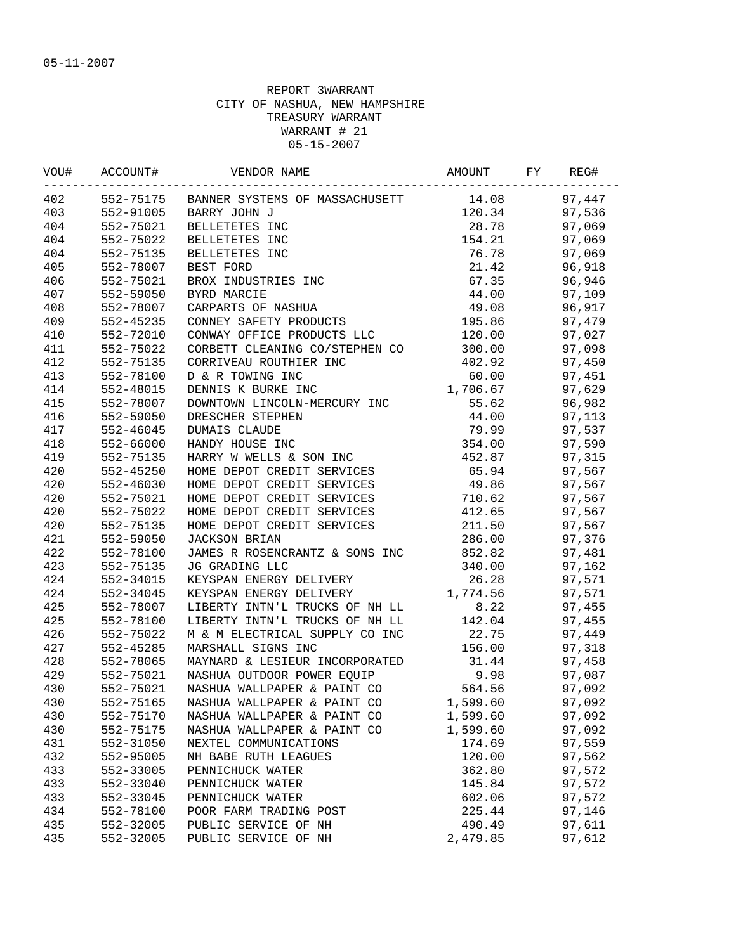|     | VOU# ACCOUNT# | VENDOR NAME<br>_____________________________________                               |                 | REG#          |
|-----|---------------|------------------------------------------------------------------------------------|-----------------|---------------|
| 402 |               | 552-75175 BANNER SYSTEMS OF MASSACHUSETT 14.08                                     |                 | 97,447        |
| 403 |               | 552-91005 BARRY JOHN J                                                             |                 | 120.34 97,536 |
| 404 |               | 552-75021 BELLETETES INC                                                           |                 | 28.78 97,069  |
| 404 | 552-75022     | BELLETETES INC                                                                     |                 | 154.21 97,069 |
| 404 | 552-75135     | BELLETETES INC                                                                     |                 | 76.78 97,069  |
| 405 | 552-78007     | BEST FORD                                                                          | 21.42           | 96,918        |
| 406 | 552-75021     | BROX INDUSTRIES INC                                                                | 67.35           | 96,946        |
| 407 | 552-59050     | BYRD MARCIE                                                                        | 44.00           | 97,109        |
| 408 | 552-78007     | CARPARTS OF NASHUA                                                                 | 49.08           | 96,917        |
| 409 | 552-45235     | CONNEY SAFETY PRODUCTS                                                             | 195.86          | 97,479        |
| 410 | 552-72010     | CONWAY OFFICE PRODUCTS LLC                                                         | 120.00          | 97,027        |
| 411 | 552-75022     | CORBETT CLEANING CO/STEPHEN CO                                                     | 300.00          | 97,098        |
| 412 | 552-75135     | CORRIVEAU ROUTHIER INC                                                             | 402.92          | 97,450        |
| 413 | 552-78100     | D & R TOWING INC                                                                   | 60.00           | 97,451        |
| 414 | 552-48015     | D & R TOWING INC<br>DENNIS K BURKE INC                                             | 1,706.67        | 97,629        |
| 415 | 552-78007     | DOWNTOWN LINCOLN-MERCURY INC                                                       | 55.62           | 96,982        |
| 416 | 552-59050     | DRESCHER STEPHEN                                                                   | 44.00           | 97,113        |
| 417 | 552-46045     | DUMAIS CLAUDE                                                                      | 79.99           | 97,537        |
| 418 | 552-66000     | HANDY HOUSE INC                                                                    | 354.00          | 97,590        |
| 419 | 552-75135     | HARRY W WELLS & SON INC                                                            | 452.87          | 97,315        |
| 420 | 552-45250     | HOME DEPOT CREDIT SERVICES                                                         |                 | 65.94 97,567  |
| 420 | 552-46030     | HOME DEPOT CREDIT SERVICES                                                         |                 | 49.86 97,567  |
| 420 | 552-75021     | HOME DEPOT CREDIT SERVICES                                                         | 710.62          | 97,567        |
| 420 | 552-75022     | HOME DEPOT CREDIT SERVICES                                                         | 412.65          | 97,567        |
| 420 | 552-75135     | HOME DEPOT CREDIT SERVICES                                                         | 211.50          | 97,567        |
| 421 | 552-59050     | <b>JACKSON BRIAN</b>                                                               | 286.00          | 97,376        |
| 422 | 552-78100     | JAMES R ROSENCRANTZ & SONS INC                                                     | 852.82          | 97,481        |
| 423 | 552-75135     | JG GRADING LLC                                                                     | 340.00          | 97,162        |
| 424 | 552-34015     | KEYSPAN ENERGY DELIVERY                                                            | 26.28           | 97,571        |
| 424 | 552-34045     | KEYSPAN ENERGY DELIVERY                                                            | 1,774.56        | 97,571        |
| 425 | 552-78007     | LIBERTY INTN'L TRUCKS OF NH LL 8.22                                                |                 | 97,455        |
| 425 | 552-78100     | LIBERTY INTN'L TRUCKS OF NH LL 142.04                                              |                 | 97,455        |
| 426 | 552-75022     | M & M ELECTRICAL SUPPLY CO INC 22.75                                               |                 | 97,449        |
| 427 | 552-45285     |                                                                                    | 156.00          | 97,318        |
| 428 | 552-78065     | MARSHALL SIGNS INC<br>MAYNARD & LESIEUR INCORPORATED<br>NASHUA OUTDOOR POWER EQUIP |                 | 97,458        |
| 429 | 552-75021     |                                                                                    | $31.44$<br>9.98 | 97,087        |
| 430 | 552-75021     | NASHUA WALLPAPER & PAINT CO                                                        | 564.56          | 97,092        |
| 430 | 552-75165     | NASHUA WALLPAPER & PAINT CO                                                        | 1,599.60        | 97,092        |
| 430 | 552-75170     | NASHUA WALLPAPER & PAINT CO                                                        | 1,599.60        | 97,092        |
| 430 | 552-75175     | NASHUA WALLPAPER & PAINT CO                                                        | 1,599.60        | 97,092        |
| 431 | 552-31050     | NEXTEL COMMUNICATIONS                                                              | 174.69          | 97,559        |
| 432 | 552-95005     | NH BABE RUTH LEAGUES                                                               | 120.00          | 97,562        |
| 433 | 552-33005     | PENNICHUCK WATER                                                                   | 362.80          | 97,572        |
| 433 | 552-33040     | PENNICHUCK WATER                                                                   | 145.84          | 97,572        |
| 433 | 552-33045     | PENNICHUCK WATER                                                                   | 602.06          | 97,572        |
| 434 | 552-78100     | POOR FARM TRADING POST                                                             | 225.44          | 97,146        |
| 435 | 552-32005     | PUBLIC SERVICE OF NH                                                               | 490.49          | 97,611        |
| 435 | 552-32005     | PUBLIC SERVICE OF NH                                                               | 2,479.85        | 97,612        |
|     |               |                                                                                    |                 |               |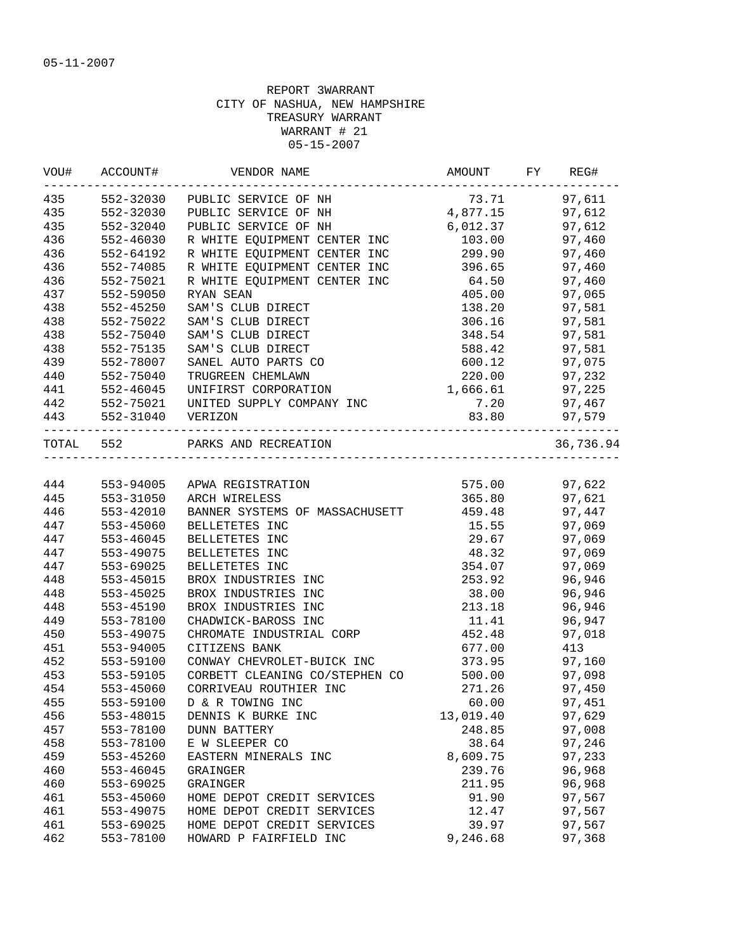| VOU# | ACCOUNT#                             | VENDOR NAME                                              | AMOUNT    | FY | REG#      |
|------|--------------------------------------|----------------------------------------------------------|-----------|----|-----------|
| 435  | 552-32030                            | PUBLIC SERVICE OF NH                                     | 73.71     |    | 97,611    |
| 435  | 552-32030                            | PUBLIC SERVICE OF NH                                     | 4,877.15  |    | 97,612    |
| 435  | 552-32040                            | PUBLIC SERVICE OF NH                                     | 6,012.37  |    | 97,612    |
| 436  | 552-46030                            | R WHITE EQUIPMENT CENTER INC                             | 103.00    |    | 97,460    |
| 436  | 552-64192                            | R WHITE EQUIPMENT CENTER INC                             | 299.90    |    | 97,460    |
| 436  | 552-74085                            | R WHITE EQUIPMENT CENTER INC                             | 396.65    |    | 97,460    |
| 436  | 552-75021                            | R WHITE EQUIPMENT CENTER INC                             | 64.50     |    | 97,460    |
| 437  | 552-59050                            | RYAN SEAN                                                | 405.00    |    | 97,065    |
| 438  | 552-45250                            | SAM'S CLUB DIRECT                                        | 138.20    |    | 97,581    |
| 438  | 552-75022                            | SAM'S CLUB DIRECT                                        | 306.16    |    | 97,581    |
| 438  | 552-75040                            | SAM'S CLUB DIRECT                                        | 348.54    |    | 97,581    |
| 438  | 552-75135                            | SAM'S CLUB DIRECT                                        | 588.42    |    | 97,581    |
| 439  | 552-78007                            | SANEL AUTO PARTS CO                                      | 600.12    |    | 97,075    |
| 440  | 552-75040                            | TRUGREEN CHEMLAWN                                        | 220.00    |    | 97,232    |
| 441  | 552-46045                            | UNIFIRST CORPORATION                                     | 1,666.61  |    | 97,225    |
|      |                                      | 442 552-75021 UNITED SUPPLY COMPANY INC                  | 7.20      |    | 97,467    |
|      | 443 552-31040                        | VERIZON                                                  | 83.80     |    | 97,579    |
|      | -----------------------<br>TOTAL 552 | --------------------------------<br>PARKS AND RECREATION |           |    | 36,736.94 |
|      |                                      |                                                          |           |    |           |
| 444  |                                      | 553-94005 APWA REGISTRATION                              | 575.00    |    | 97,622    |
| 445  | 553-31050                            | ARCH WIRELESS                                            | 365.80    |    | 97,621    |
| 446  | 553-42010                            | BANNER SYSTEMS OF MASSACHUSETT                           | 459.48    |    | 97,447    |
| 447  | 553-45060                            | BELLETETES INC                                           | 15.55     |    | 97,069    |
| 447  | 553-46045                            | BELLETETES INC                                           | 29.67     |    | 97,069    |
| 447  | 553-49075                            | BELLETETES INC                                           | 48.32     |    | 97,069    |
| 447  | 553-69025                            | BELLETETES INC                                           | 354.07    |    | 97,069    |
| 448  | 553-45015                            | BROX INDUSTRIES INC                                      | 253.92    |    | 96,946    |
| 448  | 553-45025                            | BROX INDUSTRIES INC                                      | 38.00     |    | 96,946    |
| 448  | 553-45190                            | BROX INDUSTRIES INC                                      | 213.18    |    | 96,946    |
| 449  | 553-78100                            | CHADWICK-BAROSS INC                                      | 11.41     |    | 96,947    |
| 450  | 553-49075                            | CHROMATE INDUSTRIAL CORP                                 | 452.48    |    | 97,018    |
| 451  | 553-94005                            | CITIZENS BANK                                            | 677.00    |    | 413       |
| 452  | 553-59100                            | CONWAY CHEVROLET-BUICK INC                               | 373.95    |    | 97,160    |
| 453  | 553-59105                            | CORBETT CLEANING CO/STEPHEN CO                           | 500.00    |    | 97,098    |
| 454  | 553-45060                            | CORRIVEAU ROUTHIER INC                                   | 271.26    |    | 97,450    |
| 455  | 553-59100                            | D & R TOWING INC                                         | 60.00     |    | 97,451    |
| 456  | 553-48015                            | DENNIS K BURKE INC                                       | 13,019.40 |    | 97,629    |
| 457  | 553-78100                            | <b>DUNN BATTERY</b>                                      | 248.85    |    | 97,008    |
| 458  | 553-78100                            | E W SLEEPER CO                                           | 38.64     |    | 97,246    |
| 459  | 553-45260                            | EASTERN MINERALS INC                                     | 8,609.75  |    | 97,233    |
| 460  | 553-46045                            | GRAINGER                                                 | 239.76    |    | 96,968    |
| 460  | 553-69025                            | GRAINGER                                                 | 211.95    |    | 96,968    |
| 461  | 553-45060                            | HOME DEPOT CREDIT SERVICES                               | 91.90     |    | 97,567    |
| 461  | 553-49075                            | HOME DEPOT CREDIT SERVICES                               | 12.47     |    | 97,567    |
| 461  | 553-69025                            | HOME DEPOT CREDIT SERVICES                               | 39.97     |    | 97,567    |
| 462  | 553-78100                            | HOWARD P FAIRFIELD INC                                   | 9,246.68  |    | 97,368    |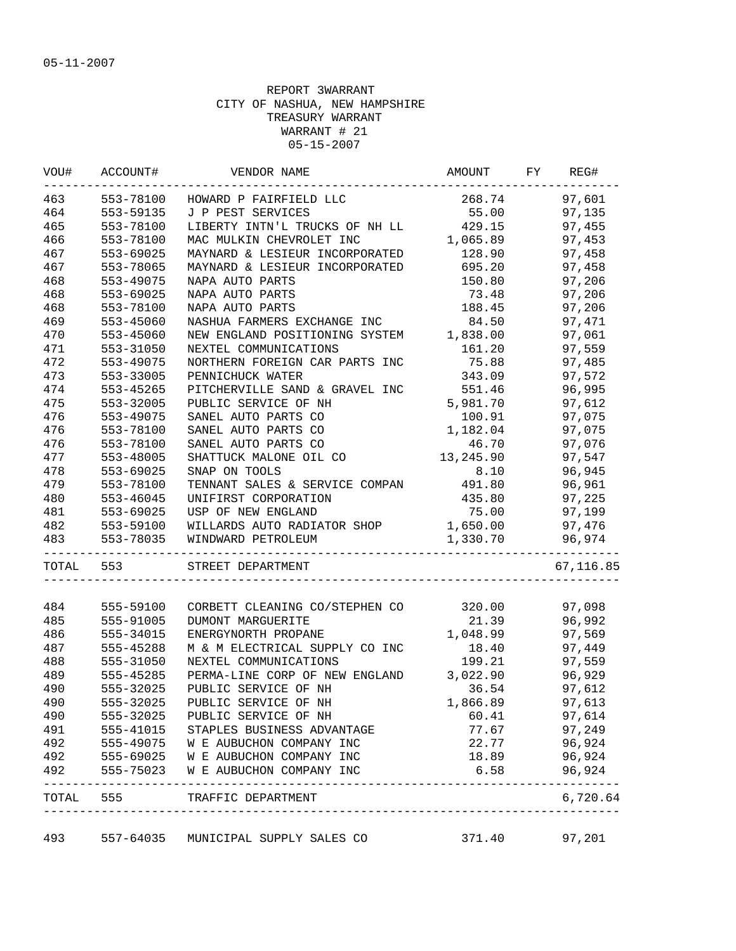| VOU#      | ACCOUNT#  | VENDOR NAME                    | AMOUNT    | FY | REG#      |
|-----------|-----------|--------------------------------|-----------|----|-----------|
| 463       | 553-78100 | HOWARD P FAIRFIELD LLC         | 268.74    |    | 97,601    |
| 464       | 553-59135 | J P PEST SERVICES              | 55.00     |    | 97,135    |
| 465       | 553-78100 | LIBERTY INTN'L TRUCKS OF NH LL | 429.15    |    | 97,455    |
| 466       | 553-78100 | MAC MULKIN CHEVROLET INC       | 1,065.89  |    | 97,453    |
| 467       | 553-69025 | MAYNARD & LESIEUR INCORPORATED | 128.90    |    | 97,458    |
| 467       | 553-78065 | MAYNARD & LESIEUR INCORPORATED | 695.20    |    | 97,458    |
| 468       | 553-49075 | NAPA AUTO PARTS                | 150.80    |    | 97,206    |
| 468       | 553-69025 | NAPA AUTO PARTS                | 73.48     |    | 97,206    |
| 468       | 553-78100 | NAPA AUTO PARTS                | 188.45    |    | 97,206    |
| 469       | 553-45060 | NASHUA FARMERS EXCHANGE INC    | 84.50     |    | 97,471    |
| 470       | 553-45060 | NEW ENGLAND POSITIONING SYSTEM | 1,838.00  |    | 97,061    |
| 471       | 553-31050 | NEXTEL COMMUNICATIONS          | 161.20    |    | 97,559    |
| 472       | 553-49075 | NORTHERN FOREIGN CAR PARTS INC | 75.88     |    | 97,485    |
| 473       | 553-33005 | PENNICHUCK WATER               | 343.09    |    | 97,572    |
| 474       | 553-45265 | PITCHERVILLE SAND & GRAVEL INC | 551.46    |    | 96,995    |
| 475       | 553-32005 | PUBLIC SERVICE OF NH           | 5,981.70  |    | 97,612    |
| 476       | 553-49075 | SANEL AUTO PARTS CO            | 100.91    |    | 97,075    |
| 476       | 553-78100 | SANEL AUTO PARTS CO            | 1,182.04  |    | 97,075    |
| 476       | 553-78100 | SANEL AUTO PARTS CO            | 46.70     |    | 97,076    |
| 477       | 553-48005 | SHATTUCK MALONE OIL CO         | 13,245.90 |    | 97,547    |
| 478       | 553-69025 | SNAP ON TOOLS                  | 8.10      |    | 96,945    |
| 479       | 553-78100 | TENNANT SALES & SERVICE COMPAN | 491.80    |    | 96,961    |
| 480       | 553-46045 | UNIFIRST CORPORATION           | 435.80    |    | 97,225    |
| 481       | 553-69025 | USP OF NEW ENGLAND             | 75.00     |    | 97,199    |
| 482       | 553-59100 | WILLARDS AUTO RADIATOR SHOP    | 1,650.00  |    | 97,476    |
| 483       | 553-78035 | WINDWARD PETROLEUM             | 1,330.70  |    | 96,974    |
| TOTAL 553 |           | STREET DEPARTMENT              |           |    | 67,116.85 |
|           |           |                                |           |    |           |
| 484       | 555-59100 | CORBETT CLEANING CO/STEPHEN CO | 320.00    |    | 97,098    |
| 485       | 555-91005 | DUMONT MARGUERITE              | 21.39     |    | 96,992    |
| 486       | 555-34015 | ENERGYNORTH PROPANE            | 1,048.99  |    | 97,569    |
| 487       | 555-45288 | M & M ELECTRICAL SUPPLY CO INC | 18.40     |    | 97,449    |
| 488       | 555-31050 | NEXTEL COMMUNICATIONS          | 199.21    |    | 97,559    |
| 489       | 555-45285 | PERMA-LINE CORP OF NEW ENGLAND | 3,022.90  |    | 96,929    |
| 490       | 555-32025 | PUBLIC SERVICE OF NH           | 36.54     |    | 97,612    |
| 490       | 555-32025 | PUBLIC SERVICE OF NH           | 1,866.89  |    | 97,613    |
| 490       | 555-32025 | PUBLIC SERVICE OF NH           | 60.41     |    | 97,614    |
| 491       | 555-41015 | STAPLES BUSINESS ADVANTAGE     | 77.67     |    | 97,249    |
| 492       | 555-49075 | W E AUBUCHON COMPANY INC       | 22.77     |    | 96,924    |
| 492       | 555-69025 | W E AUBUCHON COMPANY INC       | 18.89     |    | 96,924    |
| 492       | 555-75023 | W E AUBUCHON COMPANY INC       | 6.58      |    | 96,924    |
| TOTAL     | 555       | TRAFFIC DEPARTMENT             |           |    | 6,720.64  |

493 557-64035 MUNICIPAL SUPPLY SALES CO 371.40 97,201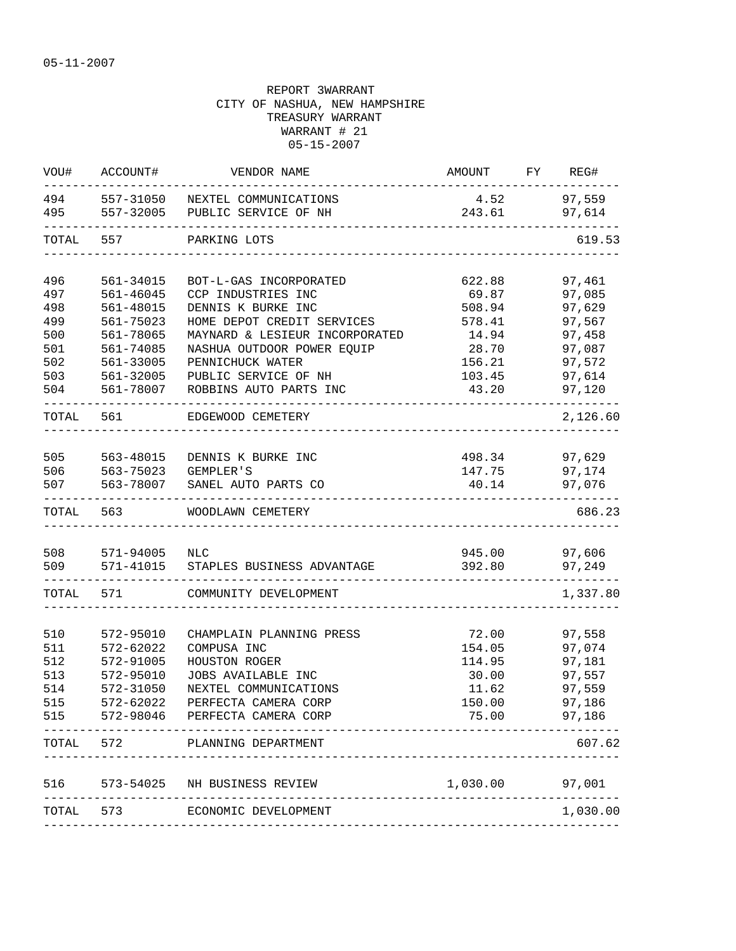| VOU#      | ACCOUNT#          | VENDOR NAME                                  | AMOUNT FY REG#  |                  |
|-----------|-------------------|----------------------------------------------|-----------------|------------------|
| 494       |                   | 557-31050 NEXTEL COMMUNICATIONS              |                 | 4.52 97,559      |
| 495       |                   | 557-32005 PUBLIC SERVICE OF NH               | 243.61          | 97,614           |
| TOTAL     | 557               | PARKING LOTS                                 |                 | 619.53           |
| 496       | 561-34015         |                                              | 622.88          |                  |
| 497       | 561-46045         | BOT-L-GAS INCORPORATED<br>CCP INDUSTRIES INC | 69.87           | 97,461<br>97,085 |
| 498       | 561-48015         | DENNIS K BURKE INC                           | 508.94          | 97,629           |
| 499       | 561-75023         | HOME DEPOT CREDIT SERVICES                   | 578.41          | 97,567           |
| 500       | 561-78065         | MAYNARD & LESIEUR INCORPORATED               | 14.94           | 97,458           |
| 501       | 561-74085         | NASHUA OUTDOOR POWER EQUIP                   | 28.70           | 97,087           |
| 502       | 561-33005         | PENNICHUCK WATER                             | 156.21          | 97,572           |
| 503       | 561-32005         | PUBLIC SERVICE OF NH                         | 103.45          | 97,614           |
| 504       | 561-78007         | ROBBINS AUTO PARTS INC                       | 43.20           | 97,120           |
| TOTAL 561 |                   | EDGEWOOD CEMETERY                            |                 | 2,126.60         |
|           |                   |                                              |                 |                  |
| 505       | 563-48015         | DENNIS K BURKE INC                           |                 | 498.34 97,629    |
| 506       |                   | 563-75023 GEMPLER'S                          | 147.75          | 97,174           |
| 507       | 563-78007         | SANEL AUTO PARTS CO                          | 40.14           | 97,076           |
| TOTAL     | 563               | WOODLAWN CEMETERY                            |                 | 686.23           |
|           |                   |                                              |                 |                  |
| 508       | 571-94005         | NLC                                          | 945.00          | 97,606           |
| 509       | ----------------- | 571-41015 STAPLES BUSINESS ADVANTAGE         | 392.80          | 97,249           |
| TOTAL     | 571               | COMMUNITY DEVELOPMENT                        |                 | 1,337.80         |
|           |                   |                                              |                 |                  |
| 510       | 572-95010         | CHAMPLAIN PLANNING PRESS                     | 72.00           | 97,558           |
| 511       | 572-62022         | COMPUSA INC                                  | 154.05          | 97,074           |
| 512       | 572-91005         | HOUSTON ROGER                                | 114.95          | 97,181           |
| 513       | 572-95010         | JOBS AVAILABLE INC                           | 30.00           | 97,557           |
| 514       | 572-31050         | NEXTEL COMMUNICATIONS                        | 11.62<br>150.00 | 97,559           |
| 515       | 572-62022         | PERFECTA CAMERA CORP                         |                 | 97,186           |
| 515       |                   | 572-98046 PERFECTA CAMERA CORP               | 75.00           | 97,186           |
| TOTAL     | 572               | PLANNING DEPARTMENT                          |                 | 607.62           |
| 516       |                   | 573-54025 NH BUSINESS REVIEW                 | 1,030.00 97,001 |                  |
|           |                   | TOTAL 573 ECONOMIC DEVELOPMENT               |                 | 1,030.00         |
|           |                   |                                              |                 |                  |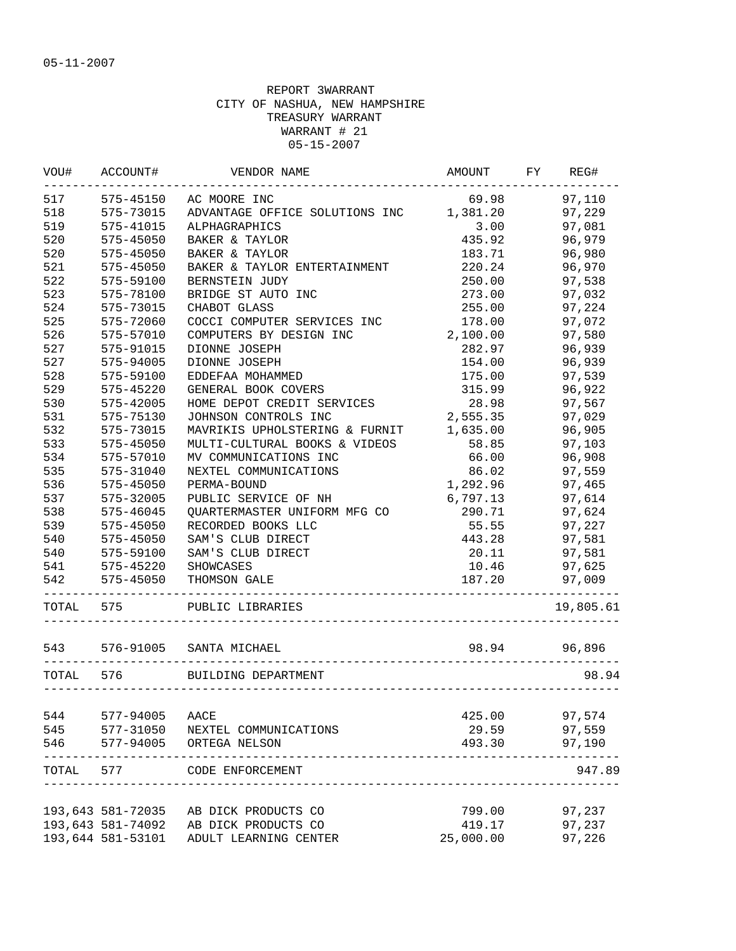| WOU#  | ACCOUNT#                               | VENDOR NAME                                               | AMOUNT    | FY | REG#      |
|-------|----------------------------------------|-----------------------------------------------------------|-----------|----|-----------|
| 517   | 575-45150                              | AC MOORE INC                                              | 69.98     |    | 97,110    |
| 518   | 575-73015                              | ADVANTAGE OFFICE SOLUTIONS INC                            | 1,381.20  |    | 97,229    |
| 519   | 575-41015                              | ALPHAGRAPHICS                                             | 3.00      |    | 97,081    |
| 520   | $575 - 45050$                          | BAKER & TAYLOR                                            | 435.92    |    | 96,979    |
| 520   | 575-45050                              | BAKER & TAYLOR                                            | 183.71    |    | 96,980    |
| 521   | 575-45050                              | BAKER & TAYLOR ENTERTAINMENT                              | 220.24    |    | 96,970    |
| 522   | 575-59100                              | BERNSTEIN JUDY                                            | 250.00    |    | 97,538    |
| 523   | 575-78100                              | BRIDGE ST AUTO INC                                        | 273.00    |    | 97,032    |
| 524   | 575-73015                              | CHABOT GLASS                                              | 255.00    |    | 97,224    |
| 525   | 575-72060                              | COCCI COMPUTER SERVICES INC                               | 178.00    |    | 97,072    |
| 526   | 575-57010                              | COMPUTERS BY DESIGN INC                                   | 2,100.00  |    | 97,580    |
| 527   | 575-91015                              | DIONNE JOSEPH                                             | 282.97    |    | 96,939    |
| 527   | 575-94005                              | DIONNE JOSEPH                                             | 154.00    |    | 96,939    |
| 528   | 575-59100                              | EDDEFAA MOHAMMED                                          | 175.00    |    | 97,539    |
| 529   | 575-45220                              | GENERAL BOOK COVERS                                       | 315.99    |    | 96,922    |
| 530   | 575-42005                              | HOME DEPOT CREDIT SERVICES                                | 28.98     |    | 97,567    |
| 531   | 575-75130                              | JOHNSON CONTROLS INC                                      | 2,555.35  |    | 97,029    |
| 532   | 575-73015                              | MAVRIKIS UPHOLSTERING & FURNIT                            | 1,635.00  |    | 96,905    |
| 533   | 575-45050                              | MULTI-CULTURAL BOOKS & VIDEOS                             | 58.85     |    | 97,103    |
| 534   | 575-57010                              | MV COMMUNICATIONS INC                                     | 66.00     |    | 96,908    |
| 535   | 575-31040                              | NEXTEL COMMUNICATIONS                                     | 86.02     |    | 97,559    |
| 536   | 575-45050                              | PERMA-BOUND                                               | 1,292.96  |    | 97,465    |
| 537   | 575-32005                              | PUBLIC SERVICE OF NH                                      | 6,797.13  |    | 97,614    |
| 538   | $575 - 46045$                          | QUARTERMASTER UNIFORM MFG CO                              | 290.71    |    | 97,624    |
| 539   | 575-45050                              | RECORDED BOOKS LLC                                        | 55.55     |    | 97,227    |
| 540   | 575-45050                              | SAM'S CLUB DIRECT                                         | 443.28    |    | 97,581    |
| 540   | 575-59100                              | SAM'S CLUB DIRECT                                         | 20.11     |    | 97,581    |
| 541   | 575-45220                              | SHOWCASES                                                 | 10.46     |    | 97,625    |
| 542   | 575-45050                              | THOMSON GALE                                              | 187.20    |    | 97,009    |
| TOTAL | 575                                    | _________________________________<br>PUBLIC LIBRARIES     |           |    | 19,805.61 |
| 543   | 576-91005                              | SANTA MICHAEL                                             | 98.94     |    | 96,896    |
| TOTAL | 576                                    | BUILDING DEPARTMENT                                       |           |    | 98.94     |
|       |                                        |                                                           |           |    |           |
| 544   | 577-94005                              | AACE                                                      | 425.00    |    | 97,574    |
| 545   | 577-31050                              | NEXTEL COMMUNICATIONS                                     | 29.59     |    | 97,559    |
| 546   | 577-94005                              | ORTEGA NELSON                                             | 493.30    |    | 97,190    |
| TOTAL | 577                                    | CODE ENFORCEMENT<br>------------------------------------- |           |    | 947.89    |
|       |                                        |                                                           |           |    |           |
|       | 193,643 581-72035<br>193,643 581-74092 | AB DICK PRODUCTS CO                                       | 799.00    |    | 97,237    |
|       |                                        | AB DICK PRODUCTS CO                                       | 419.17    |    | 97,237    |
|       | 193,644 581-53101                      | ADULT LEARNING CENTER                                     | 25,000.00 |    | 97,226    |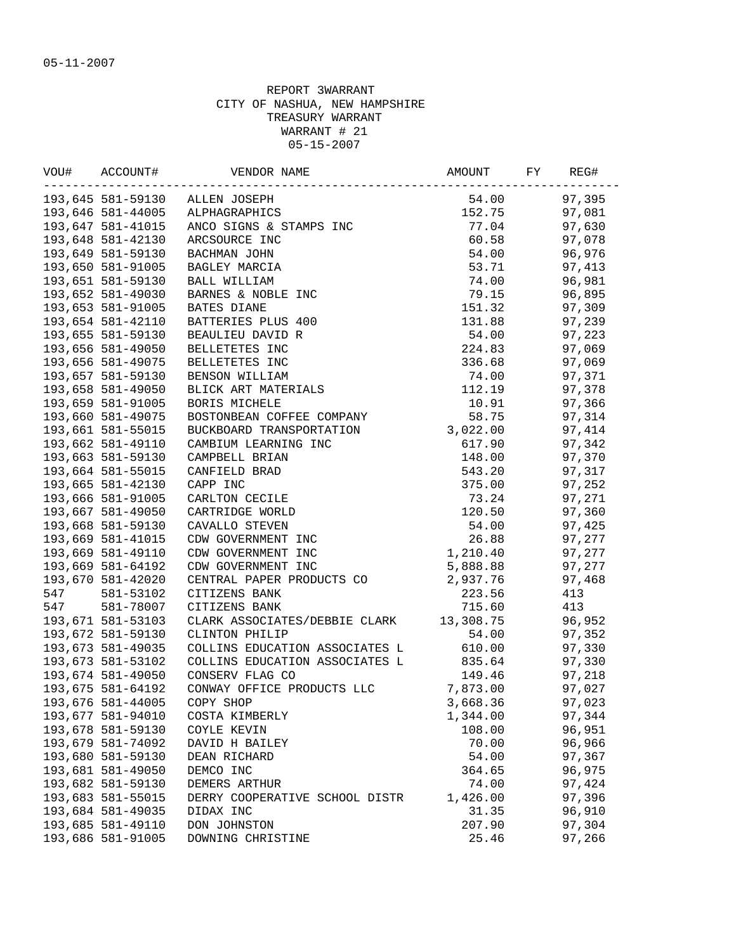|     | VOU# ACCOUNT#     | VENDOR NAME                             | AMOUNT FY           | REG#   |
|-----|-------------------|-----------------------------------------|---------------------|--------|
|     |                   | 193,645 581-59130 ALLEN JOSEPH          | 54.00               | 97,395 |
|     |                   | 193,646 581-44005 ALPHAGRAPHICS         |                     | 97,081 |
|     | 193,647 581-41015 |                                         |                     | 97,630 |
|     | 193,648 581-42130 |                                         |                     | 97,078 |
|     | 193,649 581-59130 |                                         |                     | 96,976 |
|     | 193,650 581-91005 |                                         |                     | 97,413 |
|     | 193,651 581-59130 |                                         |                     | 96,981 |
|     | 193,652 581-49030 |                                         |                     | 96,895 |
|     | 193,653 581-91005 |                                         |                     | 97,309 |
|     | 193,654 581-42110 |                                         |                     | 97,239 |
|     | 193,655 581-59130 |                                         |                     | 97,223 |
|     | 193,656 581-49050 |                                         |                     | 97,069 |
|     | 193,656 581-49075 |                                         |                     | 97,069 |
|     | 193,657 581-59130 |                                         |                     | 97,371 |
|     | 193,658 581-49050 |                                         |                     | 97,378 |
|     | 193,659 581-91005 | BORIS MICHELE                           | 10.91               | 97,366 |
|     | 193,660 581-49075 | BOSTONBEAN COFFEE COMPANY               | 58.75               | 97,314 |
|     | 193,661 581-55015 | BUCKBOARD TRANSPORTATION 3,022.00       |                     | 97,414 |
|     | 193,662 581-49110 | CAMBIUM LEARNING INC                    | 617.90              | 97,342 |
|     | 193,663 581-59130 | CAMPBELL BRIAN                          | 148.00              | 97,370 |
|     | 193,664 581-55015 | CANFIELD BRAD                           | 543.20              | 97,317 |
|     | 193,665 581-42130 | CAPP INC                                | 375.00              | 97,252 |
|     | 193,666 581-91005 | CARLTON CECILE                          | 73.24               | 97,271 |
|     | 193,667 581-49050 | CARTRIDGE WORLD                         | 120.50              | 97,360 |
|     | 193,668 581-59130 | CAVALLO STEVEN                          | 54.00               | 97,425 |
|     | 193,669 581-41015 | CDW GOVERNMENT INC                      | $26.88$<br>1,210.40 | 97,277 |
|     | 193,669 581-49110 | CDW GOVERNMENT INC                      |                     | 97,277 |
|     | 193,669 581-64192 | CDW GOVERNMENT INC                      | 5,888.88            | 97,277 |
|     | 193,670 581-42020 | CENTRAL PAPER PRODUCTS CO 2,937.76      |                     | 97,468 |
| 547 | 581-53102         | CITIZENS BANK                           | 223.56              | 413    |
| 547 | 581-78007         | CITIZENS BANK                           | 715.60              | 413    |
|     | 193,671 581-53103 | CLARK ASSOCIATES/DEBBIE CLARK 13,308.75 |                     | 96,952 |
|     | 193,672 581-59130 | CLINTON PHILIP                          | 54.00               | 97,352 |
|     | 193,673 581-49035 | COLLINS EDUCATION ASSOCIATES L 610.00   |                     | 97,330 |
|     | 193,673 581-53102 | COLLINS EDUCATION ASSOCIATES L 835.64   |                     | 97,330 |
|     | 193,674 581-49050 | CONSERV FLAG CO                         | 149.46              | 97,218 |
|     | 193,675 581-64192 | CONWAY OFFICE PRODUCTS LLC 7,873.00     |                     | 97,027 |
|     | 193,676 581-44005 | COPY SHOP                               | 3,668.36            | 97,023 |
|     | 193,677 581-94010 | COSTA KIMBERLY                          | 1,344.00            | 97,344 |
|     | 193,678 581-59130 | COYLE KEVIN                             | 108.00              | 96,951 |
|     | 193,679 581-74092 | DAVID H BAILEY                          | 70.00               | 96,966 |
|     | 193,680 581-59130 | DEAN RICHARD                            | 54.00               | 97,367 |
|     | 193,681 581-49050 | DEMCO INC                               | 364.65              | 96,975 |
|     | 193,682 581-59130 | DEMERS ARTHUR                           | 74.00               | 97,424 |
|     | 193,683 581-55015 | DERRY COOPERATIVE SCHOOL DISTR          | 1,426.00            | 97,396 |
|     | 193,684 581-49035 | DIDAX INC                               | 31.35               | 96,910 |
|     | 193,685 581-49110 | DON JOHNSTON                            | 207.90              | 97,304 |
|     | 193,686 581-91005 | DOWNING CHRISTINE                       | 25.46               | 97,266 |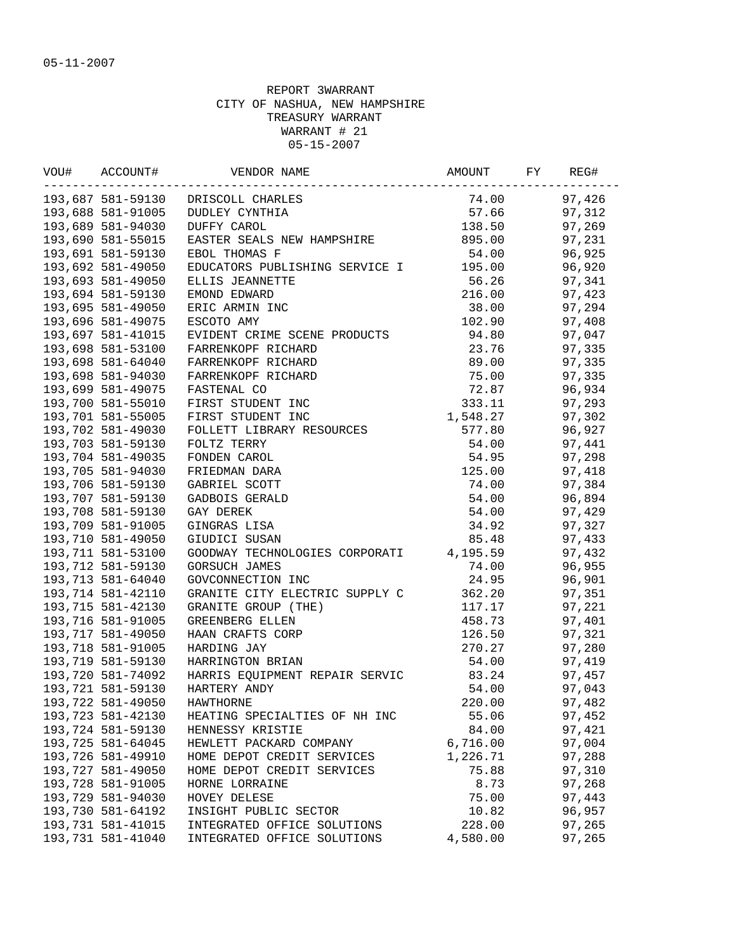| 193,687 581-59130 DRISCOLL CHARLES<br>74.00<br>97,426<br>$57.66$ $97,312$<br>$138.50$ $97,269$<br>193,688 581-91005<br>DUDLEY CYNTHIA<br>138.50 97,269<br>193,689 581-94030<br>DUFFY CAROL<br>EASTER SEALS NEW HAMPSHIRE 895.00<br>193,690 581-55015<br>97,231<br>193,691 581-59130<br>96,925<br>EBOL THOMAS F<br>54.00<br>EDUCATORS PUBLISHING SERVICE I 195.00<br>193,692 581-49050<br>96,920<br>56.26<br>193,693 581-49050<br>ELLIS JEANNETTE<br>97,341<br>216.00<br>193,694 581-59130<br>EMOND EDWARD<br>97,423<br>193,695 581-49050<br>38.00<br>97,294<br>ERIC ARMIN INC<br>193,696 581-49075<br>102.90<br>97,408<br>ESCOTO AMY<br>EVIDENT CRIME SCENE PRODUCTS 94.80<br>193,697 581-41015<br>97,047<br>193,698 581-53100<br>23.76<br>FARRENKOPF RICHARD<br>97,335<br>193,698 581-64040<br>FARRENKOPF RICHARD<br>89.00<br>97,335<br>75.00<br>193,698 581-94030<br>97,335<br>FARRENKOPF RICHARD<br>72.87<br>193,699 581-49075<br>96,934<br>FASTENAL CO<br>97,293<br>193,700 581-55010<br>FIRST STUDENT INC<br>333.11<br>1,548.27<br>193,701 581-55005<br>97,302<br>FIRST STUDENT INC<br>193,702 581-49030<br>FOLLETT LIBRARY RESOURCES<br>577.80<br>96,927<br>193,703 581-59130<br>97,441<br>FOLTZ TERRY<br>$54.00$<br>$54.95$<br>$125.00$<br>$74.00$<br>193,704 581-49035<br>97,298<br>FONDEN CAROL<br>193,705 581-94030<br>FRIEDMAN DARA<br>97,418<br>193,706 581-59130<br>GABRIEL SCOTT<br>97,384<br>193,707 581-59130<br>96,894<br>GADBOIS GERALD<br>193,708 581-59130<br>54.00<br>97,429<br>GAY DEREK<br>193,709 581-91005<br>97,327<br>GINGRAS LISA<br>34.92<br>193,710 581-49050<br>GIUDICI SUSAN<br>85.48<br>97,433<br>GOODWAY TECHNOLOGIES CORPORATI 4,195.59<br>193,711 581-53100<br>97,432<br>193,712 581-59130<br>74.00<br>96,955<br><b>GORSUCH JAMES</b><br>24.95<br>193,713 581-64040<br>96,901<br>GOVCONNECTION INC<br>GRANITE CITY ELECTRIC SUPPLY C 362.20<br>193,714 581-42110<br>97,351<br>97,221<br>193,715 581-42130<br>GRANITE GROUP (THE)<br>117.17<br>97,401<br>193,716 581-91005<br>GREENBERG ELLEN<br>458.73<br>193,717 581-49050<br>HAAN CRAFTS CORP<br>126.50<br>97,321<br>193,718 581-91005<br>270.27<br>97,280<br>HARDING JAY<br>193,719 581-59130<br>HARRINGTON BRIAN<br>54.00<br>97,419<br>83.24<br>HARRIS EQUIPMENT REPAIR SERVIC<br>193,720 581-74092<br>97,457<br>193,721 581-59130<br>54.00<br>97,043<br>HARTERY ANDY<br>193,722 581-49050<br>220.00<br>97,482<br>HAWTHORNE<br>193,723 581-42130<br>55.06<br>97,452<br>HEATING SPECIALTIES OF NH INC<br>193,724 581-59130<br>HENNESSY KRISTIE<br>84.00<br>97,421<br>193,725 581-64045<br>6,716.00<br>97,004<br>HEWLETT PACKARD COMPANY<br>193,726 581-49910<br>HOME DEPOT CREDIT SERVICES<br>1,226.71<br>97,288<br>193,727 581-49050<br>HOME DEPOT CREDIT SERVICES<br>75.88<br>97,310<br>193,728 581-91005<br>HORNE LORRAINE<br>8.73<br>97,268<br>193,729 581-94030<br>HOVEY DELESE<br>75.00<br>97,443<br>193,730 581-64192<br>10.82<br>96,957<br>INSIGHT PUBLIC SECTOR<br>193, 731 581-41015<br>INTEGRATED OFFICE SOLUTIONS<br>228.00<br>97,265<br>193,731 581-41040 |  |                             |          |        |
|---------------------------------------------------------------------------------------------------------------------------------------------------------------------------------------------------------------------------------------------------------------------------------------------------------------------------------------------------------------------------------------------------------------------------------------------------------------------------------------------------------------------------------------------------------------------------------------------------------------------------------------------------------------------------------------------------------------------------------------------------------------------------------------------------------------------------------------------------------------------------------------------------------------------------------------------------------------------------------------------------------------------------------------------------------------------------------------------------------------------------------------------------------------------------------------------------------------------------------------------------------------------------------------------------------------------------------------------------------------------------------------------------------------------------------------------------------------------------------------------------------------------------------------------------------------------------------------------------------------------------------------------------------------------------------------------------------------------------------------------------------------------------------------------------------------------------------------------------------------------------------------------------------------------------------------------------------------------------------------------------------------------------------------------------------------------------------------------------------------------------------------------------------------------------------------------------------------------------------------------------------------------------------------------------------------------------------------------------------------------------------------------------------------------------------------------------------------------------------------------------------------------------------------------------------------------------------------------------------------------------------------------------------------------------------------------------------------------------------------------------------------------------------------------------------------------------------------------------------------------------------------------------------------------------------------------------------------------------------------------------------------------------------------------------------------|--|-----------------------------|----------|--------|
|                                                                                                                                                                                                                                                                                                                                                                                                                                                                                                                                                                                                                                                                                                                                                                                                                                                                                                                                                                                                                                                                                                                                                                                                                                                                                                                                                                                                                                                                                                                                                                                                                                                                                                                                                                                                                                                                                                                                                                                                                                                                                                                                                                                                                                                                                                                                                                                                                                                                                                                                                                                                                                                                                                                                                                                                                                                                                                                                                                                                                                                               |  |                             |          |        |
|                                                                                                                                                                                                                                                                                                                                                                                                                                                                                                                                                                                                                                                                                                                                                                                                                                                                                                                                                                                                                                                                                                                                                                                                                                                                                                                                                                                                                                                                                                                                                                                                                                                                                                                                                                                                                                                                                                                                                                                                                                                                                                                                                                                                                                                                                                                                                                                                                                                                                                                                                                                                                                                                                                                                                                                                                                                                                                                                                                                                                                                               |  |                             |          |        |
|                                                                                                                                                                                                                                                                                                                                                                                                                                                                                                                                                                                                                                                                                                                                                                                                                                                                                                                                                                                                                                                                                                                                                                                                                                                                                                                                                                                                                                                                                                                                                                                                                                                                                                                                                                                                                                                                                                                                                                                                                                                                                                                                                                                                                                                                                                                                                                                                                                                                                                                                                                                                                                                                                                                                                                                                                                                                                                                                                                                                                                                               |  |                             |          |        |
|                                                                                                                                                                                                                                                                                                                                                                                                                                                                                                                                                                                                                                                                                                                                                                                                                                                                                                                                                                                                                                                                                                                                                                                                                                                                                                                                                                                                                                                                                                                                                                                                                                                                                                                                                                                                                                                                                                                                                                                                                                                                                                                                                                                                                                                                                                                                                                                                                                                                                                                                                                                                                                                                                                                                                                                                                                                                                                                                                                                                                                                               |  |                             |          |        |
|                                                                                                                                                                                                                                                                                                                                                                                                                                                                                                                                                                                                                                                                                                                                                                                                                                                                                                                                                                                                                                                                                                                                                                                                                                                                                                                                                                                                                                                                                                                                                                                                                                                                                                                                                                                                                                                                                                                                                                                                                                                                                                                                                                                                                                                                                                                                                                                                                                                                                                                                                                                                                                                                                                                                                                                                                                                                                                                                                                                                                                                               |  |                             |          |        |
|                                                                                                                                                                                                                                                                                                                                                                                                                                                                                                                                                                                                                                                                                                                                                                                                                                                                                                                                                                                                                                                                                                                                                                                                                                                                                                                                                                                                                                                                                                                                                                                                                                                                                                                                                                                                                                                                                                                                                                                                                                                                                                                                                                                                                                                                                                                                                                                                                                                                                                                                                                                                                                                                                                                                                                                                                                                                                                                                                                                                                                                               |  |                             |          |        |
|                                                                                                                                                                                                                                                                                                                                                                                                                                                                                                                                                                                                                                                                                                                                                                                                                                                                                                                                                                                                                                                                                                                                                                                                                                                                                                                                                                                                                                                                                                                                                                                                                                                                                                                                                                                                                                                                                                                                                                                                                                                                                                                                                                                                                                                                                                                                                                                                                                                                                                                                                                                                                                                                                                                                                                                                                                                                                                                                                                                                                                                               |  |                             |          |        |
|                                                                                                                                                                                                                                                                                                                                                                                                                                                                                                                                                                                                                                                                                                                                                                                                                                                                                                                                                                                                                                                                                                                                                                                                                                                                                                                                                                                                                                                                                                                                                                                                                                                                                                                                                                                                                                                                                                                                                                                                                                                                                                                                                                                                                                                                                                                                                                                                                                                                                                                                                                                                                                                                                                                                                                                                                                                                                                                                                                                                                                                               |  |                             |          |        |
|                                                                                                                                                                                                                                                                                                                                                                                                                                                                                                                                                                                                                                                                                                                                                                                                                                                                                                                                                                                                                                                                                                                                                                                                                                                                                                                                                                                                                                                                                                                                                                                                                                                                                                                                                                                                                                                                                                                                                                                                                                                                                                                                                                                                                                                                                                                                                                                                                                                                                                                                                                                                                                                                                                                                                                                                                                                                                                                                                                                                                                                               |  |                             |          |        |
|                                                                                                                                                                                                                                                                                                                                                                                                                                                                                                                                                                                                                                                                                                                                                                                                                                                                                                                                                                                                                                                                                                                                                                                                                                                                                                                                                                                                                                                                                                                                                                                                                                                                                                                                                                                                                                                                                                                                                                                                                                                                                                                                                                                                                                                                                                                                                                                                                                                                                                                                                                                                                                                                                                                                                                                                                                                                                                                                                                                                                                                               |  |                             |          |        |
|                                                                                                                                                                                                                                                                                                                                                                                                                                                                                                                                                                                                                                                                                                                                                                                                                                                                                                                                                                                                                                                                                                                                                                                                                                                                                                                                                                                                                                                                                                                                                                                                                                                                                                                                                                                                                                                                                                                                                                                                                                                                                                                                                                                                                                                                                                                                                                                                                                                                                                                                                                                                                                                                                                                                                                                                                                                                                                                                                                                                                                                               |  |                             |          |        |
|                                                                                                                                                                                                                                                                                                                                                                                                                                                                                                                                                                                                                                                                                                                                                                                                                                                                                                                                                                                                                                                                                                                                                                                                                                                                                                                                                                                                                                                                                                                                                                                                                                                                                                                                                                                                                                                                                                                                                                                                                                                                                                                                                                                                                                                                                                                                                                                                                                                                                                                                                                                                                                                                                                                                                                                                                                                                                                                                                                                                                                                               |  |                             |          |        |
|                                                                                                                                                                                                                                                                                                                                                                                                                                                                                                                                                                                                                                                                                                                                                                                                                                                                                                                                                                                                                                                                                                                                                                                                                                                                                                                                                                                                                                                                                                                                                                                                                                                                                                                                                                                                                                                                                                                                                                                                                                                                                                                                                                                                                                                                                                                                                                                                                                                                                                                                                                                                                                                                                                                                                                                                                                                                                                                                                                                                                                                               |  |                             |          |        |
|                                                                                                                                                                                                                                                                                                                                                                                                                                                                                                                                                                                                                                                                                                                                                                                                                                                                                                                                                                                                                                                                                                                                                                                                                                                                                                                                                                                                                                                                                                                                                                                                                                                                                                                                                                                                                                                                                                                                                                                                                                                                                                                                                                                                                                                                                                                                                                                                                                                                                                                                                                                                                                                                                                                                                                                                                                                                                                                                                                                                                                                               |  |                             |          |        |
|                                                                                                                                                                                                                                                                                                                                                                                                                                                                                                                                                                                                                                                                                                                                                                                                                                                                                                                                                                                                                                                                                                                                                                                                                                                                                                                                                                                                                                                                                                                                                                                                                                                                                                                                                                                                                                                                                                                                                                                                                                                                                                                                                                                                                                                                                                                                                                                                                                                                                                                                                                                                                                                                                                                                                                                                                                                                                                                                                                                                                                                               |  |                             |          |        |
|                                                                                                                                                                                                                                                                                                                                                                                                                                                                                                                                                                                                                                                                                                                                                                                                                                                                                                                                                                                                                                                                                                                                                                                                                                                                                                                                                                                                                                                                                                                                                                                                                                                                                                                                                                                                                                                                                                                                                                                                                                                                                                                                                                                                                                                                                                                                                                                                                                                                                                                                                                                                                                                                                                                                                                                                                                                                                                                                                                                                                                                               |  |                             |          |        |
|                                                                                                                                                                                                                                                                                                                                                                                                                                                                                                                                                                                                                                                                                                                                                                                                                                                                                                                                                                                                                                                                                                                                                                                                                                                                                                                                                                                                                                                                                                                                                                                                                                                                                                                                                                                                                                                                                                                                                                                                                                                                                                                                                                                                                                                                                                                                                                                                                                                                                                                                                                                                                                                                                                                                                                                                                                                                                                                                                                                                                                                               |  |                             |          |        |
|                                                                                                                                                                                                                                                                                                                                                                                                                                                                                                                                                                                                                                                                                                                                                                                                                                                                                                                                                                                                                                                                                                                                                                                                                                                                                                                                                                                                                                                                                                                                                                                                                                                                                                                                                                                                                                                                                                                                                                                                                                                                                                                                                                                                                                                                                                                                                                                                                                                                                                                                                                                                                                                                                                                                                                                                                                                                                                                                                                                                                                                               |  |                             |          |        |
|                                                                                                                                                                                                                                                                                                                                                                                                                                                                                                                                                                                                                                                                                                                                                                                                                                                                                                                                                                                                                                                                                                                                                                                                                                                                                                                                                                                                                                                                                                                                                                                                                                                                                                                                                                                                                                                                                                                                                                                                                                                                                                                                                                                                                                                                                                                                                                                                                                                                                                                                                                                                                                                                                                                                                                                                                                                                                                                                                                                                                                                               |  |                             |          |        |
|                                                                                                                                                                                                                                                                                                                                                                                                                                                                                                                                                                                                                                                                                                                                                                                                                                                                                                                                                                                                                                                                                                                                                                                                                                                                                                                                                                                                                                                                                                                                                                                                                                                                                                                                                                                                                                                                                                                                                                                                                                                                                                                                                                                                                                                                                                                                                                                                                                                                                                                                                                                                                                                                                                                                                                                                                                                                                                                                                                                                                                                               |  |                             |          |        |
|                                                                                                                                                                                                                                                                                                                                                                                                                                                                                                                                                                                                                                                                                                                                                                                                                                                                                                                                                                                                                                                                                                                                                                                                                                                                                                                                                                                                                                                                                                                                                                                                                                                                                                                                                                                                                                                                                                                                                                                                                                                                                                                                                                                                                                                                                                                                                                                                                                                                                                                                                                                                                                                                                                                                                                                                                                                                                                                                                                                                                                                               |  |                             |          |        |
|                                                                                                                                                                                                                                                                                                                                                                                                                                                                                                                                                                                                                                                                                                                                                                                                                                                                                                                                                                                                                                                                                                                                                                                                                                                                                                                                                                                                                                                                                                                                                                                                                                                                                                                                                                                                                                                                                                                                                                                                                                                                                                                                                                                                                                                                                                                                                                                                                                                                                                                                                                                                                                                                                                                                                                                                                                                                                                                                                                                                                                                               |  |                             |          |        |
|                                                                                                                                                                                                                                                                                                                                                                                                                                                                                                                                                                                                                                                                                                                                                                                                                                                                                                                                                                                                                                                                                                                                                                                                                                                                                                                                                                                                                                                                                                                                                                                                                                                                                                                                                                                                                                                                                                                                                                                                                                                                                                                                                                                                                                                                                                                                                                                                                                                                                                                                                                                                                                                                                                                                                                                                                                                                                                                                                                                                                                                               |  |                             |          |        |
|                                                                                                                                                                                                                                                                                                                                                                                                                                                                                                                                                                                                                                                                                                                                                                                                                                                                                                                                                                                                                                                                                                                                                                                                                                                                                                                                                                                                                                                                                                                                                                                                                                                                                                                                                                                                                                                                                                                                                                                                                                                                                                                                                                                                                                                                                                                                                                                                                                                                                                                                                                                                                                                                                                                                                                                                                                                                                                                                                                                                                                                               |  |                             |          |        |
|                                                                                                                                                                                                                                                                                                                                                                                                                                                                                                                                                                                                                                                                                                                                                                                                                                                                                                                                                                                                                                                                                                                                                                                                                                                                                                                                                                                                                                                                                                                                                                                                                                                                                                                                                                                                                                                                                                                                                                                                                                                                                                                                                                                                                                                                                                                                                                                                                                                                                                                                                                                                                                                                                                                                                                                                                                                                                                                                                                                                                                                               |  |                             |          |        |
|                                                                                                                                                                                                                                                                                                                                                                                                                                                                                                                                                                                                                                                                                                                                                                                                                                                                                                                                                                                                                                                                                                                                                                                                                                                                                                                                                                                                                                                                                                                                                                                                                                                                                                                                                                                                                                                                                                                                                                                                                                                                                                                                                                                                                                                                                                                                                                                                                                                                                                                                                                                                                                                                                                                                                                                                                                                                                                                                                                                                                                                               |  |                             |          |        |
|                                                                                                                                                                                                                                                                                                                                                                                                                                                                                                                                                                                                                                                                                                                                                                                                                                                                                                                                                                                                                                                                                                                                                                                                                                                                                                                                                                                                                                                                                                                                                                                                                                                                                                                                                                                                                                                                                                                                                                                                                                                                                                                                                                                                                                                                                                                                                                                                                                                                                                                                                                                                                                                                                                                                                                                                                                                                                                                                                                                                                                                               |  |                             |          |        |
|                                                                                                                                                                                                                                                                                                                                                                                                                                                                                                                                                                                                                                                                                                                                                                                                                                                                                                                                                                                                                                                                                                                                                                                                                                                                                                                                                                                                                                                                                                                                                                                                                                                                                                                                                                                                                                                                                                                                                                                                                                                                                                                                                                                                                                                                                                                                                                                                                                                                                                                                                                                                                                                                                                                                                                                                                                                                                                                                                                                                                                                               |  |                             |          |        |
|                                                                                                                                                                                                                                                                                                                                                                                                                                                                                                                                                                                                                                                                                                                                                                                                                                                                                                                                                                                                                                                                                                                                                                                                                                                                                                                                                                                                                                                                                                                                                                                                                                                                                                                                                                                                                                                                                                                                                                                                                                                                                                                                                                                                                                                                                                                                                                                                                                                                                                                                                                                                                                                                                                                                                                                                                                                                                                                                                                                                                                                               |  |                             |          |        |
|                                                                                                                                                                                                                                                                                                                                                                                                                                                                                                                                                                                                                                                                                                                                                                                                                                                                                                                                                                                                                                                                                                                                                                                                                                                                                                                                                                                                                                                                                                                                                                                                                                                                                                                                                                                                                                                                                                                                                                                                                                                                                                                                                                                                                                                                                                                                                                                                                                                                                                                                                                                                                                                                                                                                                                                                                                                                                                                                                                                                                                                               |  |                             |          |        |
|                                                                                                                                                                                                                                                                                                                                                                                                                                                                                                                                                                                                                                                                                                                                                                                                                                                                                                                                                                                                                                                                                                                                                                                                                                                                                                                                                                                                                                                                                                                                                                                                                                                                                                                                                                                                                                                                                                                                                                                                                                                                                                                                                                                                                                                                                                                                                                                                                                                                                                                                                                                                                                                                                                                                                                                                                                                                                                                                                                                                                                                               |  |                             |          |        |
|                                                                                                                                                                                                                                                                                                                                                                                                                                                                                                                                                                                                                                                                                                                                                                                                                                                                                                                                                                                                                                                                                                                                                                                                                                                                                                                                                                                                                                                                                                                                                                                                                                                                                                                                                                                                                                                                                                                                                                                                                                                                                                                                                                                                                                                                                                                                                                                                                                                                                                                                                                                                                                                                                                                                                                                                                                                                                                                                                                                                                                                               |  |                             |          |        |
|                                                                                                                                                                                                                                                                                                                                                                                                                                                                                                                                                                                                                                                                                                                                                                                                                                                                                                                                                                                                                                                                                                                                                                                                                                                                                                                                                                                                                                                                                                                                                                                                                                                                                                                                                                                                                                                                                                                                                                                                                                                                                                                                                                                                                                                                                                                                                                                                                                                                                                                                                                                                                                                                                                                                                                                                                                                                                                                                                                                                                                                               |  |                             |          |        |
|                                                                                                                                                                                                                                                                                                                                                                                                                                                                                                                                                                                                                                                                                                                                                                                                                                                                                                                                                                                                                                                                                                                                                                                                                                                                                                                                                                                                                                                                                                                                                                                                                                                                                                                                                                                                                                                                                                                                                                                                                                                                                                                                                                                                                                                                                                                                                                                                                                                                                                                                                                                                                                                                                                                                                                                                                                                                                                                                                                                                                                                               |  |                             |          |        |
|                                                                                                                                                                                                                                                                                                                                                                                                                                                                                                                                                                                                                                                                                                                                                                                                                                                                                                                                                                                                                                                                                                                                                                                                                                                                                                                                                                                                                                                                                                                                                                                                                                                                                                                                                                                                                                                                                                                                                                                                                                                                                                                                                                                                                                                                                                                                                                                                                                                                                                                                                                                                                                                                                                                                                                                                                                                                                                                                                                                                                                                               |  |                             |          |        |
|                                                                                                                                                                                                                                                                                                                                                                                                                                                                                                                                                                                                                                                                                                                                                                                                                                                                                                                                                                                                                                                                                                                                                                                                                                                                                                                                                                                                                                                                                                                                                                                                                                                                                                                                                                                                                                                                                                                                                                                                                                                                                                                                                                                                                                                                                                                                                                                                                                                                                                                                                                                                                                                                                                                                                                                                                                                                                                                                                                                                                                                               |  |                             |          |        |
|                                                                                                                                                                                                                                                                                                                                                                                                                                                                                                                                                                                                                                                                                                                                                                                                                                                                                                                                                                                                                                                                                                                                                                                                                                                                                                                                                                                                                                                                                                                                                                                                                                                                                                                                                                                                                                                                                                                                                                                                                                                                                                                                                                                                                                                                                                                                                                                                                                                                                                                                                                                                                                                                                                                                                                                                                                                                                                                                                                                                                                                               |  |                             |          |        |
|                                                                                                                                                                                                                                                                                                                                                                                                                                                                                                                                                                                                                                                                                                                                                                                                                                                                                                                                                                                                                                                                                                                                                                                                                                                                                                                                                                                                                                                                                                                                                                                                                                                                                                                                                                                                                                                                                                                                                                                                                                                                                                                                                                                                                                                                                                                                                                                                                                                                                                                                                                                                                                                                                                                                                                                                                                                                                                                                                                                                                                                               |  |                             |          |        |
|                                                                                                                                                                                                                                                                                                                                                                                                                                                                                                                                                                                                                                                                                                                                                                                                                                                                                                                                                                                                                                                                                                                                                                                                                                                                                                                                                                                                                                                                                                                                                                                                                                                                                                                                                                                                                                                                                                                                                                                                                                                                                                                                                                                                                                                                                                                                                                                                                                                                                                                                                                                                                                                                                                                                                                                                                                                                                                                                                                                                                                                               |  |                             |          |        |
|                                                                                                                                                                                                                                                                                                                                                                                                                                                                                                                                                                                                                                                                                                                                                                                                                                                                                                                                                                                                                                                                                                                                                                                                                                                                                                                                                                                                                                                                                                                                                                                                                                                                                                                                                                                                                                                                                                                                                                                                                                                                                                                                                                                                                                                                                                                                                                                                                                                                                                                                                                                                                                                                                                                                                                                                                                                                                                                                                                                                                                                               |  |                             |          |        |
|                                                                                                                                                                                                                                                                                                                                                                                                                                                                                                                                                                                                                                                                                                                                                                                                                                                                                                                                                                                                                                                                                                                                                                                                                                                                                                                                                                                                                                                                                                                                                                                                                                                                                                                                                                                                                                                                                                                                                                                                                                                                                                                                                                                                                                                                                                                                                                                                                                                                                                                                                                                                                                                                                                                                                                                                                                                                                                                                                                                                                                                               |  |                             |          |        |
|                                                                                                                                                                                                                                                                                                                                                                                                                                                                                                                                                                                                                                                                                                                                                                                                                                                                                                                                                                                                                                                                                                                                                                                                                                                                                                                                                                                                                                                                                                                                                                                                                                                                                                                                                                                                                                                                                                                                                                                                                                                                                                                                                                                                                                                                                                                                                                                                                                                                                                                                                                                                                                                                                                                                                                                                                                                                                                                                                                                                                                                               |  |                             |          |        |
|                                                                                                                                                                                                                                                                                                                                                                                                                                                                                                                                                                                                                                                                                                                                                                                                                                                                                                                                                                                                                                                                                                                                                                                                                                                                                                                                                                                                                                                                                                                                                                                                                                                                                                                                                                                                                                                                                                                                                                                                                                                                                                                                                                                                                                                                                                                                                                                                                                                                                                                                                                                                                                                                                                                                                                                                                                                                                                                                                                                                                                                               |  |                             |          |        |
|                                                                                                                                                                                                                                                                                                                                                                                                                                                                                                                                                                                                                                                                                                                                                                                                                                                                                                                                                                                                                                                                                                                                                                                                                                                                                                                                                                                                                                                                                                                                                                                                                                                                                                                                                                                                                                                                                                                                                                                                                                                                                                                                                                                                                                                                                                                                                                                                                                                                                                                                                                                                                                                                                                                                                                                                                                                                                                                                                                                                                                                               |  |                             |          |        |
|                                                                                                                                                                                                                                                                                                                                                                                                                                                                                                                                                                                                                                                                                                                                                                                                                                                                                                                                                                                                                                                                                                                                                                                                                                                                                                                                                                                                                                                                                                                                                                                                                                                                                                                                                                                                                                                                                                                                                                                                                                                                                                                                                                                                                                                                                                                                                                                                                                                                                                                                                                                                                                                                                                                                                                                                                                                                                                                                                                                                                                                               |  |                             |          |        |
|                                                                                                                                                                                                                                                                                                                                                                                                                                                                                                                                                                                                                                                                                                                                                                                                                                                                                                                                                                                                                                                                                                                                                                                                                                                                                                                                                                                                                                                                                                                                                                                                                                                                                                                                                                                                                                                                                                                                                                                                                                                                                                                                                                                                                                                                                                                                                                                                                                                                                                                                                                                                                                                                                                                                                                                                                                                                                                                                                                                                                                                               |  |                             |          |        |
|                                                                                                                                                                                                                                                                                                                                                                                                                                                                                                                                                                                                                                                                                                                                                                                                                                                                                                                                                                                                                                                                                                                                                                                                                                                                                                                                                                                                                                                                                                                                                                                                                                                                                                                                                                                                                                                                                                                                                                                                                                                                                                                                                                                                                                                                                                                                                                                                                                                                                                                                                                                                                                                                                                                                                                                                                                                                                                                                                                                                                                                               |  |                             |          |        |
|                                                                                                                                                                                                                                                                                                                                                                                                                                                                                                                                                                                                                                                                                                                                                                                                                                                                                                                                                                                                                                                                                                                                                                                                                                                                                                                                                                                                                                                                                                                                                                                                                                                                                                                                                                                                                                                                                                                                                                                                                                                                                                                                                                                                                                                                                                                                                                                                                                                                                                                                                                                                                                                                                                                                                                                                                                                                                                                                                                                                                                                               |  | INTEGRATED OFFICE SOLUTIONS | 4,580.00 | 97,265 |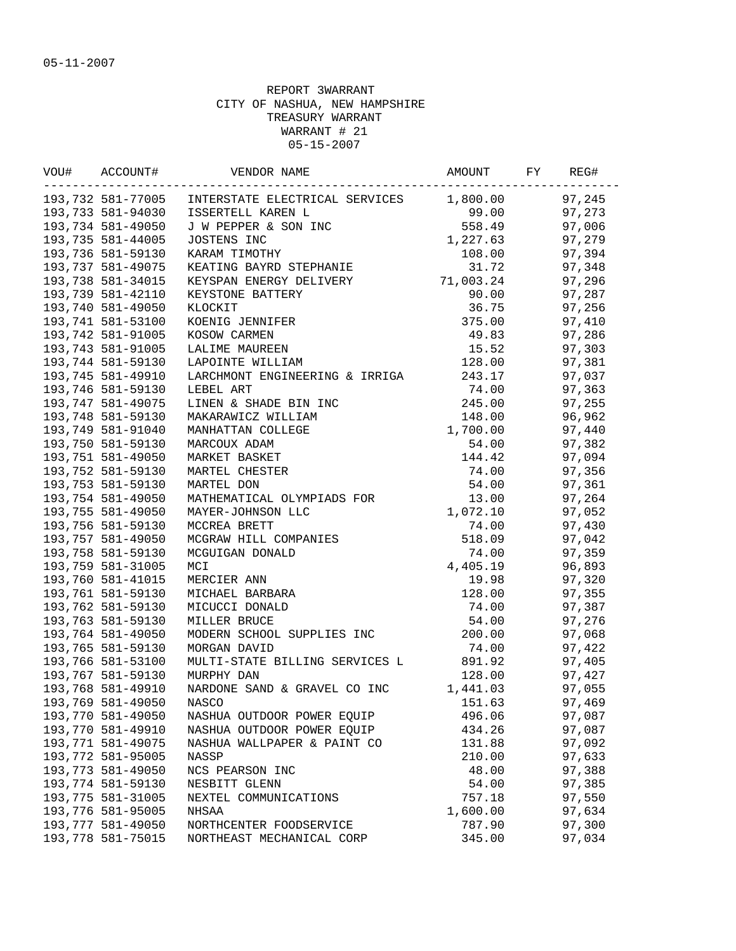| VOU# | ACCOUNT#          | VENDOR NAME                                                                                                                   | AMOUNT    | FY | REG#   |
|------|-------------------|-------------------------------------------------------------------------------------------------------------------------------|-----------|----|--------|
|      |                   | 193,732 581-77005 INTERSTATE ELECTRICAL SERVICES                                                                              | 1,800.00  |    | 97,245 |
|      | 193,733 581-94030 | ISSERTELL KAREN L                                                                                                             | 99.00     |    | 97,273 |
|      | 193,734 581-49050 | J W PEPPER & SON INC                                                                                                          | 558.49    |    | 97,006 |
|      | 193,735 581-44005 | JOSTENS INC                                                                                                                   | 1,227.63  |    | 97,279 |
|      | 193,736 581-59130 | KARAM TIMOTHY                                                                                                                 | 108.00    |    | 97,394 |
|      | 193,737 581-49075 | KEATING BAYRD STEPHANIE                                                                                                       | 31.72     |    | 97,348 |
|      | 193,738 581-34015 | KEYSPAN ENERGY DELIVERY                                                                                                       | 71,003.24 |    | 97,296 |
|      | 193,739 581-42110 | KEYSTONE BATTERY                                                                                                              | 90.00     |    | 97,287 |
|      | 193,740 581-49050 | KLOCKIT                                                                                                                       | 36.75     |    | 97,256 |
|      | 193,741 581-53100 | KOENIG JENNIFER                                                                                                               | 375.00    |    | 97,410 |
|      | 193,742 581-91005 | KOSOW CARMEN                                                                                                                  | 49.83     |    | 97,286 |
|      | 193,743 581-91005 | LALIME MAUREEN                                                                                                                | 15.52     |    | 97,303 |
|      | 193,744 581-59130 | LAPOINTE WILLIAM                                                                                                              | 128.00    |    | 97,381 |
|      | 193,745 581-49910 | LARCHMONT ENGINEERING & IRRIGA                                                                                                | 243.17    |    | 97,037 |
|      | 193,746 581-59130 | LEBEL ART                                                                                                                     | 74.00     |    | 97,363 |
|      | 193,747 581-49075 | LINEN & SHADE BIN INC                                                                                                         | 245.00    |    | 97,255 |
|      | 193,748 581-59130 | MAKARAWICZ WILLIAM                                                                                                            | 148.00    |    | 96,962 |
|      | 193,749 581-91040 | MANHATTAN COLLEGE                                                                                                             | 1,700.00  |    | 97,440 |
|      | 193,750 581-59130 | MARCOUX ADAM                                                                                                                  | 54.00     |    | 97,382 |
|      | 193,751 581-49050 | MARKET BASKET                                                                                                                 | 144.42    |    | 97,094 |
|      | 193,752 581-59130 | MARTEL CHESTER                                                                                                                | 74.00     |    | 97,356 |
|      | 193,753 581-59130 | MARTEL DON                                                                                                                    | 54.00     |    | 97,361 |
|      | 193,754 581-49050 | MATHEMATICAL OLYMPIADS FOR                                                                                                    | 13.00     |    | 97,264 |
|      | 193,755 581-49050 | MAYER-JOHNSON LLC                                                                                                             | 1,072.10  |    | 97,052 |
|      | 193,756 581-59130 | WEGRAW HILL COMPANIES<br>MCGUIGAN DONALD<br>MCI<br>MCI<br>MERCIER ANN<br>MICHAEL BARBARA<br>MICUCCI DONALD<br>MTUCICCI DONALD | 74.00     |    | 97,430 |
|      | 193,757 581-49050 |                                                                                                                               | 518.09    |    | 97,042 |
|      | 193,758 581-59130 |                                                                                                                               | 74.00     |    | 97,359 |
|      | 193,759 581-31005 |                                                                                                                               | 4,405.19  |    | 96,893 |
|      | 193,760 581-41015 |                                                                                                                               | 19.98     |    | 97,320 |
|      | 193,761 581-59130 |                                                                                                                               | 128.00    |    | 97,355 |
|      | 193,762 581-59130 |                                                                                                                               | 74.00     |    | 97,387 |
|      | 193,763 581-59130 | MILLER BRUCE                                                                                                                  | 54.00     |    | 97,276 |
|      | 193,764 581-49050 | MODERN SCHOOL SUPPLIES INC                                                                                                    | 200.00    |    | 97,068 |
|      | 193,765 581-59130 | MORGAN DAVID                                                                                                                  | 74.00     |    | 97,422 |
|      | 193,766 581-53100 | MULTI-STATE BILLING SERVICES L                                                                                                | 891.92    |    | 97,405 |
|      | 193,767 581-59130 | MURPHY DAN                                                                                                                    | 128.00    |    | 97,427 |
|      | 193,768 581-49910 | NARDONE SAND & GRAVEL CO INC                                                                                                  | 1,441.03  |    | 97,055 |
|      | 193,769 581-49050 | NASCO                                                                                                                         | 151.63    |    | 97,469 |
|      | 193,770 581-49050 | NASHUA OUTDOOR POWER EQUIP                                                                                                    | 496.06    |    | 97,087 |
|      | 193,770 581-49910 | NASHUA OUTDOOR POWER EQUIP                                                                                                    | 434.26    |    | 97,087 |
|      | 193,771 581-49075 | NASHUA WALLPAPER & PAINT CO                                                                                                   | 131.88    |    | 97,092 |
|      | 193,772 581-95005 | NASSP                                                                                                                         | 210.00    |    | 97,633 |
|      | 193,773 581-49050 | NCS PEARSON INC                                                                                                               | 48.00     |    | 97,388 |
|      | 193,774 581-59130 | NESBITT GLENN                                                                                                                 | 54.00     |    | 97,385 |
|      | 193,775 581-31005 | NEXTEL COMMUNICATIONS                                                                                                         | 757.18    |    | 97,550 |
|      | 193,776 581-95005 | NHSAA                                                                                                                         | 1,600.00  |    | 97,634 |
|      | 193,777 581-49050 | NORTHCENTER FOODSERVICE                                                                                                       | 787.90    |    | 97,300 |
|      | 193,778 581-75015 | NORTHEAST MECHANICAL CORP                                                                                                     | 345.00    |    | 97,034 |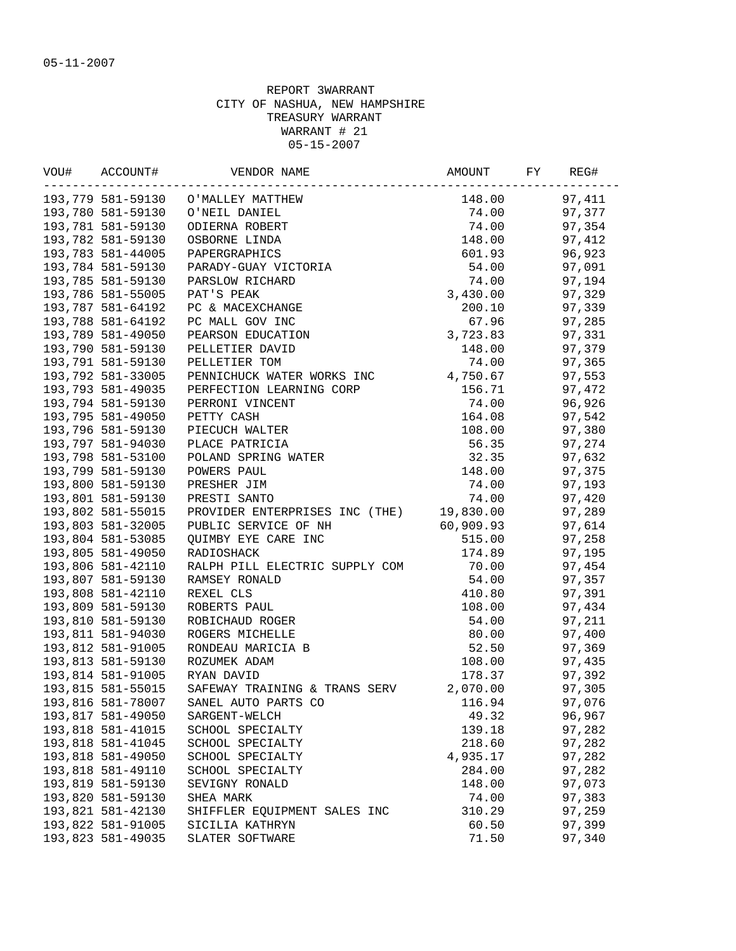| VOU# | ACCOUNT#          | VENDOR NAME                                                                                                  | AMOUNT    | FY | REG#   |
|------|-------------------|--------------------------------------------------------------------------------------------------------------|-----------|----|--------|
|      | .                 | 193,779 581-59130 O'MALLEY MATTHEW                                                                           | 148.00    |    | 97,411 |
|      | 193,780 581-59130 |                                                                                                              | 74.00     |    | 97,377 |
|      | 193,781 581-59130 | O'NEIL DANIEL<br>ODIERNA ROBERT<br>OSBORNE LINDA<br>PAPERGRAPHICS<br>PARADY-GUAY VICTORIA<br>PAPSLOW BICULER | 74.00     |    | 97,354 |
|      | 193,782 581-59130 |                                                                                                              | 148.00    |    | 97,412 |
|      | 193,783 581-44005 |                                                                                                              | 601.93    |    | 96,923 |
|      | 193,784 581-59130 |                                                                                                              | 54.00     |    | 97,091 |
|      | 193,785 581-59130 | PARSLOW RICHARD                                                                                              | 74.00     |    | 97,194 |
|      | 193,786 581-55005 | PAT'S PEAK                                                                                                   | 3,430.00  |    | 97,329 |
|      | 193,787 581-64192 | PC & MACEXCHANGE                                                                                             | 200.10    |    | 97,339 |
|      | 193,788 581-64192 | PC MALL GOV INC                                                                                              | 67.96     |    | 97,285 |
|      | 193,789 581-49050 | PEARSON EDUCATION                                                                                            | 3,723.83  |    | 97,331 |
|      | 193,790 581-59130 | PELLETIER DAVID                                                                                              | 148.00    |    | 97,379 |
|      | 193,791 581-59130 | PELLETIER TOM                                                                                                | 74.00     |    | 97,365 |
|      | 193,792 581-33005 | PENNICHUCK WATER WORKS INC                                                                                   | 4,750.67  |    | 97,553 |
|      | 193,793 581-49035 | PERFECTION LEARNING CORP                                                                                     | 156.71    |    | 97,472 |
|      | 193,794 581-59130 | PERRONI VINCENT                                                                                              | 74.00     |    | 96,926 |
|      | 193,795 581-49050 | PETTY CASH                                                                                                   | 164.08    |    | 97,542 |
|      | 193,796 581-59130 | PIECUCH WALTER                                                                                               | 108.00    |    | 97,380 |
|      | 193,797 581-94030 | PLACE PATRICIA                                                                                               | 56.35     |    | 97,274 |
|      | 193,798 581-53100 | POLAND SPRING WATER                                                                                          | 32.35     |    | 97,632 |
|      | 193,799 581-59130 | POWERS PAUL                                                                                                  | 148.00    |    | 97,375 |
|      | 193,800 581-59130 | PRESHER JIM                                                                                                  | 74.00     |    | 97,193 |
|      | 193,801 581-59130 | PRESTI SANTO                                                                                                 | 74.00     |    | 97,420 |
|      | 193,802 581-55015 | PROVIDER ENTERPRISES INC (THE) 19,830.00                                                                     |           |    | 97,289 |
|      | 193,803 581-32005 | PUBLIC SERVICE OF NH                                                                                         | 60,909.93 |    | 97,614 |
|      | 193,804 581-53085 | QUIMBY EYE CARE INC                                                                                          | 515.00    |    | 97,258 |
|      | 193,805 581-49050 | RADIOSHACK                                                                                                   | 174.89    |    | 97,195 |
|      | 193,806 581-42110 | RALPH PILL ELECTRIC SUPPLY COM                                                                               | 70.00     |    | 97,454 |
|      | 193,807 581-59130 | RAMSEY RONALD                                                                                                | 54.00     |    | 97,357 |
|      | 193,808 581-42110 | REXEL CLS                                                                                                    | 410.80    |    | 97,391 |
|      | 193,809 581-59130 | ROBERTS PAUL                                                                                                 | 108.00    |    | 97,434 |
|      | 193,810 581-59130 | ROBICHAUD ROGER                                                                                              | 54.00     |    | 97,211 |
|      | 193,811 581-94030 | ROGERS MICHELLE                                                                                              | 80.00     |    | 97,400 |
|      | 193,812 581-91005 | RONDEAU MARICIA B                                                                                            | 52.50     |    | 97,369 |
|      | 193,813 581-59130 | ROZUMEK ADAM                                                                                                 | 108.00    |    | 97,435 |
|      | 193,814 581-91005 | RYAN DAVID                                                                                                   | 178.37    |    | 97,392 |
|      | 193,815 581-55015 | SAFEWAY TRAINING & TRANS SERV                                                                                | 2,070.00  |    | 97,305 |
|      | 193,816 581-78007 | SANEL AUTO PARTS CO                                                                                          | 116.94    |    | 97,076 |
|      | 193,817 581-49050 | SARGENT-WELCH                                                                                                | 49.32     |    | 96,967 |
|      | 193,818 581-41015 | SCHOOL SPECIALTY                                                                                             | 139.18    |    | 97,282 |
|      | 193,818 581-41045 | SCHOOL SPECIALTY                                                                                             | 218.60    |    | 97,282 |
|      | 193,818 581-49050 | SCHOOL SPECIALTY                                                                                             | 4,935.17  |    | 97,282 |
|      | 193,818 581-49110 | SCHOOL SPECIALTY                                                                                             | 284.00    |    | 97,282 |
|      | 193,819 581-59130 | SEVIGNY RONALD                                                                                               | 148.00    |    | 97,073 |
|      | 193,820 581-59130 | SHEA MARK                                                                                                    | 74.00     |    | 97,383 |
|      | 193,821 581-42130 | SHIFFLER EQUIPMENT SALES INC                                                                                 | 310.29    |    | 97,259 |
|      | 193,822 581-91005 | SICILIA KATHRYN                                                                                              | 60.50     |    | 97,399 |
|      | 193,823 581-49035 | SLATER SOFTWARE                                                                                              | 71.50     |    | 97,340 |
|      |                   |                                                                                                              |           |    |        |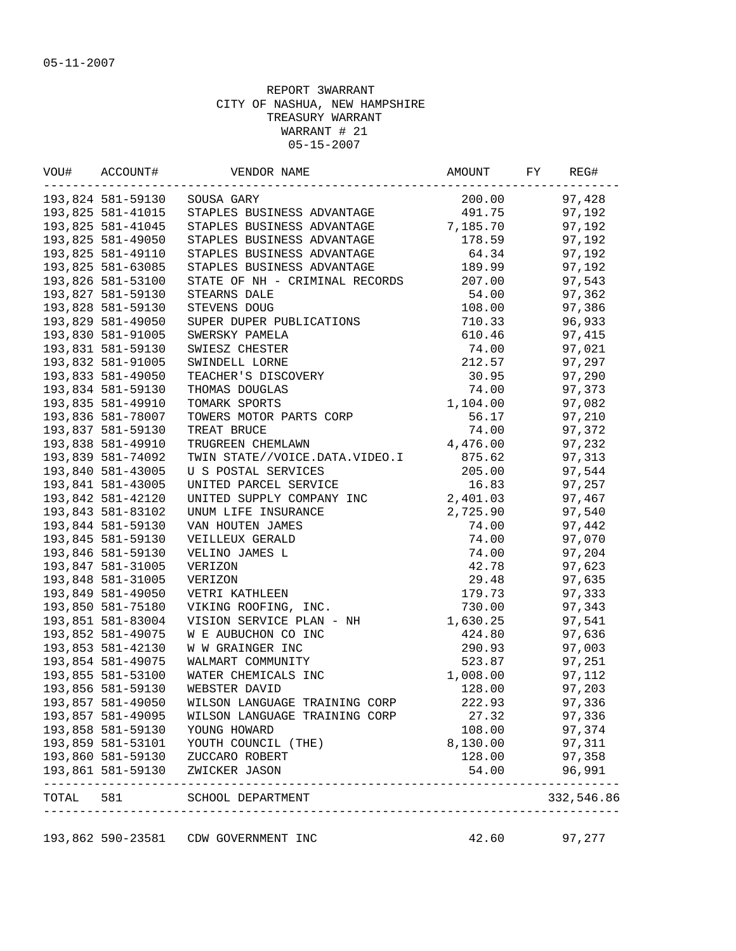|                   | 193,825 581-41015<br>193,825 581-41045<br>193,825 581-49050<br>193,825 581-49110<br>193,825 581-63085 | -------------------------------<br>193,824 581-59130 SOUSA GARY<br>STAPLES BUSINESS ADVANTAGE<br>STAPLES BUSINESS ADVANTAGE<br>STAPLES BUSINESS ADVANTAGE      | 200.00<br>491.75<br>7,185.70 | 97,192 | 97,428     |
|-------------------|-------------------------------------------------------------------------------------------------------|----------------------------------------------------------------------------------------------------------------------------------------------------------------|------------------------------|--------|------------|
|                   |                                                                                                       |                                                                                                                                                                |                              |        |            |
|                   |                                                                                                       |                                                                                                                                                                |                              |        |            |
|                   |                                                                                                       |                                                                                                                                                                |                              |        | 97,192     |
|                   |                                                                                                       |                                                                                                                                                                | 178.59                       |        | 97,192     |
|                   |                                                                                                       | STAPLES BUSINESS ADVANTAGE                                                                                                                                     | 64.34                        |        | 97,192     |
|                   |                                                                                                       | STAPLES BUSINESS ADVANTAGE                                                                                                                                     | 189.99                       |        | 97,192     |
| 193,826 581-53100 |                                                                                                       | STATE OF NH - CRIMINAL RECORDS 207.00                                                                                                                          |                              |        | 97,543     |
|                   | 193,827 581-59130                                                                                     | STEARNS DALE                                                                                                                                                   | 54.00                        |        | 97,362     |
|                   | 193,828 581-59130                                                                                     | STEVENS DOUG                                                                                                                                                   | 108.00                       |        | 97,386     |
|                   | 193,829 581-49050                                                                                     | STEVENS -<br>SUPER DUPER PUBLICATIONS<br>SWERSKY PAMELA<br>SWIESZ CHESTER<br>SWINDELL LORNE<br>TEACHER'S DISCOVERY<br>THOMAS DOUGLAS                           | 710.33                       |        | 96,933     |
|                   | 193,830 581-91005                                                                                     |                                                                                                                                                                | 610.46                       |        | 97,415     |
|                   | 193,831 581-59130                                                                                     |                                                                                                                                                                | 74.00                        |        | 97,021     |
|                   | 193,832 581-91005                                                                                     |                                                                                                                                                                | 212.57                       |        | 97,297     |
|                   | 193,833 581-49050                                                                                     |                                                                                                                                                                | 30.95                        |        | 97,290     |
|                   | 193,834 581-59130                                                                                     |                                                                                                                                                                | 74.00                        |        | 97,373     |
|                   | 193,835 581-49910                                                                                     |                                                                                                                                                                | 1,104.00                     |        | 97,082     |
|                   | 193,836 581-78007                                                                                     | TOWERS MOTOR PARTS CORP                                                                                                                                        | 56.17                        |        | 97,210     |
|                   | 193,837 581-59130                                                                                     | TREAT BRUCE                                                                                                                                                    | 74.00                        |        | 97,372     |
|                   | 193,838 581-49910                                                                                     | TRUGREEN CHEMLAWN                                                                                                                                              | 4,476.00                     |        | 97,232     |
|                   | 193,839 581-74092                                                                                     | TWIN STATE//VOICE.DATA.VIDEO.I 875.62                                                                                                                          |                              |        | 97,313     |
|                   | 193,840 581-43005                                                                                     | U S POSTAL SERVICES                                                                                                                                            | 205.00                       |        | 97,544     |
|                   | 193,841 581-43005                                                                                     | UNITED PARCEL SERVICE                                                                                                                                          | 16.83                        |        | 97,257     |
|                   | 193,842 581-42120                                                                                     | UNITED SUPPLY COMPANY INC<br>UNUM LIFE INSURANCE<br>VAN HOUTEN JAMES<br>VEILLEUX GERALD<br>VEILLEUX GERALD<br>VEILINO JAMES L<br>VERIZON<br>VERIZON<br>VERIZON | 2,401.03                     |        | 97,467     |
|                   | 193,843 581-83102                                                                                     |                                                                                                                                                                | 2,725.90                     |        | 97,540     |
|                   | 193,844 581-59130                                                                                     |                                                                                                                                                                | 74.00                        |        | 97,442     |
|                   | 193,845 581-59130                                                                                     |                                                                                                                                                                | 74.00                        |        | 97,070     |
|                   | 193,846 581-59130                                                                                     |                                                                                                                                                                | 74.00                        |        | 97,204     |
|                   | 193,847 581-31005                                                                                     |                                                                                                                                                                | 42.78                        |        | 97,623     |
|                   | 193,848 581-31005                                                                                     |                                                                                                                                                                | 29.48                        |        | 97,635     |
|                   | 193,849 581-49050                                                                                     | VETRI KATHLEEN                                                                                                                                                 | 179.73                       |        | 97,333     |
|                   | 193,850 581-75180                                                                                     | VIKING ROOFING, INC.                                                                                                                                           | 730.00                       |        | 97,343     |
|                   | 193,851 581-83004                                                                                     | VISION SERVICE PLAN - NH                                                                                                                                       | 1,630.25                     |        | 97,541     |
|                   | 193,852 581-49075                                                                                     | W E AUBUCHON CO INC                                                                                                                                            | 424.80                       |        | 97,636     |
|                   | 193,853 581-42130                                                                                     | W W GRAINGER INC                                                                                                                                               | 290.93                       |        | 97,003     |
|                   | 193,854 581-49075                                                                                     | WALMART COMMUNITY                                                                                                                                              | 523.87                       |        | 97,251     |
|                   | 193,855 581-53100                                                                                     | WATER CHEMICALS INC                                                                                                                                            | 1,008.00                     | 97,112 |            |
|                   | 193,856 581-59130                                                                                     | WEBSTER DAVID                                                                                                                                                  | 128.00                       |        | 97,203     |
|                   | 193,857 581-49050                                                                                     | WILSON LANGUAGE TRAINING CORP                                                                                                                                  | 222.93                       |        | 97,336     |
|                   | 193,857 581-49095                                                                                     | WILSON LANGUAGE TRAINING CORP                                                                                                                                  | 27.32                        |        | 97,336     |
|                   | 193,858 581-59130                                                                                     | YOUNG HOWARD                                                                                                                                                   | 108.00                       |        | 97,374     |
|                   | 193,859 581-53101                                                                                     | YOUTH COUNCIL (THE)                                                                                                                                            | 8,130.00                     |        | 97,311     |
|                   | 193,860 581-59130                                                                                     | ZUCCARO ROBERT                                                                                                                                                 | 128.00                       |        | 97,358     |
|                   | 193,861 581-59130                                                                                     | ZWICKER JASON<br>______________________________                                                                                                                | 54.00                        |        | 96,991     |
| TOTAL             | 581                                                                                                   | SCHOOL DEPARTMENT                                                                                                                                              |                              |        | 332,546.86 |

193,862 590-23581 CDW GOVERNMENT INC 42.60 97,277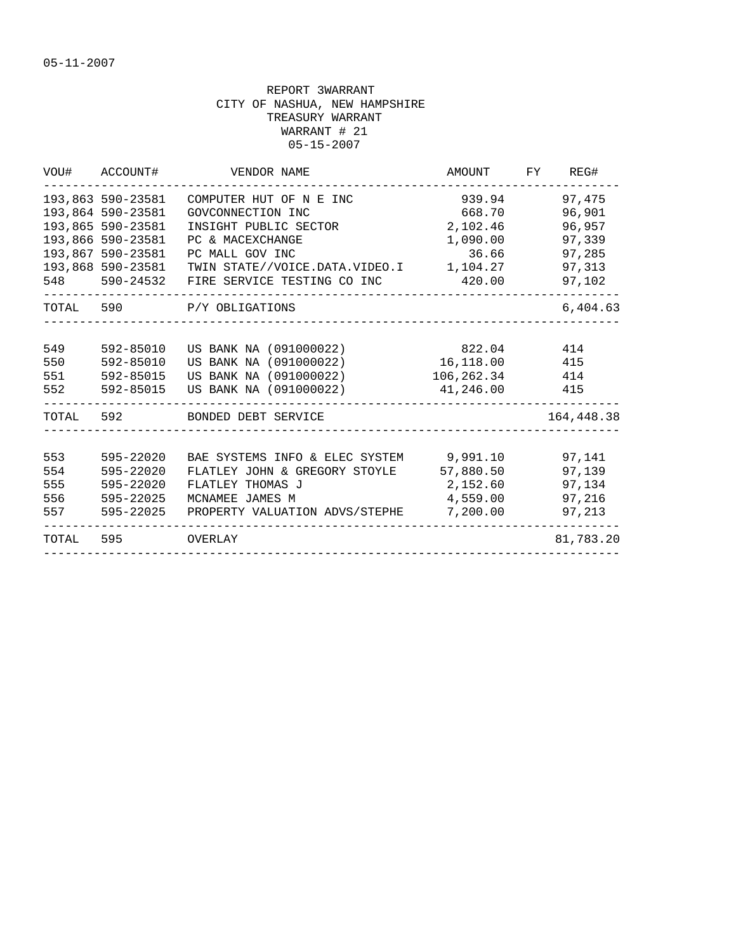|                                 | VOU# ACCOUNT#                                                                    | VENDOR NAME                                                                                                                                       | AMOUNT                                             | FY | REG#                                           |
|---------------------------------|----------------------------------------------------------------------------------|---------------------------------------------------------------------------------------------------------------------------------------------------|----------------------------------------------------|----|------------------------------------------------|
|                                 | 193,863 590-23581<br>193,864 590-23581<br>193,865 590-23581<br>193,866 590-23581 | COMPUTER HUT OF N E INC<br>GOVCONNECTION INC<br>INSIGHT PUBLIC SECTOR<br>PC & MACEXCHANGE                                                         | 939.94<br>668.70<br>2,102.46<br>1,090.00           |    | 97,475<br>96,901<br>96,957<br>97,339           |
|                                 | 193,867 590-23581<br>193,868 590-23581                                           | PC MALL GOV INC<br>TWIN STATE//VOICE.DATA.VIDEO.I 1,104.27<br>548 590-24532 FIRE SERVICE TESTING CO INC                                           | 36.66<br>420.00                                    |    | 97,285<br>97,313<br>97,102                     |
|                                 |                                                                                  | TOTAL 590 P/Y OBLIGATIONS                                                                                                                         |                                                    |    | 6,404.63                                       |
| 549<br>550<br>551<br>552        | 592-85010<br>592-85010<br>592-85015<br>592-85015                                 | US BANK NA (091000022)<br>US BANK NA (091000022)<br>US BANK NA (091000022)<br>US BANK NA (091000022)                                              | 822.04<br>16,118.00 415<br>106,262.34<br>41,246.00 |    | 414<br>414<br>415                              |
|                                 | TOTAL 592                                                                        | BONDED DEBT SERVICE                                                                                                                               |                                                    |    | 164,448.38                                     |
| 553<br>554<br>555<br>556<br>557 | 595-22020<br>595-22020<br>595-22020<br>595-22025<br>595-22025                    | BAE SYSTEMS INFO & ELEC SYSTEM 9,991.10<br>FLATLEY JOHN & GREGORY STOYLE<br>FLATLEY THOMAS J<br>MCNAMEE JAMES M<br>PROPERTY VALUATION ADVS/STEPHE | 57,880.50<br>2,152.60<br>4,559.00<br>7,200.00      |    | 97,141<br>97,139<br>97,134<br>97,216<br>97,213 |
| TOTAL 595                       |                                                                                  | <b>OVERLAY</b>                                                                                                                                    |                                                    |    | 81,783.20                                      |
|                                 |                                                                                  |                                                                                                                                                   |                                                    |    |                                                |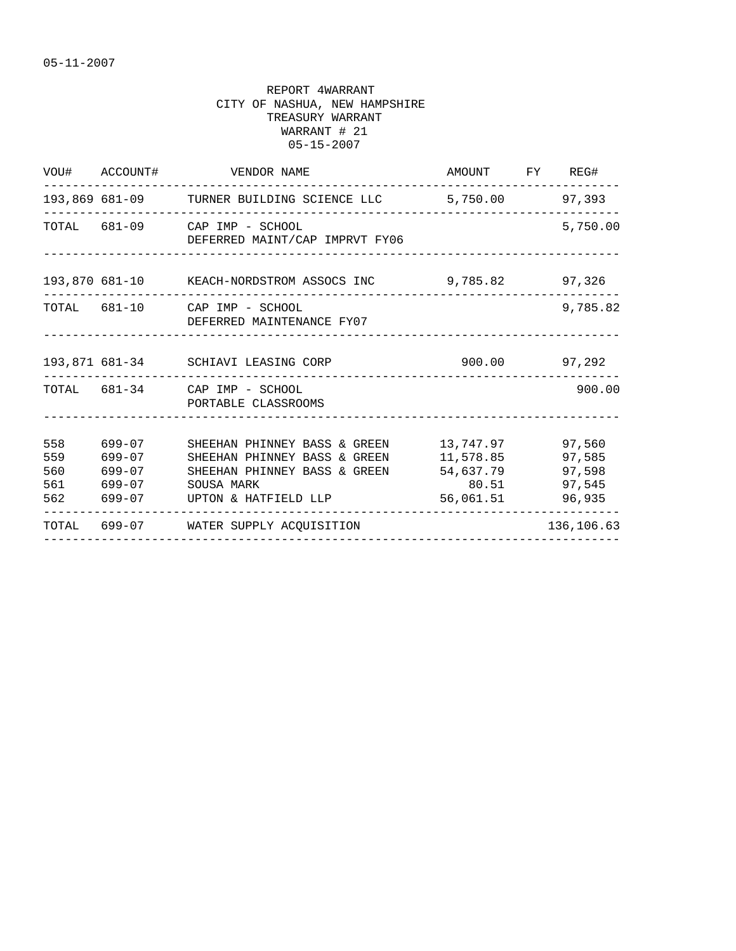|                   | VOU# ACCOUNT#              | VENDOR NAME                                                                                                                                              | AMOUNT FY REG#                                            |                                                |
|-------------------|----------------------------|----------------------------------------------------------------------------------------------------------------------------------------------------------|-----------------------------------------------------------|------------------------------------------------|
|                   |                            | 193,869 681-09 TURNER BUILDING SCIENCE LLC 5,750.00 97,393                                                                                               |                                                           |                                                |
|                   |                            | TOTAL 681-09 CAP IMP - SCHOOL<br>DEFERRED MAINT/CAP IMPRVT FY06                                                                                          |                                                           | 5,750.00                                       |
|                   |                            | 193,870 681-10 KEACH-NORDSTROM ASSOCS INC 9,785.82 97,326                                                                                                |                                                           |                                                |
|                   |                            | TOTAL 681-10 CAP IMP - SCHOOL<br>DEFERRED MAINTENANCE FY07                                                                                               |                                                           | 9,785.82                                       |
|                   |                            | 193,871 681-34 SCHIAVI LEASING CORP                                                                                                                      | $900.00$ 97,292                                           |                                                |
|                   |                            | TOTAL 681-34 CAP IMP - SCHOOL<br>PORTABLE CLASSROOMS                                                                                                     |                                                           | 900.00                                         |
| 558<br>559<br>560 | 699-07<br>699-07<br>699-07 | SHEEHAN PHINNEY BASS & GREEN<br>SHEEHAN PHINNEY BASS & GREEN<br>SHEEHAN PHINNEY BASS & GREEN<br>561 699-07 SOUSA MARK<br>562 699-07 UPTON & HATFIELD LLP | 13,747.97<br>11,578.85<br>54,637.79<br>80.51<br>56,061.51 | 97,560<br>97,585<br>97,598<br>97,545<br>96,935 |
|                   |                            | TOTAL 699-07 WATER SUPPLY ACQUISITION                                                                                                                    |                                                           | 136,106.63                                     |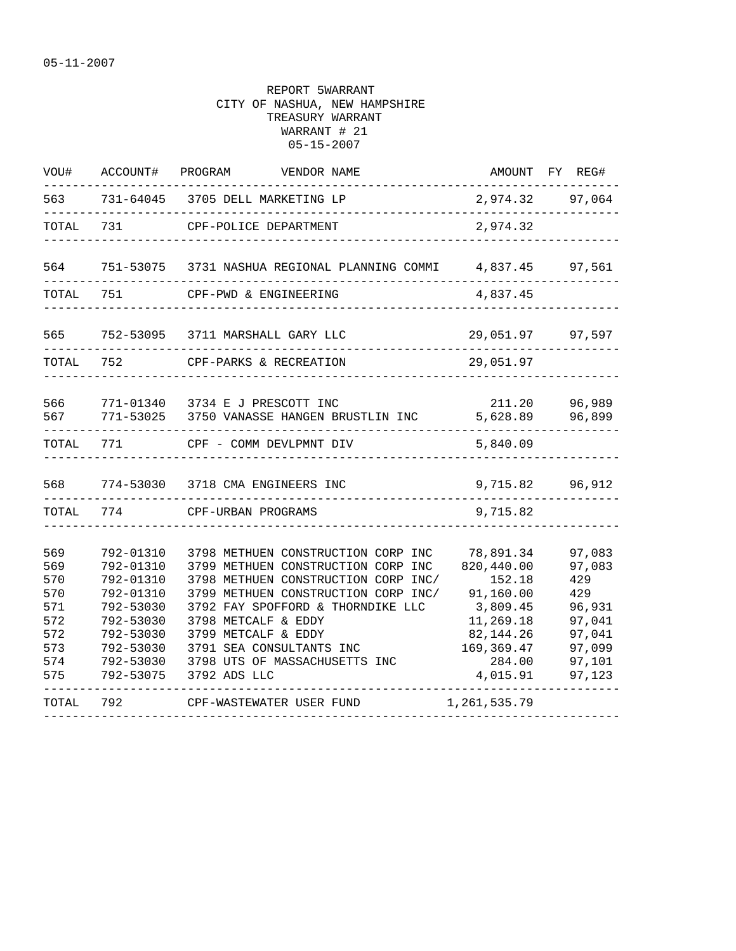| VOU#                                                               | ACCOUNT#                                                                                                                       | PROGRAM<br>VENDOR NAME                                                                                                                                                                                                                                                                                                 |                                                                                                                           | AMOUNT FY REG#                                                                             |
|--------------------------------------------------------------------|--------------------------------------------------------------------------------------------------------------------------------|------------------------------------------------------------------------------------------------------------------------------------------------------------------------------------------------------------------------------------------------------------------------------------------------------------------------|---------------------------------------------------------------------------------------------------------------------------|--------------------------------------------------------------------------------------------|
| 563                                                                |                                                                                                                                | 731-64045 3705 DELL MARKETING LP                                                                                                                                                                                                                                                                                       |                                                                                                                           | 2,974.32 97,064                                                                            |
| TOTAL                                                              | 731                                                                                                                            | CPF-POLICE DEPARTMENT                                                                                                                                                                                                                                                                                                  | 2,974.32                                                                                                                  |                                                                                            |
| 564                                                                |                                                                                                                                | 751-53075 3731 NASHUA REGIONAL PLANNING COMMI                                                                                                                                                                                                                                                                          |                                                                                                                           | 4,837.45 97,561                                                                            |
| TOTAL                                                              | 751                                                                                                                            | CPF-PWD & ENGINEERING                                                                                                                                                                                                                                                                                                  | 4,837.45                                                                                                                  |                                                                                            |
| 565                                                                |                                                                                                                                | 752-53095 3711 MARSHALL GARY LLC                                                                                                                                                                                                                                                                                       |                                                                                                                           | 29,051.97 97,597                                                                           |
| TOTAL                                                              | 752                                                                                                                            | CPF-PARKS & RECREATION                                                                                                                                                                                                                                                                                                 | 29,051.97                                                                                                                 |                                                                                            |
| 566<br>567                                                         |                                                                                                                                | 771-01340 3734 E J PRESCOTT INC<br>771-53025 3750 VANASSE HANGEN BRUSTLIN INC                                                                                                                                                                                                                                          | 211.20<br>5,628.89                                                                                                        | 96,989<br>96,899                                                                           |
| TOTAL                                                              | 771                                                                                                                            | CPF - COMM DEVLPMNT DIV                                                                                                                                                                                                                                                                                                | 5,840.09                                                                                                                  |                                                                                            |
| 568                                                                |                                                                                                                                | 774-53030 3718 CMA ENGINEERS INC                                                                                                                                                                                                                                                                                       |                                                                                                                           | 9,715.82 96,912                                                                            |
| TOTAL                                                              | 774                                                                                                                            | CPF-URBAN PROGRAMS                                                                                                                                                                                                                                                                                                     | 9,715.82                                                                                                                  |                                                                                            |
| 569<br>569<br>570<br>570<br>571<br>572<br>572<br>573<br>574<br>575 | 792-01310<br>792-01310<br>792-01310<br>792-01310<br>792-53030<br>792-53030<br>792-53030<br>792-53030<br>792-53030<br>792-53075 | 3798 METHUEN CONSTRUCTION CORP INC<br>3799 METHUEN CONSTRUCTION CORP INC<br>3798 METHUEN CONSTRUCTION CORP INC/<br>3799 METHUEN CONSTRUCTION CORP INC/<br>3792 FAY SPOFFORD & THORNDIKE LLC<br>3798 METCALF & EDDY<br>3799 METCALF & EDDY<br>3791 SEA CONSULTANTS INC<br>3798 UTS OF MASSACHUSETTS INC<br>3792 ADS LLC | 78,891.34<br>820,440.00<br>152.18<br>91,160.00<br>3,809.45<br>11,269.18<br>82, 144.26<br>169,369.47<br>284.00<br>4,015.91 | 97,083<br>97,083<br>429<br>429<br>96,931<br>97,041<br>97,041<br>97,099<br>97,101<br>97,123 |
| TOTAL                                                              | 792                                                                                                                            | CPF-WASTEWATER USER FUND                                                                                                                                                                                                                                                                                               | 1,261,535.79                                                                                                              |                                                                                            |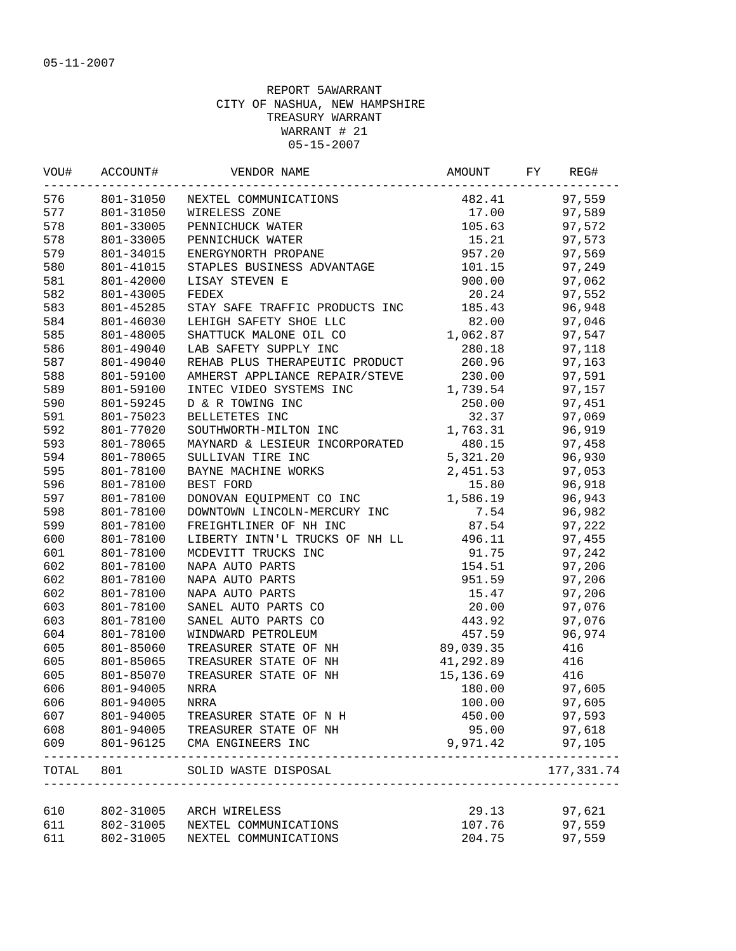| VOU#  | ACCOUNT#  | VENDOR NAME                    | AMOUNT                         | FY | REG#       |
|-------|-----------|--------------------------------|--------------------------------|----|------------|
| 576   | 801-31050 | NEXTEL COMMUNICATIONS          | 482.41                         |    | 97,559     |
| 577   | 801-31050 | WIRELESS ZONE                  | 17.00                          |    | 97,589     |
| 578   | 801-33005 | PENNICHUCK WATER               | 105.63                         |    | 97,572     |
| 578   | 801-33005 | PENNICHUCK WATER               | 15.21                          |    | 97,573     |
| 579   | 801-34015 | ENERGYNORTH PROPANE            | 957.20                         |    | 97,569     |
| 580   | 801-41015 | STAPLES BUSINESS ADVANTAGE     | 101.15                         |    | 97,249     |
| 581   | 801-42000 | LISAY STEVEN E                 | 900.00                         |    | 97,062     |
| 582   | 801-43005 | FEDEX                          | 20.24                          |    | 97,552     |
| 583   | 801-45285 | STAY SAFE TRAFFIC PRODUCTS INC | 185.43                         |    | 96,948     |
| 584   | 801-46030 | LEHIGH SAFETY SHOE LLC         | 82.00                          |    | 97,046     |
| 585   | 801-48005 | SHATTUCK MALONE OIL CO         | 1,062.87                       |    | 97,547     |
| 586   | 801-49040 | LAB SAFETY SUPPLY INC          | 280.18                         |    | 97,118     |
| 587   | 801-49040 | REHAB PLUS THERAPEUTIC PRODUCT | 260.96                         |    | 97,163     |
| 588   | 801-59100 | AMHERST APPLIANCE REPAIR/STEVE | 230.00                         |    | 97,591     |
| 589   | 801-59100 | INTEC VIDEO SYSTEMS INC        | 1,739.54                       |    | 97,157     |
| 590   | 801-59245 | D & R TOWING INC               | 250.00                         |    | 97,451     |
| 591   | 801-75023 | BELLETETES INC                 | 32.37                          |    | 97,069     |
| 592   | 801-77020 | SOUTHWORTH-MILTON INC          | 1,763.31                       |    | 96,919     |
| 593   | 801-78065 | MAYNARD & LESIEUR INCORPORATED | 480.15                         |    | 97,458     |
| 594   | 801-78065 | SULLIVAN TIRE INC              | 5,321.20                       |    | 96,930     |
| 595   | 801-78100 | BAYNE MACHINE WORKS            | 2,451.53                       |    | 97,053     |
| 596   | 801-78100 | BEST FORD                      | 15.80                          |    | 96,918     |
| 597   | 801-78100 | DONOVAN EQUIPMENT CO INC       | 1,586.19                       |    | 96,943     |
| 598   | 801-78100 | DOWNTOWN LINCOLN-MERCURY INC   | 7.54                           |    | 96,982     |
|       |           |                                | 87.54                          |    |            |
| 599   | 801-78100 | FREIGHTLINER OF NH INC         |                                |    | 97,222     |
| 600   | 801-78100 | LIBERTY INTN'L TRUCKS OF NH LL | 496.11                         |    | 97,455     |
| 601   | 801-78100 | MCDEVITT TRUCKS INC            | 91.75                          |    | 97,242     |
| 602   | 801-78100 | NAPA AUTO PARTS                | 154.51                         |    | 97,206     |
| 602   | 801-78100 | NAPA AUTO PARTS                | 951.59                         |    | 97,206     |
| 602   | 801-78100 | NAPA AUTO PARTS                | 15.47                          |    | 97,206     |
| 603   | 801-78100 | SANEL AUTO PARTS CO            | 20.00                          |    | 97,076     |
| 603   | 801-78100 | SANEL AUTO PARTS CO            | 443.92                         |    | 97,076     |
| 604   | 801-78100 | WINDWARD PETROLEUM             | 457.59                         |    | 96,974     |
| 605   | 801-85060 | TREASURER STATE OF NH          | 89,039.35                      |    | 416        |
| 605   | 801-85065 | TREASURER STATE OF NH          | 41,292.89                      |    | 416        |
| 605   | 801-85070 | TREASURER STATE OF NH          | 15,136.69                      |    | 416        |
| 606   | 801-94005 | <b>NRRA</b>                    | 180.00                         |    | 97,605     |
| 606   | 801-94005 | NRRA                           | 100.00                         |    | 97,605     |
| 607   | 801-94005 | TREASURER STATE OF N H         | 450.00                         |    | 97,593     |
| 608   | 801-94005 | TREASURER STATE OF NH          | 95.00                          |    | 97,618     |
| 609   | 801-96125 | CMA ENGINEERS INC              | 9,971.42                       |    | 97,105     |
| TOTAL | 801       | SOLID WASTE DISPOSAL           | ______________________________ |    | 177,331.74 |
|       |           |                                |                                |    |            |
| 610   | 802-31005 | ARCH WIRELESS                  | 29.13                          |    | 97,621     |
| 611   | 802-31005 | NEXTEL COMMUNICATIONS          | 107.76                         |    | 97,559     |
| 611   | 802-31005 | NEXTEL COMMUNICATIONS          | 204.75                         |    | 97,559     |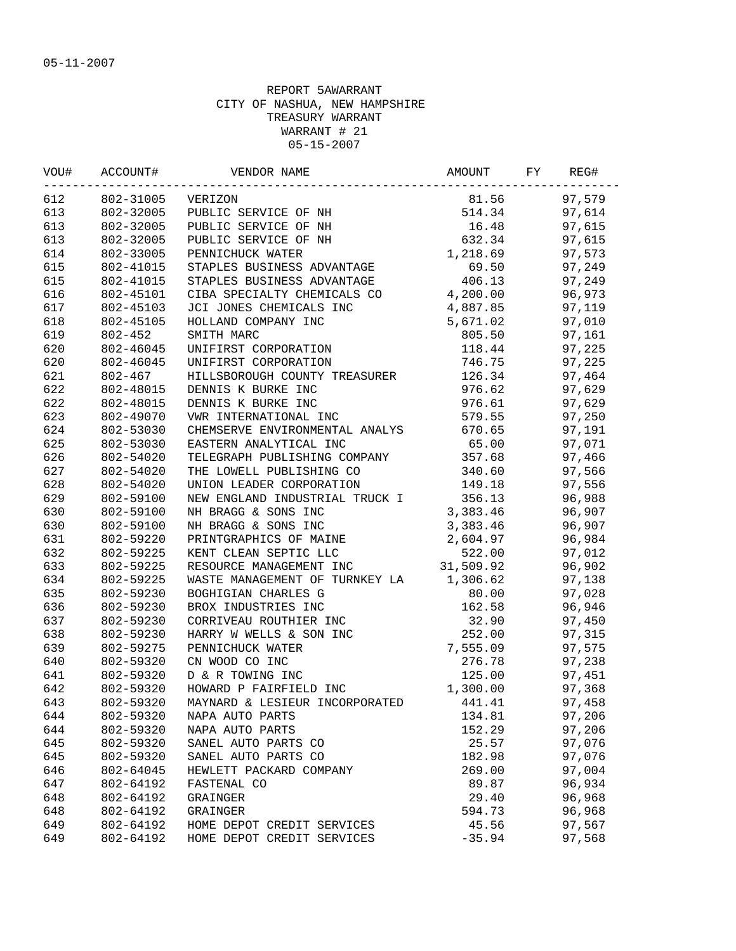|            |                        | VOU# ACCOUNT# VENDOR NAME AMOUNT AMOUNT ACCOUNT AND VENDOR NAME                                              | AMOUNT FY                        | REG#             |
|------------|------------------------|--------------------------------------------------------------------------------------------------------------|----------------------------------|------------------|
| 612        | 802-31005 VERIZON      |                                                                                                              |                                  | 81.56 97,579     |
| 613        |                        | 802-32005 PUBLIC SERVICE OF NH 514.34 97,614                                                                 |                                  |                  |
| 613        |                        | 802-32005 PUBLIC SERVICE OF NH                                                                               |                                  | 16.48 97,615     |
| 613        | 802-32005              | PUBLIC SERVICE OF NH                                                                                         |                                  | 632.34 97,615    |
| 614        | 802-33005              | PENNICHUCK WATER                                                                                             |                                  | 1,218.69 97,573  |
| 615        | 802-41015              | STAPLES BUSINESS ADVANTAGE                                                                                   |                                  | 69.50 97,249     |
| 615        | 802-41015              | STAPLES LUS<br>STAPLES BUSINESS ADVANIAGE<br>CIBA SPECIALTY CHEMICALS CO                                     | 406.13                           | 97,249           |
| 616        | 802-45101              |                                                                                                              |                                  | 96,973           |
| 617        | 802-45103              |                                                                                                              | 4,200.00<br>4,887.85<br>5,671.02 | 97,119           |
| 618        | 802-45105              | HOLLAND COMPANY INC<br>SMITH MARC                                                                            |                                  | 97,010           |
| 619        | 802-452                | SMITH MARC                                                                                                   | 805.50                           | 97,161           |
| 620        | 802-46045              | UNIFIRST CORPORATION                                                                                         |                                  | 118.44 97,225    |
| 620        | 802-46045              | UNIFIRST CORPORATION                                                                                         |                                  | 746.75 97,225    |
| 621        | 802-467                | HILLSBOROUGH COUNTY TREASURER 126.34                                                                         |                                  | 97,464           |
| 622        | 802-48015              | DENNIS K BURKE INC                                                                                           | 976.62                           | 97,629           |
| 622        | 802-48015              | DENNIS K BURKE INC                                                                                           | 976.61                           | 97,629           |
| 623        | 802-49070              |                                                                                                              |                                  | 97,250           |
| 624        | 802-53030              |                                                                                                              |                                  | 97,191           |
| 625        | 802-53030              | CHEMSERVE ENVIRONMENTAL ANALYS<br>EASTERN ANALYTICAL INC<br>TELEGRADH DUPLE TALL INC<br>TELEGRADH DUPLE TALL |                                  | 97,071           |
| 626        | 802-54020              | EASTERN ANALYTICAL INC 65.00 97,071<br>TELEGRAPH PUBLISHING COMPANY 357.68 97,466                            |                                  |                  |
| 627        | 802-54020              | THE LOWELL PUBLISHING CO 340.60 97,566                                                                       |                                  |                  |
| 628        | 802-54020              | UNION LEADER CORPORATION 149.18 97,556                                                                       |                                  |                  |
| 629        | 802-59100              | NEW ENGLAND INDUSTRIAL TRUCK I 356.13 96,988                                                                 |                                  |                  |
| 630        | 802-59100              | NH BRAGG & SONS INC                                                                                          |                                  | 96,907           |
| 630        | 802-59100              | 3, 383.46<br>3, 383.46<br>INE 2, 604.97<br>CC 522.00                                                         |                                  | 96,907           |
| 631        | 802-59220              | NH BRAGG & SONS INC<br>PRINTGRAPHICS OF MAINE                                                                |                                  | 96,984           |
| 632        | 802-59225              | KENT CLEAN SEPTIC LLC                                                                                        |                                  | 97,012           |
| 633        | 802-59225              | RESOURCE MANAGEMENT INC                                                                                      | 31,509.92                        | 96,902           |
| 634        | 802-59225              | WASTE MANAGEMENT OF TURNKEY LA 1,306.62                                                                      |                                  | 97,138           |
| 635        | 802-59230              | BOGHIGIAN CHARLES G                                                                                          | 80.00                            | 97,028           |
| 636        | 802-59230              | BROX INDUSTRIES INC                                                                                          | 162.58                           | 96,946           |
| 637        | 802-59230              | CORRIVEAU ROUTHIER INC                                                                                       | 32.90                            | 97,450           |
| 638        | 802-59230              | HARRY W WELLS & SON INC                                                                                      | 252.00                           | 97,315           |
| 639        | 802-59275              | PENNICHUCK WATER                                                                                             | 7,555.09                         | 97,575           |
| 640        | 802-59320              | CN WOOD CO INC                                                                                               | 276.78                           | 97,238           |
| 641        | 802-59320              | D & R TOWING INC                                                                                             | 125.00                           | 97,451           |
| 642        | 802-59320              | HOWARD P FAIRFIELD INC                                                                                       | 1,300.00                         | 97,368           |
|            | 802-59320              |                                                                                                              |                                  |                  |
| 643<br>644 |                        | MAYNARD & LESIEUR INCORPORATED                                                                               | 441.41                           | 97,458           |
|            | 802-59320              | NAPA AUTO PARTS                                                                                              | 134.81                           | 97,206<br>97,206 |
| 644        | 802-59320<br>802-59320 | NAPA AUTO PARTS                                                                                              | 152.29                           |                  |
| 645        |                        | SANEL AUTO PARTS CO                                                                                          | 25.57                            | 97,076           |
| 645        | 802-59320              | SANEL AUTO PARTS CO                                                                                          | 182.98                           | 97,076           |
| 646        | 802-64045              | HEWLETT PACKARD COMPANY                                                                                      | 269.00                           | 97,004           |
| 647        | 802-64192              | FASTENAL CO                                                                                                  | 89.87                            | 96,934           |
| 648        | 802-64192              | GRAINGER                                                                                                     | 29.40                            | 96,968           |
| 648        | 802-64192              | GRAINGER                                                                                                     | 594.73                           | 96,968           |
| 649        | 802-64192              | HOME DEPOT CREDIT SERVICES                                                                                   | 45.56                            | 97,567           |
| 649        | 802-64192              | HOME DEPOT CREDIT SERVICES                                                                                   | $-35.94$                         | 97,568           |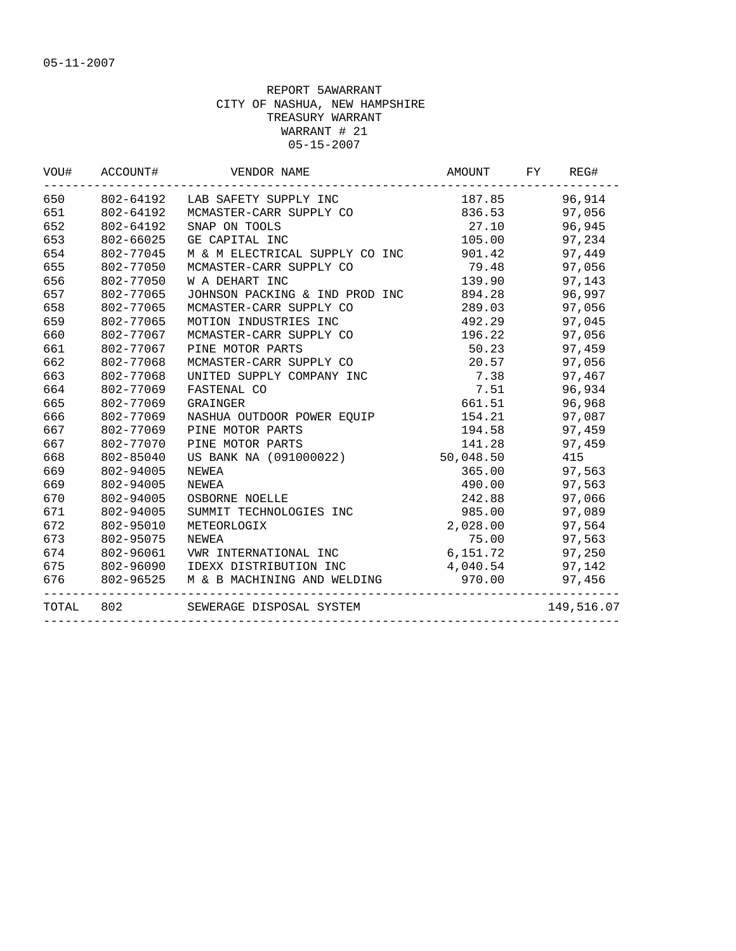| 650   | 802-64192 | LAB SAFETY SUPPLY INC          | 187.85    | 96,914     |
|-------|-----------|--------------------------------|-----------|------------|
| 651   | 802-64192 | MCMASTER-CARR SUPPLY CO        | 836.53    | 97,056     |
| 652   | 802-64192 | SNAP ON TOOLS                  | 27.10     | 96,945     |
| 653   | 802-66025 | GE CAPITAL INC                 | 105.00    | 97,234     |
| 654   | 802-77045 | M & M ELECTRICAL SUPPLY CO INC | 901.42    | 97,449     |
| 655   | 802-77050 | MCMASTER-CARR SUPPLY CO        | 79.48     | 97,056     |
| 656   | 802-77050 | W A DEHART INC                 | 139.90    | 97,143     |
| 657   | 802-77065 | JOHNSON PACKING & IND PROD INC | 894.28    | 96,997     |
| 658   | 802-77065 | MCMASTER-CARR SUPPLY CO        | 289.03    | 97,056     |
| 659   | 802-77065 | MOTION INDUSTRIES INC          | 492.29    | 97,045     |
| 660   | 802-77067 | MCMASTER-CARR SUPPLY CO        | 196.22    | 97,056     |
| 661   | 802-77067 | PINE MOTOR PARTS               | 50.23     | 97,459     |
| 662   | 802-77068 | MCMASTER-CARR SUPPLY CO        | 20.57     | 97,056     |
| 663   | 802-77068 | UNITED SUPPLY COMPANY INC      | 7.38      | 97,467     |
| 664   | 802-77069 | FASTENAL CO                    | 7.51      | 96,934     |
| 665   | 802-77069 | GRAINGER                       | 661.51    | 96,968     |
| 666   | 802-77069 | NASHUA OUTDOOR POWER EOUIP     | 154.21    | 97,087     |
| 667   | 802-77069 | PINE MOTOR PARTS               | 194.58    | 97,459     |
| 667   | 802-77070 | PINE MOTOR PARTS               | 141.28    | 97,459     |
| 668   | 802-85040 | US BANK NA (091000022)         | 50,048.50 | 415        |
| 669   | 802-94005 | NEWEA                          | 365.00    | 97,563     |
| 669   | 802-94005 | NEWEA                          | 490.00    | 97,563     |
| 670   | 802-94005 | OSBORNE NOELLE                 | 242.88    | 97,066     |
| 671   | 802-94005 | SUMMIT TECHNOLOGIES INC        | 985.00    | 97,089     |
| 672   | 802-95010 | METEORLOGIX                    | 2,028.00  | 97,564     |
| 673   | 802-95075 | NEWEA                          | 75.00     | 97,563     |
| 674   | 802-96061 | VWR INTERNATIONAL INC          | 6,151.72  | 97,250     |
| 675   | 802-96090 | IDEXX DISTRIBUTION INC         | 4,040.54  | 97,142     |
| 676   | 802-96525 | M & B MACHINING AND WELDING    | 970.00    | 97,456     |
| TOTAL | 802       | SEWERAGE DISPOSAL SYSTEM       |           | 149,516.07 |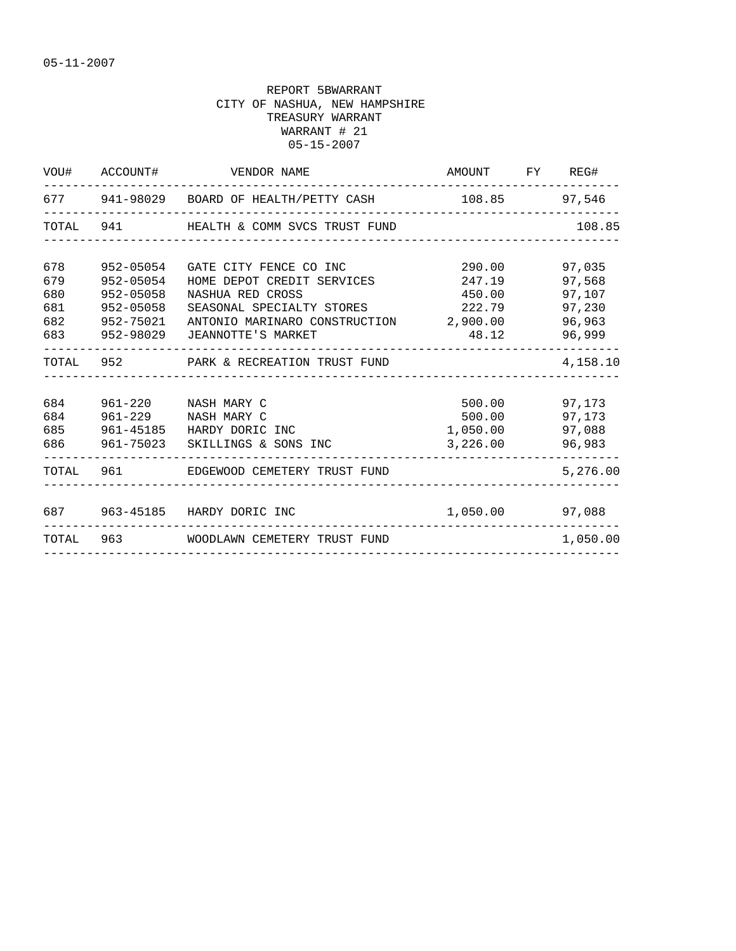|                          |                                                                   | VOU# ACCOUNT# VENDOR NAME                                                                                                                                                                  | AMOUNT FY REG#                                                |                                      |
|--------------------------|-------------------------------------------------------------------|--------------------------------------------------------------------------------------------------------------------------------------------------------------------------------------------|---------------------------------------------------------------|--------------------------------------|
|                          |                                                                   | 677 941-98029 BOARD OF HEALTH/PETTY CASH 108.85 97,546                                                                                                                                     |                                                               |                                      |
|                          |                                                                   | TOTAL 941 HEALTH & COMM SVCS TRUST FUND                                                                                                                                                    |                                                               | 108.85                               |
| 678<br>679<br>680<br>681 | 952-05054<br>952-05054<br>952-05058<br>952-05058<br>683 952-98029 | GATE CITY FENCE CO INC<br>HOME DEPOT CREDIT SERVICES<br>NASHUA RED CROSS<br>SEASONAL SPECIALTY STORES<br>682 952-75021 ANTONIO MARINARO CONSTRUCTION 2,900.00 96,963<br>JEANNOTTE'S MARKET | 290.00<br>247.19<br>450.00<br>222.79 97,230<br>48.12          | 97,035<br>97,568<br>97,107<br>96,999 |
|                          |                                                                   | TOTAL 952 PARK & RECREATION TRUST FUND                                                                                                                                                     |                                                               | 4,158.10                             |
| 684                      |                                                                   | 961-220 NASH MARY C<br>684 961-229 NASH MARY C<br>685 961-45185 HARDY DORIC INC<br>686 961-75023 SKILLINGS & SONS INC                                                                      | 500.00 97,173<br>500.00 97,173<br>1,050.00 97,088<br>3,226.00 | 96,983                               |
|                          |                                                                   | TOTAL 961 EDGEWOOD CEMETERY TRUST FUND                                                                                                                                                     |                                                               | 5,276.00                             |
|                          |                                                                   | 687 963-45185 HARDY DORIC INC<br>________________________________<br>TOTAL 963 WOODLAWN CEMETERY TRUST FUND                                                                                | 1,050.00 97,088                                               | 1,050.00                             |
|                          |                                                                   |                                                                                                                                                                                            | ______________________________                                |                                      |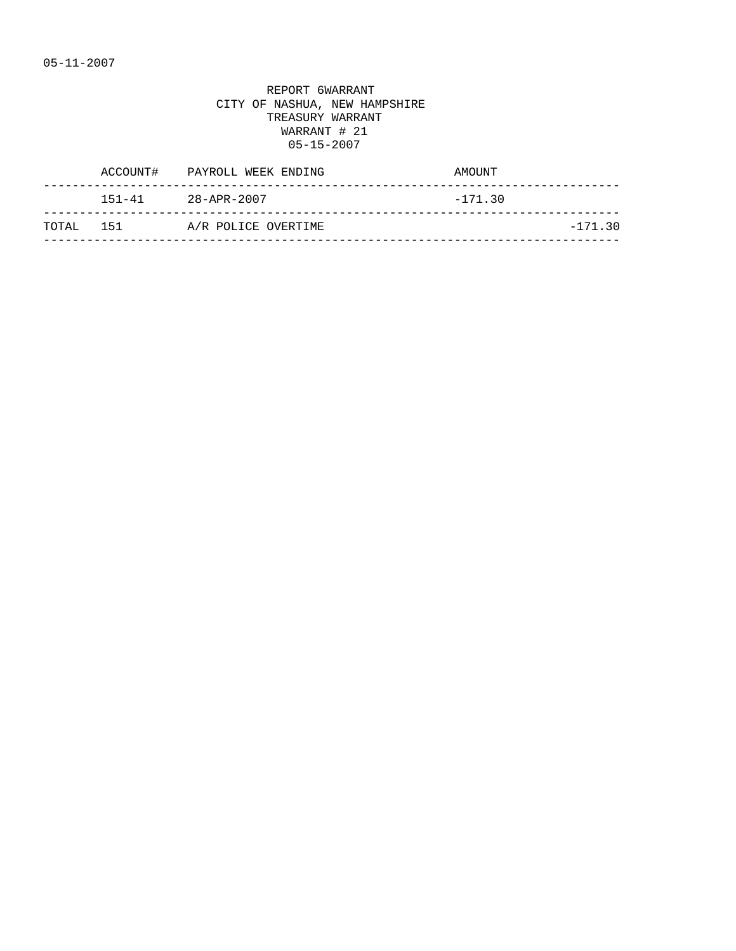| ACCOUNT#      | PAYROLL WEEK ENDING | AMOUNT    |
|---------------|---------------------|-----------|
| $151 - 41$    | 28-APR-2007         | $-171.30$ |
| 151<br>TOTAL. | A/R POLICE OVERTIME | $-171.30$ |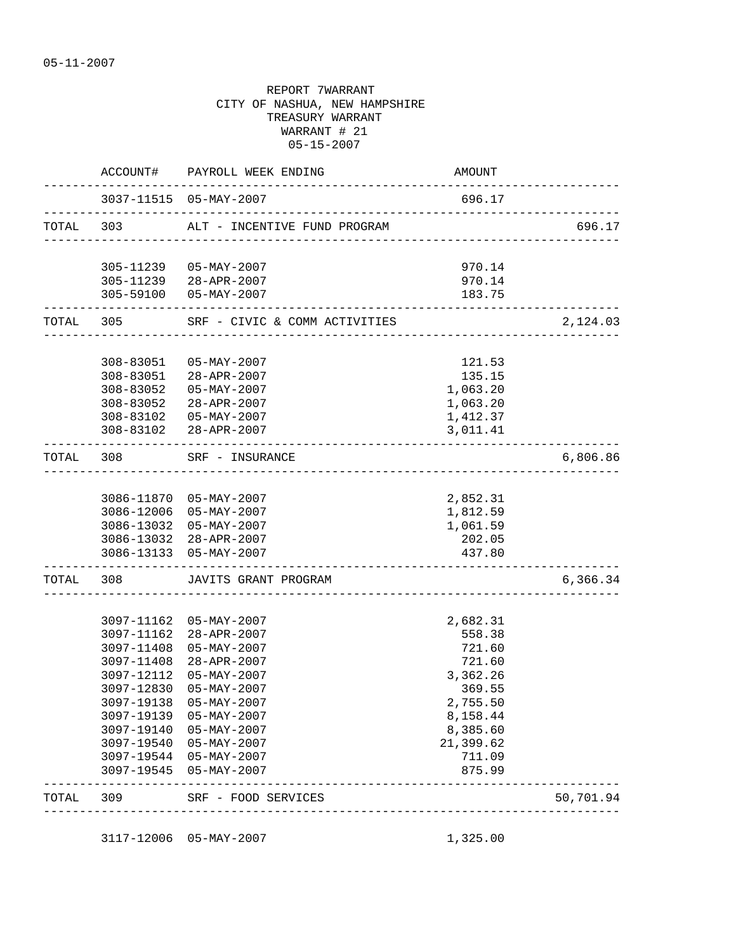|           | ACCOUNT#            | PAYROLL WEEK ENDING                                    | AMOUNT                                     |           |
|-----------|---------------------|--------------------------------------------------------|--------------------------------------------|-----------|
|           |                     |                                                        | 696.17                                     |           |
| TOTAL 303 |                     | ALT - INCENTIVE FUND PROGRAM                           |                                            | 696.17    |
|           |                     | 305-11239  05-MAY-2007                                 | 970.14                                     |           |
|           |                     | 305-11239 28-APR-2007                                  | 970.14                                     |           |
|           | ------------------- | 305-59100 05-MAY-2007                                  | 183.75                                     |           |
|           |                     | TOTAL 305 SRF - CIVIC & COMM ACTIVITIES                | _________________                          | 2,124.03  |
|           | 308-83051           | 05-MAY-2007                                            | 121.53                                     |           |
|           | 308-83051           | 28-APR-2007                                            | 135.15                                     |           |
|           | 308-83052           | 05-MAY-2007                                            | 1,063.20                                   |           |
|           | 308-83052           | 28-APR-2007                                            | 1,063.20                                   |           |
|           |                     | 308-83102  05-MAY-2007                                 | 1,412.37                                   |           |
|           |                     | 308-83102 28-APR-2007                                  | 3,011.41                                   |           |
| TOTAL 308 |                     | -----------------------------------<br>SRF - INSURANCE |                                            | 6,806.86  |
|           |                     |                                                        |                                            |           |
|           |                     | 3086-11870 05-MAY-2007                                 | 2,852.31                                   |           |
|           |                     | 3086-12006 05-MAY-2007                                 | 1,812.59                                   |           |
|           |                     | 3086-13032 05-MAY-2007                                 | 1,061.59                                   |           |
|           |                     | 3086-13032 28-APR-2007                                 | 202.05                                     |           |
|           |                     | 3086-13133 05-MAY-2007                                 | 437.80<br>-------------------------------- |           |
|           | TOTAL 308           | JAVITS GRANT PROGRAM                                   |                                            | 6,366.34  |
|           |                     |                                                        |                                            |           |
|           | 3097-11162          | 3097-11162 05-MAY-2007<br>28-APR-2007                  | 2,682.31<br>558.38                         |           |
|           | 3097-11408          | $05 - MAX - 2007$                                      | 721.60                                     |           |
|           | 3097-11408          | 28-APR-2007                                            | 721.60                                     |           |
|           | 3097-12112          | $05 - \text{MAX} - 2007$                               | 3,362.26                                   |           |
|           | 3097-12830          | $05 - MAX - 2007$                                      | 369.55                                     |           |
|           | 3097-19138          | $05 - MAX - 2007$                                      | 2,755.50                                   |           |
|           | 3097-19139          | $05 - MAX - 2007$                                      | 8,158.44                                   |           |
|           | 3097-19140          | $05 - MAX - 2007$                                      | 8,385.60                                   |           |
|           | 3097-19540          | $05 - MAX - 2007$                                      | 21,399.62                                  |           |
|           | 3097-19544          | $05 - MAX - 2007$                                      | 711.09                                     |           |
|           | 3097-19545          | $05 - MAX - 2007$                                      | 875.99                                     |           |
| TOTAL     | 309                 | SRF - FOOD SERVICES                                    |                                            | 50,701.94 |
|           |                     |                                                        |                                            |           |

3117-12006 05-MAY-2007 1,325.00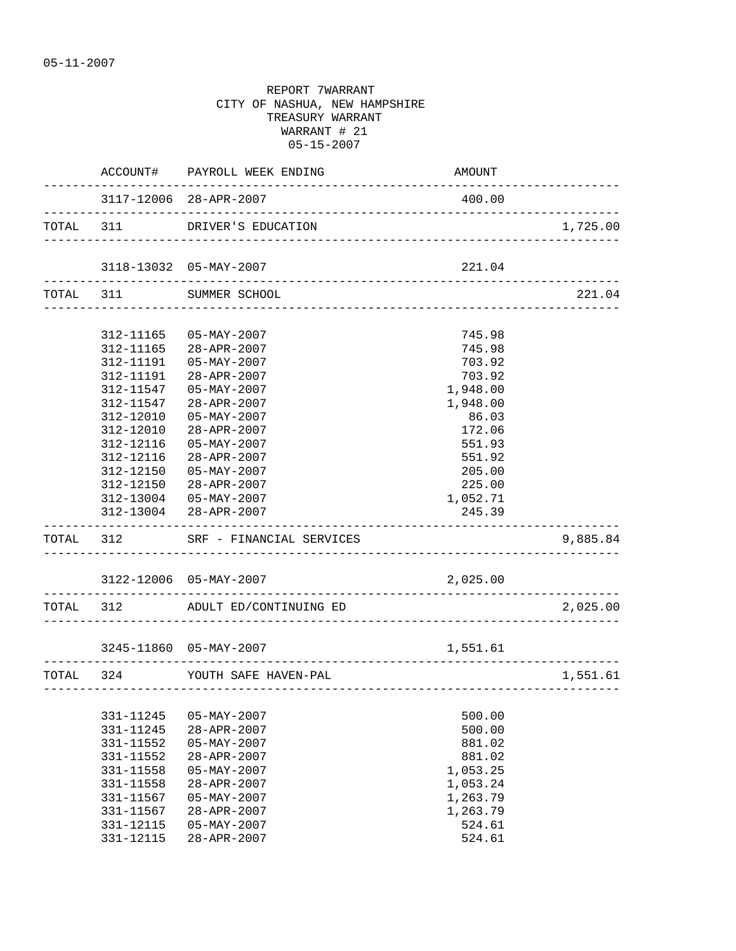|           |                        | ACCOUNT# PAYROLL WEEK ENDING                              | AMOUNT                            |          |
|-----------|------------------------|-----------------------------------------------------------|-----------------------------------|----------|
|           |                        | 3117-12006 28-APR-2007                                    | 400.00                            |          |
| TOTAL 311 |                        | DRIVER'S EDUCATION                                        |                                   | 1,725.00 |
|           | _____________________  | 3118-13032 05-MAY-2007                                    | 221.04                            |          |
|           |                        | TOTAL 311 SUMMER SCHOOL                                   |                                   | 221.04   |
|           |                        | $05 - MAX - 2007$                                         |                                   |          |
|           | 312-11165<br>312-11165 | 28-APR-2007                                               | 745.98<br>745.98                  |          |
|           | 312-11191              | $05 - MAX - 2007$                                         | 703.92                            |          |
|           | 312-11191              | 28-APR-2007                                               | 703.92                            |          |
|           | 312-11547              | $05 - MAX - 2007$                                         | 1,948.00                          |          |
|           | 312-11547              | 28-APR-2007                                               | 1,948.00                          |          |
|           | 312-12010              | $05 - MAX - 2007$                                         | 86.03                             |          |
|           | 312-12010              | 28-APR-2007                                               | 172.06                            |          |
|           | 312-12116              | $05 - MAX - 2007$                                         | 551.93                            |          |
|           | 312-12116              | 28-APR-2007                                               | 551.92                            |          |
|           | 312-12150              | $05 - MAX - 2007$                                         | 205.00                            |          |
|           | 312-12150              | 28-APR-2007                                               | 225.00                            |          |
|           | 312-13004              | $05 - MAX - 2007$                                         | 1,052.71                          |          |
|           |                        | 312-13004 28-APR-2007                                     | 245.39                            |          |
|           |                        | TOTAL 312 SRF - FINANCIAL SERVICES                        |                                   | 9,885.84 |
|           |                        | 3122-12006 05-MAY-2007                                    | 2,025.00                          |          |
|           |                        | TOTAL 312 ADULT ED/CONTINUING ED                          | --------------------------------- | 2,025.00 |
|           |                        | 3245-11860 05-MAY-2007                                    | 1,551.61                          |          |
| TOTAL 324 |                        | _________________________________<br>YOUTH SAFE HAVEN-PAL |                                   | 1,551.61 |
|           |                        | _____________                                             |                                   |          |
|           | 331-11245              | $05 - MAX - 2007$                                         | 500.00                            |          |
|           | 331-11245              | 28-APR-2007                                               | 500.00                            |          |
|           | 331-11552              | $05 - MAX - 2007$                                         | 881.02                            |          |
|           | 331-11552              | 28-APR-2007                                               | 881.02                            |          |
|           | 331-11558              | $05 - MAX - 2007$                                         | 1,053.25                          |          |
|           | 331-11558              | 28-APR-2007                                               | 1,053.24                          |          |
|           | 331-11567              | $05 - MAX - 2007$                                         | 1,263.79                          |          |
|           | 331-11567              | 28-APR-2007                                               | 1,263.79                          |          |
|           | 331-12115              | $05 - MAX - 2007$                                         | 524.61                            |          |
|           | 331-12115              | 28-APR-2007                                               | 524.61                            |          |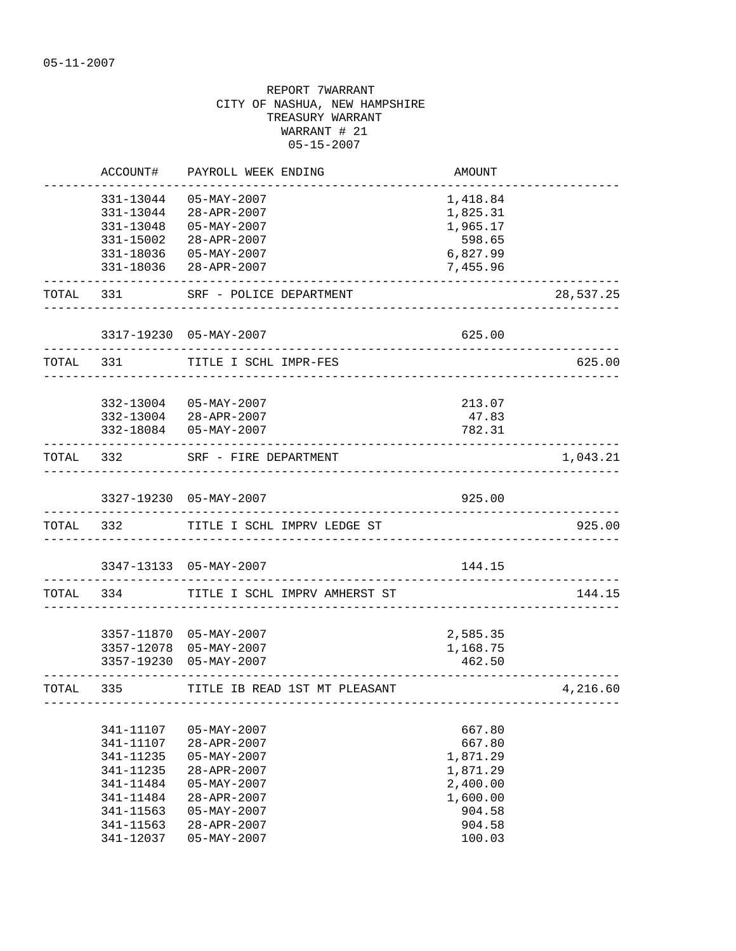|           | ACCOUNT#           | PAYROLL WEEK ENDING                         | AMOUNT                              |           |
|-----------|--------------------|---------------------------------------------|-------------------------------------|-----------|
|           | 331-13044          | $05 - MAX - 2007$                           | 1,418.84                            |           |
|           | 331-13044          | 28-APR-2007                                 | 1,825.31                            |           |
|           | 331-13048          | $05 - MAX - 2007$                           | 1,965.17                            |           |
|           | 331-15002          | 28-APR-2007                                 | 598.65                              |           |
|           | 331-18036          | 05-MAY-2007                                 | 6,827.99                            |           |
|           | 331-18036          | 28-APR-2007                                 | 7,455.96                            |           |
| TOTAL     | -----------<br>331 | SRF - POLICE DEPARTMENT                     |                                     | 28,537.25 |
|           |                    | 3317-19230 05-MAY-2007                      | 625.00                              |           |
| TOTAL 331 |                    | TITLE I SCHL IMPR-FES                       |                                     | 625.00    |
|           |                    | 332-13004 05-MAY-2007                       | 213.07                              |           |
|           |                    | 332-13004 28-APR-2007                       | 47.83                               |           |
|           |                    | 332-18084  05-MAY-2007                      | 782.31                              |           |
| TOTAL 332 |                    | SRF - FIRE DEPARTMENT                       | ___________________________________ | 1,043.21  |
|           |                    | 3327-19230 05-MAY-2007                      | 925.00                              |           |
| TOTAL 332 |                    | TITLE I SCHL IMPRV LEDGE ST                 |                                     | 925.00    |
|           |                    | 3347-13133 05-MAY-2007                      | 144.15                              |           |
| TOTAL     | 334                | TITLE I SCHL IMPRV AMHERST ST               |                                     | 144.15    |
|           |                    |                                             |                                     |           |
|           |                    | 3357-11870 05-MAY-2007                      | 2,585.35                            |           |
|           | 3357-19230         | 3357-12078 05-MAY-2007<br>$05 - MAX - 2007$ | 1,168.75<br>462.50                  |           |
| TOTAL 335 |                    | TITLE IB READ 1ST MT PLEASANT               |                                     |           |
|           |                    |                                             | _________________________________   | 4,216.60  |
|           | 341-11107          | $05 - MAX - 2007$                           | 667.80                              |           |
|           | 341-11107          | 28-APR-2007                                 | 667.80                              |           |
|           | 341-11235          | $05 - MAX - 2007$                           | 1,871.29                            |           |
|           | 341-11235          | 28-APR-2007                                 | 1,871.29                            |           |
|           | 341-11484          | $05 - MAX - 2007$                           | 2,400.00                            |           |
|           | 341-11484          | 28-APR-2007                                 | 1,600.00                            |           |
|           | 341-11563          | $05 - MAX - 2007$                           | 904.58                              |           |
|           | 341-11563          | 28-APR-2007                                 | 904.58                              |           |
|           | 341-12037          | $05 - MAX - 2007$                           | 100.03                              |           |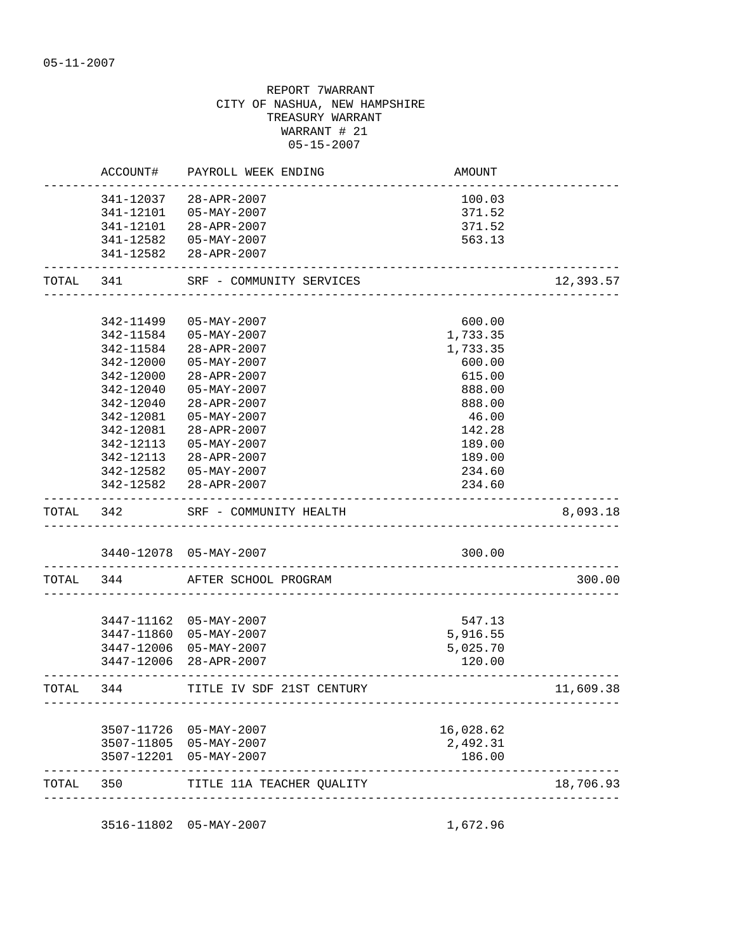|           | ACCOUNT#   | PAYROLL WEEK ENDING       | AMOUNT                          |           |
|-----------|------------|---------------------------|---------------------------------|-----------|
|           | 341-12037  | 28-APR-2007               | 100.03                          |           |
|           | 341-12101  | 05-MAY-2007               | 371.52                          |           |
|           | 341-12101  | 28-APR-2007               | 371.52                          |           |
|           | 341-12582  | 05-MAY-2007               | 563.13                          |           |
|           |            | 341-12582 28-APR-2007     |                                 |           |
| TOTAL     | 341        | SRF - COMMUNITY SERVICES  |                                 | 12,393.57 |
|           |            |                           |                                 |           |
|           | 342-11499  | $05 - MAX - 2007$         | 600.00                          |           |
|           | 342-11584  | $05 - MAX - 2007$         | 1,733.35                        |           |
|           | 342-11584  | 28-APR-2007               | 1,733.35                        |           |
|           | 342-12000  | $05 - MAX - 2007$         | 600.00                          |           |
|           | 342-12000  | 28-APR-2007               | 615.00                          |           |
|           | 342-12040  | $05 - MAX - 2007$         | 888.00                          |           |
|           | 342-12040  | 28-APR-2007               | 888.00                          |           |
|           | 342-12081  | $05 - MAX - 2007$         | 46.00                           |           |
|           | 342-12081  | $28 - APR - 2007$         | 142.28                          |           |
|           | 342-12113  | $05 - MAX - 2007$         | 189.00                          |           |
|           | 342-12113  | 28-APR-2007               | 189.00                          |           |
|           |            | 342-12582  05-MAY-2007    | 234.60                          |           |
|           |            | 342-12582 28-APR-2007     | 234.60                          |           |
| TOTAL     | 342        | SRF - COMMUNITY HEALTH    |                                 | 8,093.18  |
|           |            | 3440-12078 05-MAY-2007    | 300.00                          |           |
| TOTAL 344 |            | AFTER SCHOOL PROGRAM      | _____________________           | 300.00    |
|           |            |                           |                                 |           |
|           |            | 3447-11162 05-MAY-2007    | 547.13                          |           |
|           |            | 3447-11860 05-MAY-2007    | 5,916.55                        |           |
|           | 3447-12006 | 05-MAY-2007               | 5,025.70                        |           |
|           |            | 3447-12006 28-APR-2007    | 120.00                          |           |
| TOTAL     | 344        | TITLE IV SDF 21ST CENTURY | _______________________________ | 11,609.38 |
|           |            |                           |                                 |           |
|           | 3507-11726 | 05-MAY-2007               | 16,028.62                       |           |
|           | 3507-11805 | 05-MAY-2007               | 2,492.31                        |           |
|           | 3507-12201 | 05-MAY-2007               | 186.00                          |           |
|           |            |                           |                                 |           |

3516-11802 05-MAY-2007 1,672.96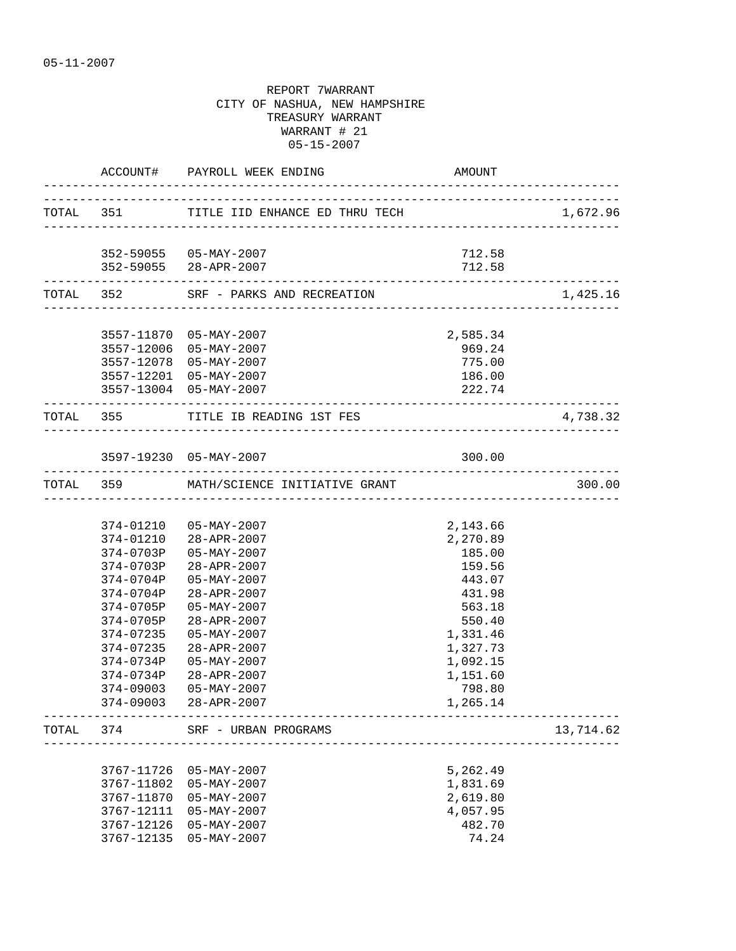|       |            | ACCOUNT# PAYROLL WEEK ENDING             | AMOUNT                         |           |
|-------|------------|------------------------------------------|--------------------------------|-----------|
|       |            | TOTAL 351 TITLE IID ENHANCE ED THRU TECH |                                | 1,672.96  |
|       |            | 352-59055  05-MAY-2007                   | 712.58                         |           |
|       |            | 352-59055 28-APR-2007                    | 712.58                         |           |
|       |            | TOTAL 352 SRF - PARKS AND RECREATION     |                                | 1,425.16  |
|       |            | 3557-11870 05-MAY-2007                   | 2,585.34                       |           |
|       |            | 3557-12006 05-MAY-2007                   | 969.24                         |           |
|       |            | 3557-12078 05-MAY-2007                   | 775.00                         |           |
|       |            | 3557-12201 05-MAY-2007                   | 186.00                         |           |
|       |            | 3557-13004 05-MAY-2007                   | 222.74                         |           |
|       |            | TOTAL 355 TITLE IB READING 1ST FES       | ------------------------------ | 4,738.32  |
|       |            |                                          |                                |           |
|       |            | 3597-19230 05-MAY-2007                   | 300.00                         |           |
|       |            | TOTAL 359 MATH/SCIENCE INITIATIVE GRANT  |                                | 300.00    |
|       |            |                                          |                                |           |
|       |            | 374-01210 05-MAY-2007                    | 2,143.66                       |           |
|       |            | 374-01210 28-APR-2007                    | 2,270.89                       |           |
|       | 374-0703P  | $05 - MAX - 2007$                        | 185.00                         |           |
|       | 374-0703P  | 28-APR-2007                              | 159.56                         |           |
|       | 374-0704P  | $05 - MAX - 2007$                        | 443.07                         |           |
|       | 374-0704P  | 28-APR-2007                              | 431.98                         |           |
|       | 374-0705P  | 05-MAY-2007                              | 563.18                         |           |
|       | 374-0705P  | 28-APR-2007                              | 550.40                         |           |
|       | 374-07235  | 05-MAY-2007                              | 1,331.46                       |           |
|       | 374-07235  | $28 - APR - 2007$                        | 1,327.73                       |           |
|       | 374-0734P  | $05 - MAX - 2007$                        | 1,092.15                       |           |
|       |            | 374-0734P 28-APR-2007                    | 1,151.60                       |           |
|       | 374-09003  | $05 - MAX - 2007$                        | 798.80                         |           |
|       |            | 374-09003 28-APR-2007                    | 1,265.14                       |           |
| TOTAL | 374        | SRF - URBAN PROGRAMS                     |                                | 13,714.62 |
|       |            |                                          |                                |           |
|       | 3767-11726 | $05 - MAX - 2007$                        | 5,262.49                       |           |
|       | 3767-11802 | $05 - MAX - 2007$                        | 1,831.69                       |           |
|       | 3767-11870 | $05 - MAX - 2007$                        | 2,619.80                       |           |
|       | 3767-12111 | $05 - MAX - 2007$                        | 4,057.95                       |           |
|       | 3767-12126 | $05 - MAX - 2007$                        | 482.70                         |           |
|       | 3767-12135 | $05 - MAX - 2007$                        | 74.24                          |           |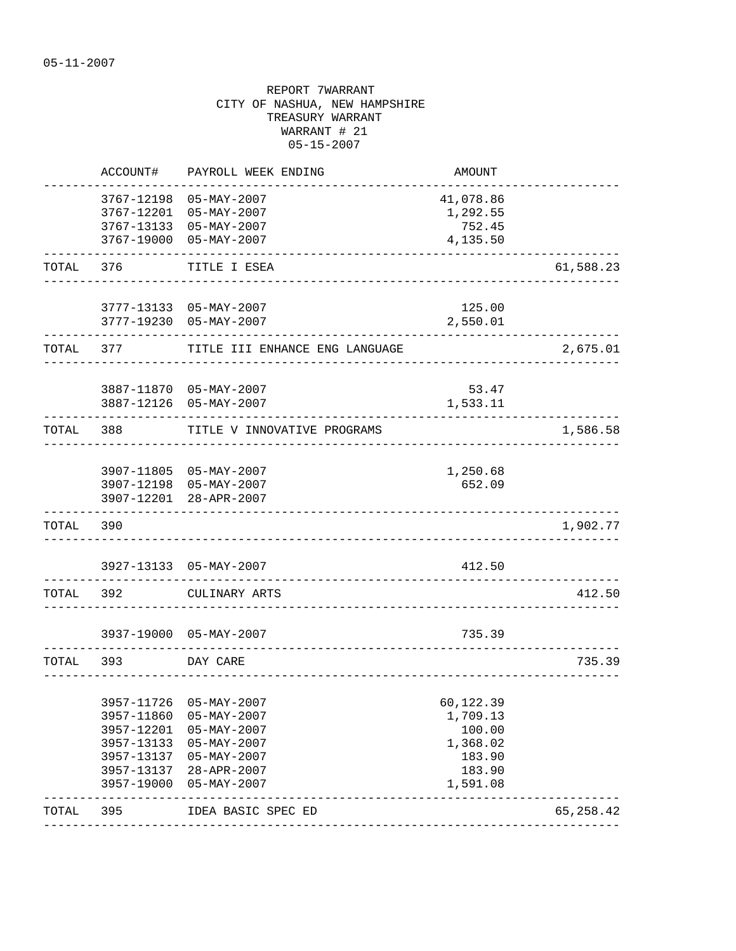|       | ACCOUNT#                 | PAYROLL WEEK ENDING                                 | AMOUNT           |            |
|-------|--------------------------|-----------------------------------------------------|------------------|------------|
|       | 3767-12198               | $05 - MAX - 2007$                                   | 41,078.86        |            |
|       | 3767-12201               | $05 - MAX - 2007$                                   | 1,292.55         |            |
|       | 3767-13133               | 05-MAY-2007                                         | 752.45           |            |
|       | 3767-19000               | $05 - MAX - 2007$                                   | 4,135.50         |            |
| TOTAL | 376                      | TITLE I ESEA                                        |                  | 61,588.23  |
|       |                          | 3777-13133 05-MAY-2007                              | 125.00           |            |
|       |                          | 3777-19230 05-MAY-2007                              | 2,550.01         |            |
| TOTAL | 377                      | TITLE III ENHANCE ENG LANGUAGE                      |                  | 2,675.01   |
|       | 3887-11870               | 05-MAY-2007                                         | 53.47            |            |
|       | 3887-12126               | $05 - MAX - 2007$                                   | 1,533.11         |            |
| TOTAL | 388                      | TITLE V INNOVATIVE PROGRAMS                         |                  | 1,586.58   |
|       |                          |                                                     |                  |            |
|       |                          | 3907-11805 05-MAY-2007                              | 1,250.68         |            |
|       |                          | 3907-12198 05-MAY-2007                              | 652.09           |            |
|       |                          | 3907-12201 28-APR-2007                              |                  |            |
| TOTAL | 390                      |                                                     |                  | 1,902.77   |
|       |                          |                                                     |                  |            |
|       | 3927-13133               | $05 - MAX - 2007$                                   | 412.50           |            |
| TOTAL | 392                      | CULINARY ARTS                                       |                  | 412.50     |
|       |                          | 3937-19000 05-MAY-2007                              | 735.39           |            |
| TOTAL | 393                      | DAY CARE                                            |                  | 735.39     |
|       |                          |                                                     |                  |            |
|       | 3957-11726               | $05 - MAX - 2007$                                   | 60,122.39        |            |
|       | 3957-11860               | $05 - MAX - 2007$                                   | 1,709.13         |            |
|       | 3957-12201               | $05 - MAX - 2007$                                   | 100.00           |            |
|       | 3957-13133               | $05 - MAX - 2007$                                   | 1,368.02         |            |
|       | 3957-13137               | $05 - MAX - 2007$<br>28-APR-2007                    | 183.90<br>183.90 |            |
|       | 3957-13137<br>3957-19000 | $05 - MAX - 2007$                                   | 1,591.08         |            |
| TOTAL | 395                      | -----------------------------<br>IDEA BASIC SPEC ED |                  | 65, 258.42 |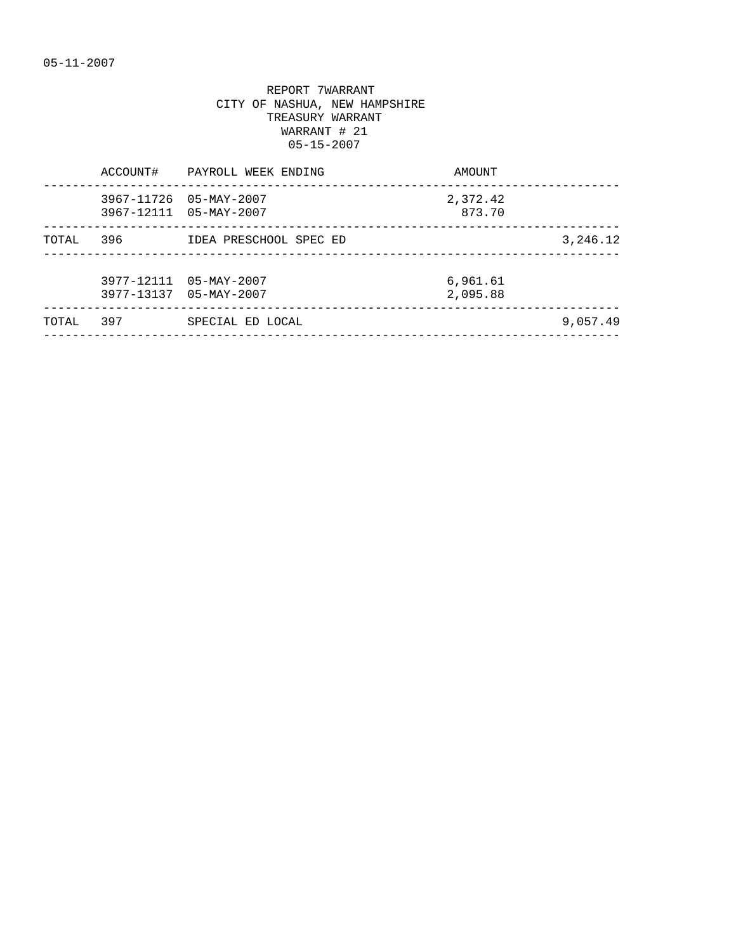|       | ACCOUNT# | PAYROLL WEEK ENDING                              | AMOUNT               |          |
|-------|----------|--------------------------------------------------|----------------------|----------|
|       |          | 3967-11726 05-MAY-2007<br>3967-12111 05-MAY-2007 | 2,372.42<br>873.70   |          |
| TOTAL | 396      | IDEA PRESCHOOL SPEC ED                           |                      | 3,246.12 |
|       |          | 3977-12111 05-MAY-2007<br>3977-13137 05-MAY-2007 | 6,961.61<br>2,095.88 |          |
| TOTAL | 397      | SPECIAL ED LOCAL                                 |                      | 9,057.49 |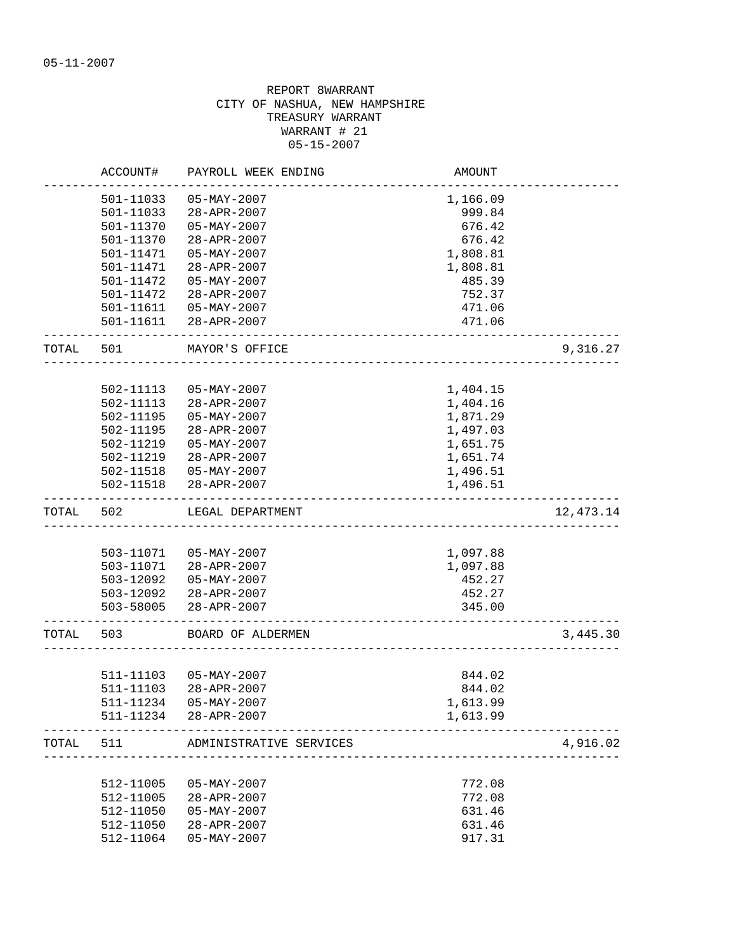|           | ACCOUNT#               | PAYROLL WEEK ENDING     | AMOUNT   |           |
|-----------|------------------------|-------------------------|----------|-----------|
|           | 501-11033              | $05 - MAX - 2007$       | 1,166.09 |           |
|           | 501-11033              | 28-APR-2007             | 999.84   |           |
|           | 501-11370              | $05 - MAX - 2007$       | 676.42   |           |
|           | 501-11370              | 28-APR-2007             | 676.42   |           |
|           | 501-11471              | $05 - MAX - 2007$       | 1,808.81 |           |
|           | 501-11471              | 28-APR-2007             | 1,808.81 |           |
|           | 501-11472              | $05 - MAX - 2007$       | 485.39   |           |
|           | 501-11472              | 28-APR-2007             | 752.37   |           |
|           | 501-11611              | 05-MAY-2007             | 471.06   |           |
|           |                        | 501-11611 28-APR-2007   | 471.06   |           |
| TOTAL     | 501                    | MAYOR'S OFFICE          |          | 9,316.27  |
|           |                        |                         |          |           |
|           | 502-11113              | $05 - MAX - 2007$       | 1,404.15 |           |
|           | 502-11113              | $28 - APR - 2007$       | 1,404.16 |           |
|           | 502-11195              | $05 - MAX - 2007$       | 1,871.29 |           |
|           | 502-11195              | 28-APR-2007             | 1,497.03 |           |
|           | 502-11219              | $05 - MAX - 2007$       | 1,651.75 |           |
|           | 502-11219              | 28-APR-2007             | 1,651.74 |           |
|           | 502-11518              | 05-MAY-2007             | 1,496.51 |           |
|           | 502-11518              | 28-APR-2007             | 1,496.51 |           |
| TOTAL     | 502                    | LEGAL DEPARTMENT        |          | 12,473.14 |
|           |                        |                         |          |           |
|           | 503-11071              | 05-MAY-2007             | 1,097.88 |           |
|           | 503-11071              | 28-APR-2007             | 1,097.88 |           |
|           | 503-12092              | 05-MAY-2007             | 452.27   |           |
|           | 503-12092              | 28-APR-2007             | 452.27   |           |
|           | 503-58005              | 28-APR-2007             | 345.00   |           |
| TOTAL 503 |                        | BOARD OF ALDERMEN       |          | 3,445.30  |
|           |                        |                         |          |           |
|           |                        | 511-11103  05-MAY-2007  | 844.02   |           |
|           | 511-11103              | 28-APR-2007             | 844.02   |           |
|           | 511-11234              | $05 - MAX - 2007$       | 1,613.99 |           |
|           | 511-11234              | 28-APR-2007             | 1,613.99 |           |
| TOTAL     | 511                    | ADMINISTRATIVE SERVICES |          | 4,916.02  |
|           |                        |                         |          |           |
|           | 512-11005<br>512-11005 | $05 - MAX - 2007$       | 772.08   |           |
|           |                        | 28-APR-2007             | 772.08   |           |
|           | 512-11050              | $05 - MAX - 2007$       | 631.46   |           |
|           | 512-11050              | 28-APR-2007             | 631.46   |           |
|           | 512-11064              | $05 - MAX - 2007$       | 917.31   |           |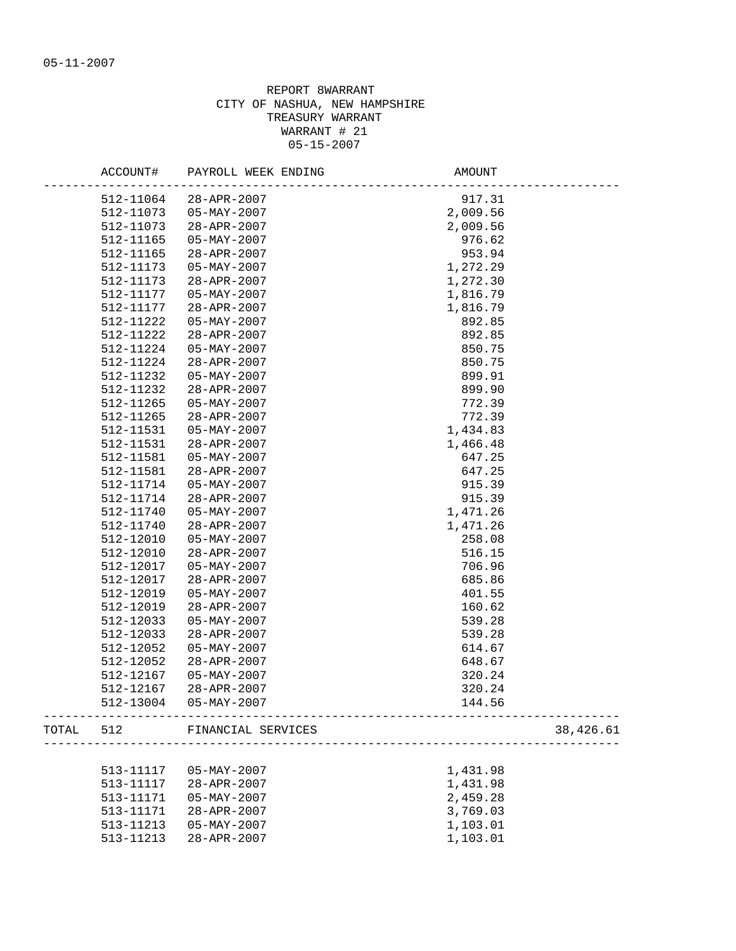|       | ACCOUNT#               | PAYROLL WEEK ENDING      | AMOUNT                                  |
|-------|------------------------|--------------------------|-----------------------------------------|
|       | 512-11064              | 28-APR-2007              | 917.31                                  |
|       | 512-11073              | 05-MAY-2007              | 2,009.56                                |
|       | 512-11073              | 28-APR-2007              | 2,009.56                                |
|       | 512-11165              | $05 - MAX - 2007$        | 976.62                                  |
|       | 512-11165              | $28 - APR - 2007$        | 953.94                                  |
|       | 512-11173              | 05-MAY-2007              | 1,272.29                                |
|       | 512-11173              | 28-APR-2007              | 1,272.30                                |
|       | 512-11177              | $05 - \text{MAX} - 2007$ | 1,816.79                                |
|       | 512-11177              | 28-APR-2007              | 1,816.79                                |
|       | 512-11222              | $05 - MAX - 2007$        | 892.85                                  |
|       | 512-11222              | $28 - APR - 2007$        | 892.85                                  |
|       | 512-11224              | $05 - MAX - 2007$        | 850.75                                  |
|       | 512-11224              | 28-APR-2007              | 850.75                                  |
|       | 512-11232              | 05-MAY-2007              | 899.91                                  |
|       |                        |                          |                                         |
|       | 512-11232<br>512-11265 | 28-APR-2007              | 899.90<br>772.39                        |
|       |                        | 05-MAY-2007              |                                         |
|       | 512-11265              | $28 - APR - 2007$        | 772.39                                  |
|       | 512-11531              | 05-MAY-2007              | 1,434.83                                |
|       | 512-11531              | 28-APR-2007              | 1,466.48                                |
|       | 512-11581              | $05 - MAX - 2007$        | 647.25                                  |
|       | 512-11581              | 28-APR-2007              | 647.25                                  |
|       | 512-11714              | 05-MAY-2007              | 915.39                                  |
|       | 512-11714              | 28-APR-2007              | 915.39                                  |
|       | 512-11740              | 05-MAY-2007              | 1,471.26                                |
|       | 512-11740              | 28-APR-2007              | 1,471.26                                |
|       | 512-12010              | 05-MAY-2007              | 258.08                                  |
|       | 512-12010              | 28-APR-2007              | 516.15                                  |
|       | 512-12017              | $05 - MAX - 2007$        | 706.96                                  |
|       | 512-12017              | 28-APR-2007              | 685.86                                  |
|       | 512-12019              | $05 - MAX - 2007$        | 401.55                                  |
|       | 512-12019              | 28-APR-2007              | 160.62                                  |
|       | 512-12033              | $05 - MAX - 2007$        | 539.28                                  |
|       | 512-12033              | 28-APR-2007              | 539.28                                  |
|       | 512-12052              | 05-MAY-2007              | 614.67                                  |
|       | 512-12052              | 28-APR-2007              | 648.67                                  |
|       | 512-12167              | 05-MAY-2007              | 320.24                                  |
|       | 512-12167              | 28-APR-2007              | 320.24                                  |
|       | 512-13004              | $05 - MAX - 2007$        | 144.56                                  |
| TOTAL | 512                    | FINANCIAL SERVICES       | 38,426.61<br>__________________________ |
|       |                        |                          |                                         |
|       | 513-11117              | $05 - MAX - 2007$        | 1,431.98                                |
|       | 513-11117              | 28-APR-2007              | 1,431.98                                |
|       | 513-11171              | $05 - MAX - 2007$        | 2,459.28                                |
|       | 513-11171              | 28-APR-2007              | 3,769.03                                |
|       | 513-11213              | $05 - MAX - 2007$        | 1,103.01                                |
|       | 513-11213              | 28-APR-2007              | 1,103.01                                |
|       |                        |                          |                                         |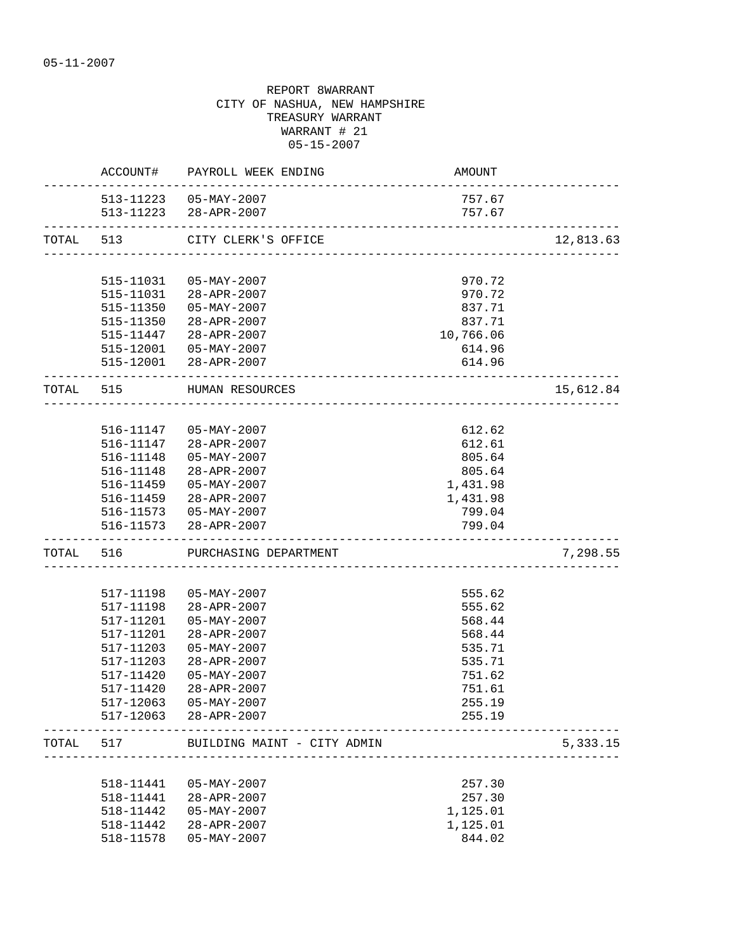|           | ACCOUNT#<br>------------ | PAYROLL WEEK ENDING                                      | AMOUNT                   |           |
|-----------|--------------------------|----------------------------------------------------------|--------------------------|-----------|
|           |                          | 513-11223  05-MAY-2007                                   | 757.67                   |           |
|           |                          | 513-11223 28-APR-2007                                    | 757.67                   |           |
| TOTAL 513 | -----------------------  | CITY CLERK'S OFFICE                                      |                          | 12,813.63 |
|           |                          |                                                          |                          |           |
|           | 515-11031                | 05-MAY-2007                                              | 970.72                   |           |
|           |                          | 515-11031 28-APR-2007                                    | 970.72                   |           |
|           |                          | 515-11350 05-MAY-2007                                    | 837.71                   |           |
|           |                          | 515-11350 28-APR-2007                                    | 837.71                   |           |
|           |                          | 515-11447 28-APR-2007                                    | 10,766.06                |           |
|           |                          | 515-12001  05-MAY-2007                                   | 614.96                   |           |
|           |                          | 515-12001 28-APR-2007                                    | 614.96                   |           |
|           |                          | TOTAL 515 HUMAN RESOURCES<br>--------------------------- |                          | 15,612.84 |
|           |                          |                                                          |                          |           |
|           |                          | 516-11147  05-MAY-2007                                   | 612.62                   |           |
|           |                          | 516-11147 28-APR-2007                                    | 612.61                   |           |
|           |                          | 516-11148  05-MAY-2007                                   | 805.64                   |           |
|           | 516-11148                | 28-APR-2007                                              | 805.64                   |           |
|           | 516-11459                | $05 - MAX - 2007$                                        | 1,431.98                 |           |
|           |                          | 516-11459 28-APR-2007                                    | 1,431.98                 |           |
|           |                          | 516-11573  05-MAY-2007                                   | 799.04                   |           |
|           |                          | 516-11573 28-APR-2007                                    | 799.04                   |           |
|           | -------------------      | TOTAL 516 PURCHASING DEPARTMENT                          | ________________________ | 7,298.55  |
|           |                          |                                                          |                          |           |
|           | 517-11198                | $05 - MAX - 2007$                                        | 555.62                   |           |
|           | 517-11198                | 28-APR-2007                                              | 555.62                   |           |
|           | 517-11201                | $05 - MAX - 2007$                                        | 568.44                   |           |
|           | 517-11201                | 28-APR-2007                                              | 568.44                   |           |
|           | 517-11203                | $05 - MAX - 2007$                                        | 535.71                   |           |
|           | 517-11203                | 28-APR-2007                                              | 535.71                   |           |
|           | 517-11420                | $05 - MAX - 2007$                                        | 751.62                   |           |
|           | 517-11420                | $28 - APR - 2007$                                        | 751.61                   |           |
|           | 517-12063                | $05 - MAX - 2007$                                        | 255.19                   |           |
|           | 517-12063                | 28-APR-2007                                              | 255.19                   |           |
| TOTAL     | 517                      | BUILDING MAINT - CITY ADMIN                              |                          | 5,333.15  |
|           |                          |                                                          |                          |           |
|           | 518-11441                | $05 - MAX - 2007$                                        | 257.30                   |           |
|           | 518-11441                | 28-APR-2007                                              | 257.30                   |           |
|           | 518-11442                | $05 - MAX - 2007$                                        | 1,125.01                 |           |
|           | 518-11442                | 28-APR-2007                                              | 1,125.01                 |           |
|           | 518-11578                | $05 - MAX - 2007$                                        | 844.02                   |           |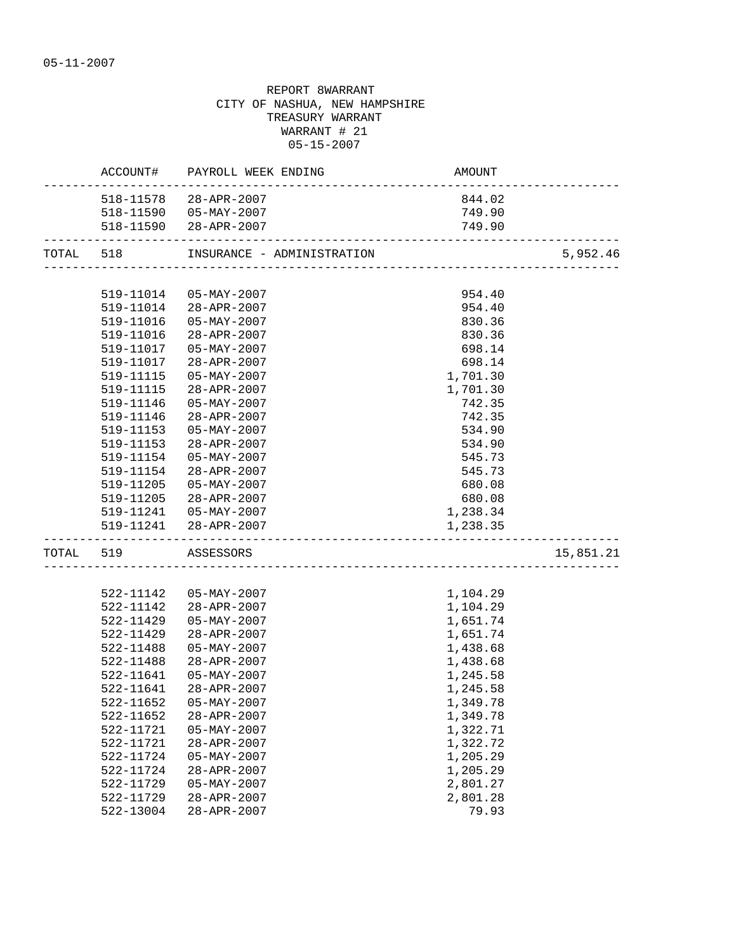|           |                     | ACCOUNT# PAYROLL WEEK ENDING | AMOUNT                                  |           |
|-----------|---------------------|------------------------------|-----------------------------------------|-----------|
|           |                     | 518-11578 28-APR-2007        | 844.02                                  |           |
|           |                     | 518-11590  05-MAY-2007       | 749.90                                  |           |
|           |                     | 518-11590 28-APR-2007        | 749.90<br>_____________________________ |           |
| TOTAL 518 |                     |                              |                                         | 5,952.46  |
|           |                     |                              |                                         |           |
|           | 519-11014           | 05-MAY-2007                  | 954.40                                  |           |
|           |                     | 519-11014 28-APR-2007        | 954.40                                  |           |
|           |                     | 519-11016  05-MAY-2007       | 830.36                                  |           |
|           |                     | 519-11016 28-APR-2007        | 830.36                                  |           |
|           |                     | 519-11017  05-MAY-2007       | 698.14                                  |           |
|           | 519-11017           | 28-APR-2007                  | 698.14                                  |           |
|           | 519-11115           | 05-MAY-2007                  | 1,701.30                                |           |
|           | 519-11115           | 28-APR-2007                  | 1,701.30                                |           |
|           | 519-11146           | $05 - MAX - 2007$            | 742.35                                  |           |
|           | 519-11146           | 28-APR-2007                  | 742.35                                  |           |
|           | 519-11153           | 05-MAY-2007                  | 534.90                                  |           |
|           | 519-11153           | 28-APR-2007                  | 534.90                                  |           |
|           | 519-11154           | 05-MAY-2007                  | 545.73                                  |           |
|           | 519-11154           | 28-APR-2007                  | 545.73                                  |           |
|           | 519-11205           | 05-MAY-2007                  | 680.08                                  |           |
|           |                     | 519-11205 28-APR-2007        | 680.08                                  |           |
|           |                     | 519-11241  05-MAY-2007       | 1,238.34                                |           |
|           |                     | 519-11241 28-APR-2007        | 1,238.35                                |           |
|           | TOTAL 519 ASSESSORS |                              |                                         | 15,851.21 |
|           |                     |                              |                                         |           |
|           |                     | 522-11142  05-MAY-2007       | 1,104.29                                |           |
|           | 522-11142           | 28-APR-2007                  | 1,104.29                                |           |
|           | 522-11429           | 05-MAY-2007                  | 1,651.74                                |           |
|           | 522-11429           | 28-APR-2007                  | 1,651.74                                |           |
|           | 522-11488           | $05 - MAX - 2007$            | 1,438.68                                |           |
|           | 522-11488           | 28-APR-2007                  | 1,438.68                                |           |
|           | 522-11641           | 05-MAY-2007                  | 1,245.58                                |           |
|           | 522-11641           | 28-APR-2007                  | 1,245.58                                |           |
|           | 522-11652           | 05-MAY-2007                  | 1,349.78                                |           |
|           | 522-11652           | 28-APR-2007                  | 1,349.78                                |           |
|           | 522-11721           | $05 - MAX - 2007$            | 1,322.71                                |           |
|           | 522-11721           | 28-APR-2007                  | 1,322.72                                |           |
|           | 522-11724           | $05 - MAX - 2007$            | 1,205.29                                |           |
|           | 522-11724           | 28-APR-2007                  | 1,205.29                                |           |
|           | 522-11729           | $05 - MAX - 2007$            | 2,801.27                                |           |
|           | 522-11729           | $28 - APR - 2007$            | 2,801.28                                |           |
|           | 522-13004           | 28-APR-2007                  | 79.93                                   |           |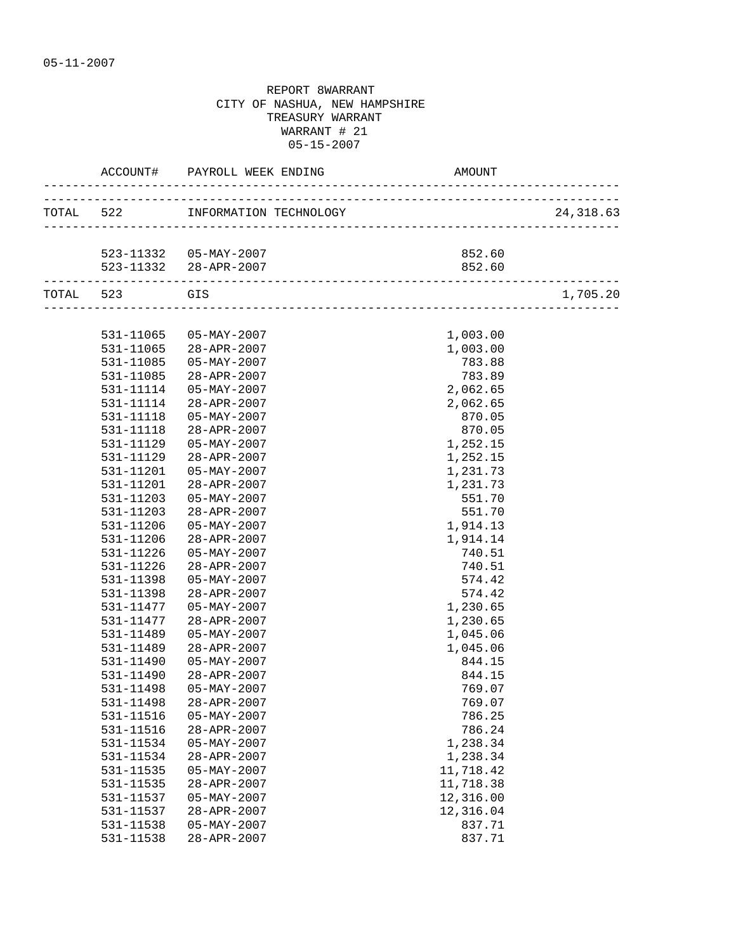|           |           | ACCOUNT# PAYROLL WEEK ENDING     | AMOUNT    |           |
|-----------|-----------|----------------------------------|-----------|-----------|
|           |           | TOTAL 522 INFORMATION TECHNOLOGY |           | 24,318.63 |
|           |           |                                  |           |           |
|           |           | 523-11332  05-MAY-2007           | 852.60    |           |
|           |           | 523-11332 28-APR-2007            | 852.60    |           |
| TOTAL 523 |           | <b>GIS</b>                       |           | 1,705.20  |
|           |           |                                  |           |           |
|           | 531-11065 | 05-MAY-2007                      | 1,003.00  |           |
|           |           | 531-11065 28-APR-2007            | 1,003.00  |           |
|           | 531-11085 | 05-MAY-2007                      | 783.88    |           |
|           | 531-11085 | 28-APR-2007                      | 783.89    |           |
|           | 531-11114 | $05 - MAX - 2007$                | 2,062.65  |           |
|           | 531-11114 | 28-APR-2007                      | 2,062.65  |           |
|           | 531-11118 | $05 - MAX - 2007$                | 870.05    |           |
|           | 531-11118 | 28-APR-2007                      | 870.05    |           |
|           | 531-11129 | $05 - MAX - 2007$                | 1,252.15  |           |
|           | 531-11129 | $28 - APR - 2007$                | 1,252.15  |           |
|           | 531-11201 | 05-MAY-2007                      | 1,231.73  |           |
|           | 531-11201 | 28-APR-2007                      | 1,231.73  |           |
|           | 531-11203 | 05-MAY-2007                      | 551.70    |           |
|           | 531-11203 | 28-APR-2007                      | 551.70    |           |
|           | 531-11206 | 05-MAY-2007                      | 1,914.13  |           |
|           | 531-11206 | 28-APR-2007                      | 1,914.14  |           |
|           | 531-11226 | $05 - MAX - 2007$                | 740.51    |           |
|           | 531-11226 | 28-APR-2007                      | 740.51    |           |
|           | 531-11398 | $05 - MAX - 2007$                | 574.42    |           |
|           | 531-11398 | $28 - APR - 2007$                | 574.42    |           |
|           | 531-11477 | 05-MAY-2007                      | 1,230.65  |           |
|           | 531-11477 | 28-APR-2007                      | 1,230.65  |           |
|           | 531-11489 | 05-MAY-2007                      | 1,045.06  |           |
|           | 531-11489 | 28-APR-2007                      | 1,045.06  |           |
|           | 531-11490 | $05 - MAX - 2007$                | 844.15    |           |
|           | 531-11490 | 28-APR-2007                      | 844.15    |           |
|           | 531-11498 | $05 - MAX - 2007$                | 769.07    |           |
|           | 531-11498 | 28-APR-2007                      | 769.07    |           |
|           | 531-11516 | $05 - MAX - 2007$                | 786.25    |           |
|           | 531-11516 | 28-APR-2007                      | 786.24    |           |
|           | 531-11534 | $05 - MAX - 2007$                | 1,238.34  |           |
|           | 531-11534 | 28-APR-2007                      | 1,238.34  |           |
|           | 531-11535 | $05 - MAX - 2007$                | 11,718.42 |           |
|           | 531-11535 | 28-APR-2007                      | 11,718.38 |           |
|           | 531-11537 | $05 - MAX - 2007$                | 12,316.00 |           |
|           | 531-11537 | 28-APR-2007                      | 12,316.04 |           |
|           | 531-11538 | $05 - MAX - 2007$                | 837.71    |           |
|           | 531-11538 | 28-APR-2007                      | 837.71    |           |
|           |           |                                  |           |           |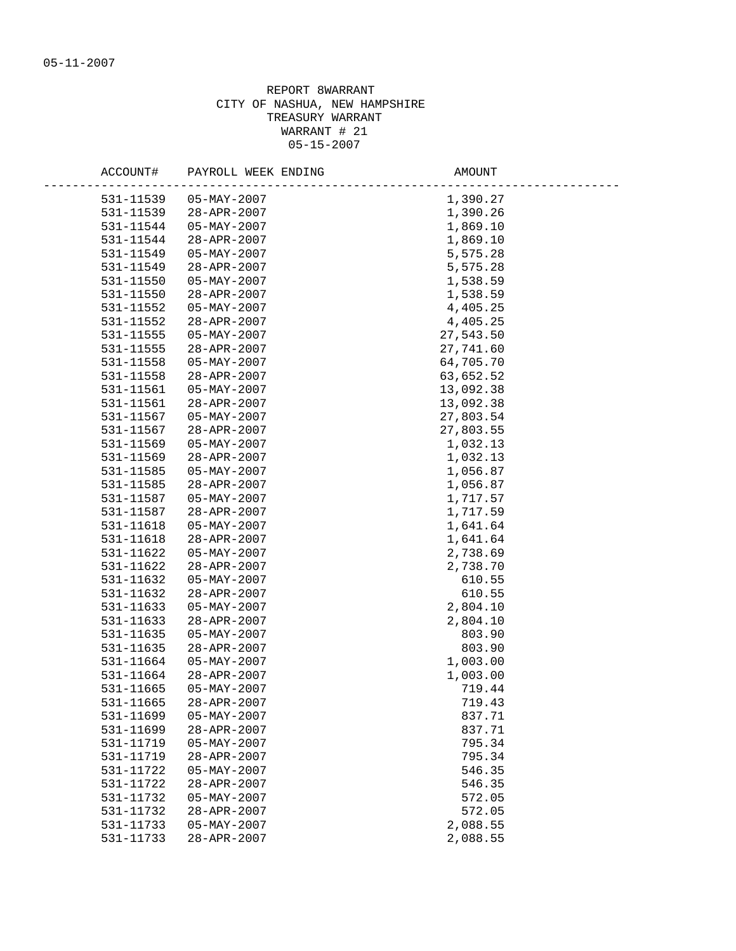| ACCOUNT#  | PAYROLL WEEK ENDING      | AMOUNT    |
|-----------|--------------------------|-----------|
| 531-11539 | $05 - MAX - 2007$        | 1,390.27  |
| 531-11539 | 28-APR-2007              | 1,390.26  |
| 531-11544 | 05-MAY-2007              | 1,869.10  |
| 531-11544 | 28-APR-2007              | 1,869.10  |
| 531-11549 | $05 - MAX - 2007$        | 5,575.28  |
| 531-11549 | 28-APR-2007              | 5,575.28  |
| 531-11550 | 05-MAY-2007              | 1,538.59  |
| 531-11550 | 28-APR-2007              | 1,538.59  |
| 531-11552 | $05 - MAX - 2007$        | 4,405.25  |
| 531-11552 | 28-APR-2007              | 4,405.25  |
| 531-11555 | $05 - MAX - 2007$        | 27,543.50 |
| 531-11555 | 28-APR-2007              | 27,741.60 |
| 531-11558 | $05 - \text{MAY} - 2007$ | 64,705.70 |
| 531-11558 | 28-APR-2007              | 63,652.52 |
| 531-11561 | $05 - \text{MAY} - 2007$ | 13,092.38 |
| 531-11561 | 28-APR-2007              | 13,092.38 |
| 531-11567 | $05 - \text{MAY} - 2007$ | 27,803.54 |
| 531-11567 | 28-APR-2007              | 27,803.55 |
| 531-11569 | $05 - \text{MAX} - 2007$ | 1,032.13  |
| 531-11569 | $28 - APR - 2007$        | 1,032.13  |
| 531-11585 | $05 - MAX - 2007$        | 1,056.87  |
| 531-11585 | 28-APR-2007              | 1,056.87  |
| 531-11587 | $05 - \text{MAY} - 2007$ | 1,717.57  |
| 531-11587 | 28-APR-2007              | 1,717.59  |
| 531-11618 | $05 - MAX - 2007$        | 1,641.64  |
| 531-11618 | 28-APR-2007              | 1,641.64  |
| 531-11622 | $05 - \text{MAX} - 2007$ | 2,738.69  |
| 531-11622 | 28-APR-2007              | 2,738.70  |
| 531-11632 | $05 - \text{MAX} - 2007$ | 610.55    |
| 531-11632 | 28-APR-2007              | 610.55    |
| 531-11633 | $05 - MAX - 2007$        | 2,804.10  |
| 531-11633 | 28-APR-2007              | 2,804.10  |
| 531-11635 | $05 - MAX - 2007$        | 803.90    |
| 531-11635 | 28-APR-2007              | 803.90    |
| 531-11664 | $05 - \text{MAY} - 2007$ | 1,003.00  |
| 531-11664 | 28-APR-2007              | 1,003.00  |
| 531-11665 | $05 - MAX - 2007$        | 719.44    |
| 531-11665 | 28-APR-2007              | 719.43    |
| 531-11699 | $05 - MAX - 2007$        | 837.71    |
| 531-11699 | 28-APR-2007              | 837.71    |
| 531-11719 | $05 - MAX - 2007$        | 795.34    |
| 531-11719 | 28-APR-2007              | 795.34    |
| 531-11722 | $05 - MAX - 2007$        | 546.35    |
| 531-11722 | 28-APR-2007              | 546.35    |
| 531-11732 | $05 - MAX - 2007$        | 572.05    |
| 531-11732 | 28-APR-2007              | 572.05    |
| 531-11733 | $05 - MAX - 2007$        | 2,088.55  |
| 531-11733 | 28-APR-2007              | 2,088.55  |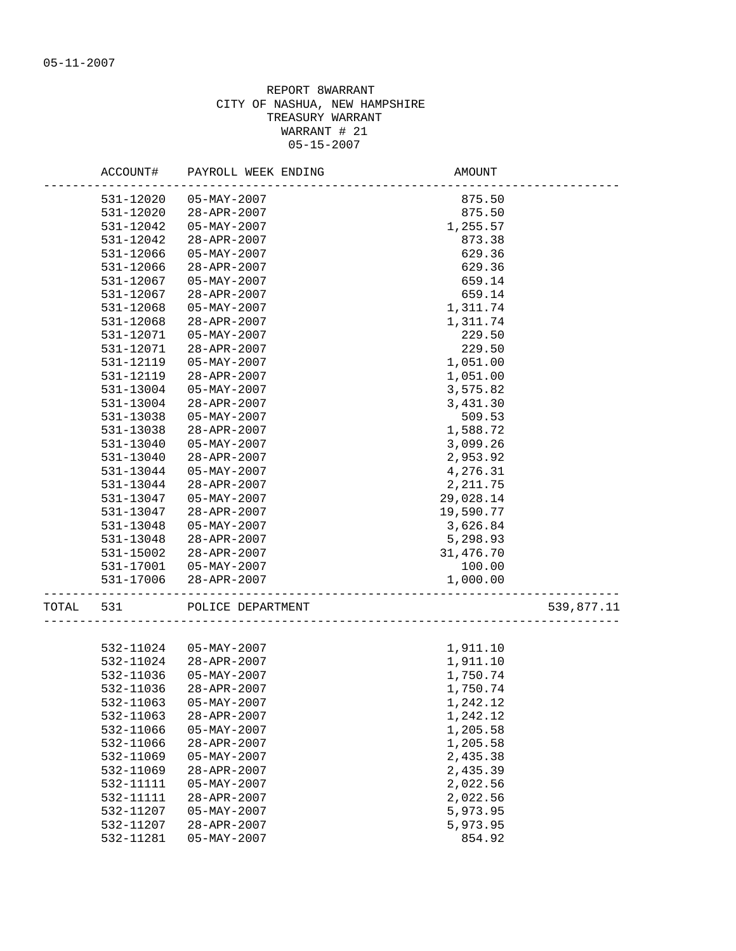|       | ACCOUNT#  | PAYROLL WEEK ENDING | AMOUNT    |            |
|-------|-----------|---------------------|-----------|------------|
|       | 531-12020 | $05 - MAX - 2007$   | 875.50    |            |
|       | 531-12020 | 28-APR-2007         | 875.50    |            |
|       | 531-12042 | $05 - MAX - 2007$   | 1,255.57  |            |
|       | 531-12042 | 28-APR-2007         | 873.38    |            |
|       | 531-12066 | $05 - MAX - 2007$   | 629.36    |            |
|       | 531-12066 | 28-APR-2007         | 629.36    |            |
|       | 531-12067 | $05 - MAX - 2007$   | 659.14    |            |
|       | 531-12067 | $28 - APR - 2007$   | 659.14    |            |
|       | 531-12068 | $05 - MAX - 2007$   | 1,311.74  |            |
|       | 531-12068 | 28-APR-2007         | 1,311.74  |            |
|       | 531-12071 | $05 - MAX - 2007$   | 229.50    |            |
|       | 531-12071 | 28-APR-2007         | 229.50    |            |
|       | 531-12119 | $05 - MAX - 2007$   | 1,051.00  |            |
|       | 531-12119 | $28 - APR - 2007$   | 1,051.00  |            |
|       | 531-13004 | $05 - MAX - 2007$   | 3,575.82  |            |
|       | 531-13004 | 28-APR-2007         | 3,431.30  |            |
|       | 531-13038 | $05 - MAX - 2007$   | 509.53    |            |
|       | 531-13038 | 28-APR-2007         | 1,588.72  |            |
|       | 531-13040 | 05-MAY-2007         | 3,099.26  |            |
|       | 531-13040 | 28-APR-2007         | 2,953.92  |            |
|       | 531-13044 | $05 - MAX - 2007$   | 4,276.31  |            |
|       | 531-13044 | 28-APR-2007         | 2, 211.75 |            |
|       | 531-13047 | $05 - MAX - 2007$   | 29,028.14 |            |
|       | 531-13047 | $28 - APR - 2007$   | 19,590.77 |            |
|       | 531-13048 | $05 - MAX - 2007$   | 3,626.84  |            |
|       | 531-13048 | 28-APR-2007         | 5,298.93  |            |
|       | 531-15002 | 28-APR-2007         | 31,476.70 |            |
|       | 531-17001 | 05-MAY-2007         | 100.00    |            |
|       | 531-17006 | 28-APR-2007         | 1,000.00  |            |
| TOTAL | 531       | POLICE DEPARTMENT   |           | 539,877.11 |
|       |           |                     |           |            |
|       | 532-11024 | $05 - MAX - 2007$   | 1,911.10  |            |
|       | 532-11024 | 28-APR-2007         | 1,911.10  |            |
|       | 532-11036 | 05-MAY-2007         | 1,750.74  |            |
|       | 532-11036 | 28-APR-2007         | 1,750.74  |            |
|       | 532-11063 | $05 - MAX - 2007$   | 1,242.12  |            |
|       | 532-11063 | 28-APR-2007         | 1,242.12  |            |
|       | 532-11066 | $05 - MAX - 2007$   | 1,205.58  |            |
|       | 532-11066 | 28-APR-2007         | 1,205.58  |            |
|       | 532-11069 | $05 - MAX - 2007$   | 2,435.38  |            |
|       | 532-11069 | 28-APR-2007         | 2,435.39  |            |
|       | 532-11111 | $05 - MAX - 2007$   | 2,022.56  |            |
|       | 532-11111 | 28-APR-2007         | 2,022.56  |            |
|       | 532-11207 | $05 - MAX - 2007$   | 5,973.95  |            |
|       | 532-11207 | 28-APR-2007         | 5,973.95  |            |
|       | 532-11281 | $05 - MAX - 2007$   | 854.92    |            |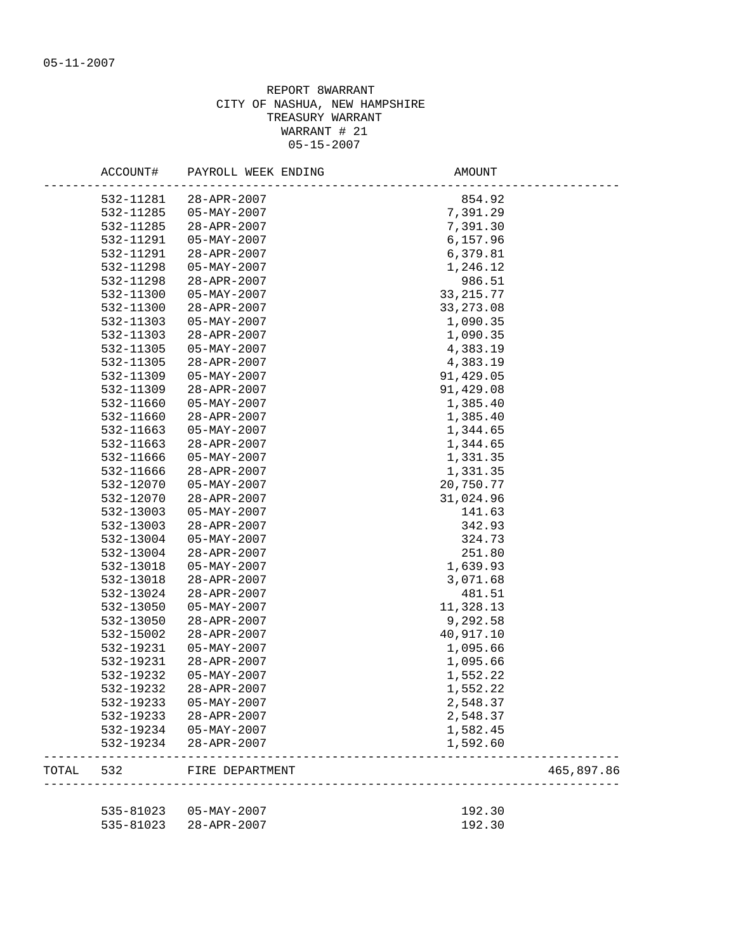|       | ACCOUNT#  | PAYROLL WEEK ENDING      | AMOUNT      |            |
|-------|-----------|--------------------------|-------------|------------|
|       | 532-11281 | 28-APR-2007              | 854.92      |            |
|       | 532-11285 | 05-MAY-2007              | 7,391.29    |            |
|       | 532-11285 | 28-APR-2007              | 7,391.30    |            |
|       | 532-11291 | 05-MAY-2007              | 6,157.96    |            |
|       | 532-11291 | 28-APR-2007              | 6,379.81    |            |
|       | 532-11298 | $05 - \text{MAX} - 2007$ | 1,246.12    |            |
|       | 532-11298 | 28-APR-2007              | 986.51      |            |
|       | 532-11300 | 05-MAY-2007              | 33, 215. 77 |            |
|       | 532-11300 | 28-APR-2007              | 33, 273.08  |            |
|       | 532-11303 | 05-MAY-2007              | 1,090.35    |            |
|       | 532-11303 | 28-APR-2007              | 1,090.35    |            |
|       | 532-11305 | $05 - MAY - 2007$        | 4,383.19    |            |
|       | 532-11305 | 28-APR-2007              | 4,383.19    |            |
|       | 532-11309 | $05 - MAX - 2007$        | 91,429.05   |            |
|       | 532-11309 | 28-APR-2007              | 91,429.08   |            |
|       | 532-11660 | 05-MAY-2007              | 1,385.40    |            |
|       | 532-11660 | 28-APR-2007              | 1,385.40    |            |
|       | 532-11663 | $05 - MAX - 2007$        | 1,344.65    |            |
|       | 532-11663 | 28-APR-2007              | 1,344.65    |            |
|       | 532-11666 | 05-MAY-2007              | 1,331.35    |            |
|       | 532-11666 | 28-APR-2007              | 1,331.35    |            |
|       | 532-12070 | $05 - MAX - 2007$        | 20,750.77   |            |
|       | 532-12070 | 28-APR-2007              | 31,024.96   |            |
|       | 532-13003 | 05-MAY-2007              | 141.63      |            |
|       | 532-13003 | 28-APR-2007              | 342.93      |            |
|       | 532-13004 | $05 - MAX - 2007$        | 324.73      |            |
|       | 532-13004 | 28-APR-2007              | 251.80      |            |
|       | 532-13018 | $05 - MAX - 2007$        | 1,639.93    |            |
|       | 532-13018 | 28-APR-2007              | 3,071.68    |            |
|       | 532-13024 | 28-APR-2007              | 481.51      |            |
|       | 532-13050 | $05 - MAX - 2007$        | 11,328.13   |            |
|       | 532-13050 | 28-APR-2007              | 9,292.58    |            |
|       | 532-15002 | 28-APR-2007              | 40,917.10   |            |
|       | 532-19231 | 05-MAY-2007              | 1,095.66    |            |
|       | 532-19231 | 28-APR-2007              | 1,095.66    |            |
|       | 532-19232 | $05 - MAX - 2007$        | 1,552.22    |            |
|       | 532-19232 | 28-APR-2007              | 1,552.22    |            |
|       | 532-19233 | $05 - MAX - 2007$        | 2,548.37    |            |
|       | 532-19233 | 28-APR-2007              | 2,548.37    |            |
|       | 532-19234 | $05 - MAX - 2007$        | 1,582.45    |            |
|       | 532-19234 | 28-APR-2007              | 1,592.60    |            |
| TOTAL | 532       | FIRE DEPARTMENT          |             | 465,897.86 |
|       | 535-81023 | 05-MAY-2007              | 192.30      |            |
|       | 535-81023 | $28 - APR - 2007$        | 192.30      |            |
|       |           |                          |             |            |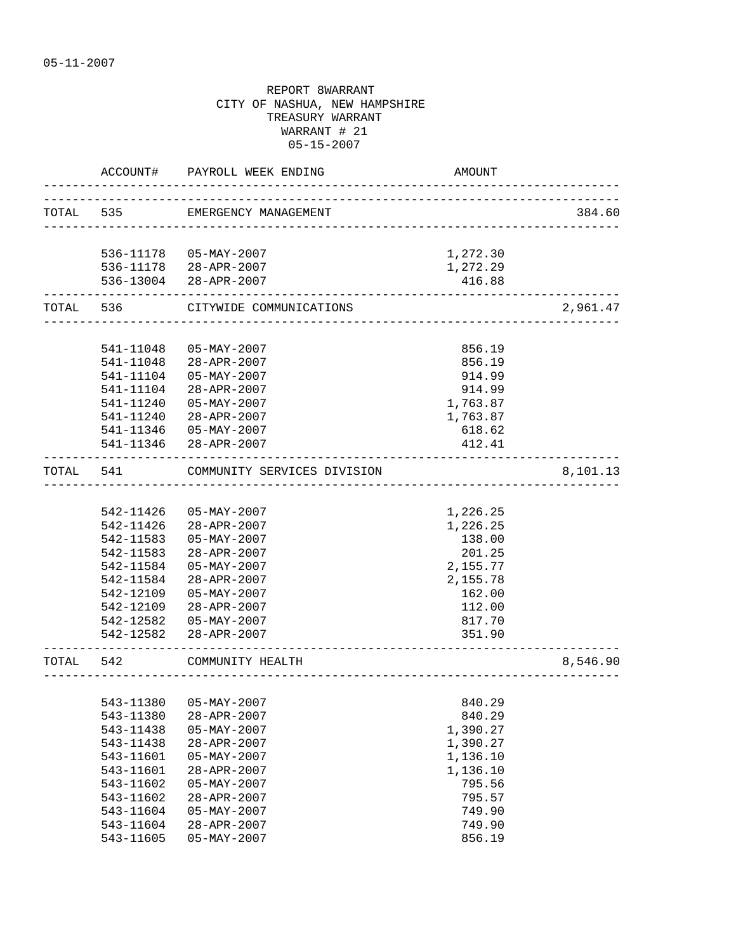|           | ACCOUNT#               | PAYROLL WEEK ENDING                          | AMOUNT                                 |          |
|-----------|------------------------|----------------------------------------------|----------------------------------------|----------|
|           |                        | TOTAL 535 EMERGENCY MANAGEMENT               |                                        | 384.60   |
|           |                        | 536-11178  05-MAY-2007                       |                                        |          |
|           |                        | 536-11178 28-APR-2007                        | 1,272.30<br>1,272.29                   |          |
|           |                        | 536-13004 28-APR-2007                        | 416.88                                 |          |
|           | TOTAL 536              | CITYWIDE COMMUNICATIONS                      | -------------------------------------- | 2,961.47 |
|           |                        |                                              |                                        |          |
|           | 541-11048              | $05 - MAX - 2007$                            | 856.19                                 |          |
|           | 541-11048              | 28-APR-2007                                  | 856.19                                 |          |
|           | 541-11104              | $05 - MAX - 2007$                            | 914.99                                 |          |
|           | 541-11104<br>541-11240 | 28-APR-2007<br>$05 - MAX - 2007$             | 914.99<br>1,763.87                     |          |
|           | 541-11240              | 28-APR-2007                                  | 1,763.87                               |          |
|           |                        | 541-11346  05-MAY-2007                       | 618.62                                 |          |
|           |                        | 541-11346 28-APR-2007                        | 412.41                                 |          |
| TOTAL     | 541                    | -------------<br>COMMUNITY SERVICES DIVISION |                                        | 8,101.13 |
|           |                        |                                              |                                        |          |
|           | 542-11426              | 05-MAY-2007                                  | 1,226.25                               |          |
|           |                        | 542-11426 28-APR-2007                        | 1,226.25                               |          |
|           | 542-11583              | 05-MAY-2007                                  | 138.00                                 |          |
|           | 542-11583              | 28-APR-2007                                  | 201.25                                 |          |
|           | 542-11584              | $05 - MAX - 2007$                            | 2,155.77                               |          |
|           | 542-11584              | 28-APR-2007                                  | 2,155.78                               |          |
|           | 542-12109              | $05 - MAX - 2007$                            | 162.00                                 |          |
|           | 542-12109              | 28-APR-2007                                  | 112.00                                 |          |
|           | 542-12582<br>542-12582 | 05-MAY-2007<br>28-APR-2007                   | 817.70<br>351.90                       |          |
|           |                        |                                              |                                        |          |
| TOTAL 542 |                        | COMMUNITY HEALTH                             |                                        | 8,546.90 |
|           |                        |                                              |                                        |          |
|           | 543-11380<br>543-11380 | $05 - \text{MAY} - 2007$<br>28-APR-2007      | 840.29<br>840.29                       |          |
|           | 543-11438              | $05 - MAX - 2007$                            | 1,390.27                               |          |
|           | 543-11438              | 28-APR-2007                                  | 1,390.27                               |          |
|           | 543-11601              | $05 - MAX - 2007$                            | 1,136.10                               |          |
|           | 543-11601              | 28-APR-2007                                  | 1,136.10                               |          |
|           | 543-11602              | $05 - MAX - 2007$                            | 795.56                                 |          |
|           | 543-11602              | $28 - APR - 2007$                            | 795.57                                 |          |
|           | 543-11604              | $05 - MAX - 2007$                            | 749.90                                 |          |
|           | 543-11604              | 28-APR-2007                                  | 749.90                                 |          |
|           | 543-11605              | $05 - MAX - 2007$                            | 856.19                                 |          |
|           |                        |                                              |                                        |          |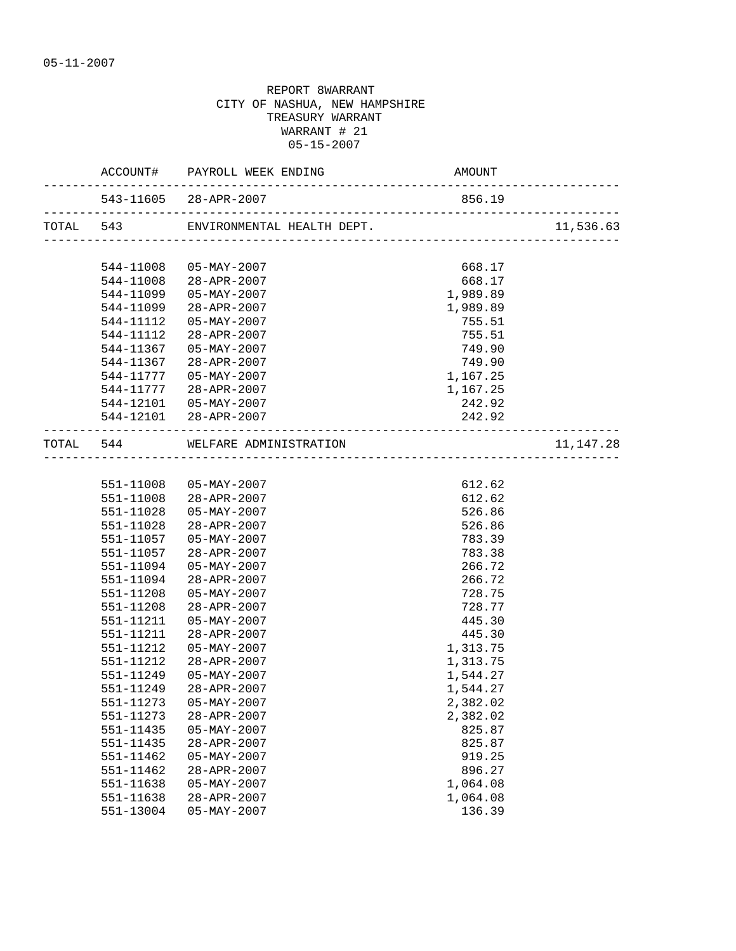|           | ACCOUNT# PAYROLL WEEK ENDING                 | AMOUNT   |             |
|-----------|----------------------------------------------|----------|-------------|
|           | 543-11605 28-APR-2007                        | 856.19   |             |
|           | TOTAL 543 ENVIRONMENTAL HEALTH DEPT. 11,536. |          | 11,536.63   |
|           |                                              |          |             |
| 544-11008 | 05-MAY-2007                                  | 668.17   |             |
|           | 544-11008 28-APR-2007                        | 668.17   |             |
|           | 544-11099  05-MAY-2007                       | 1,989.89 |             |
| 544-11099 | 28-APR-2007                                  | 1,989.89 |             |
| 544-11112 | $05 - MAX - 2007$                            | 755.51   |             |
| 544-11112 | 28-APR-2007                                  | 755.51   |             |
| 544-11367 | 05-MAY-2007                                  | 749.90   |             |
| 544-11367 | 28-APR-2007                                  | 749.90   |             |
| 544-11777 | $05 - MAX - 2007$                            | 1,167.25 |             |
| 544-11777 | 28-APR-2007                                  | 1,167.25 |             |
| 544-12101 | 05-MAY-2007                                  | 242.92   |             |
|           | 544-12101 28-APR-2007                        | 242.92   |             |
|           | TOTAL 544 WELFARE ADMINISTRATION             |          | 11, 147. 28 |
|           |                                              |          |             |
|           | 551-11008  05-MAY-2007                       | 612.62   |             |
|           | 551-11008 28-APR-2007                        | 612.62   |             |
| 551-11028 | $05 - MAX - 2007$                            | 526.86   |             |
| 551-11028 | 28-APR-2007                                  | 526.86   |             |
| 551-11057 | 05-MAY-2007                                  | 783.39   |             |
| 551-11057 | 28-APR-2007                                  | 783.38   |             |
| 551-11094 | $05 - MAX - 2007$                            | 266.72   |             |
| 551-11094 | 28-APR-2007                                  | 266.72   |             |
| 551-11208 | $05 - MAX - 2007$                            | 728.75   |             |
| 551-11208 | 28-APR-2007                                  | 728.77   |             |
| 551-11211 | $05 - MAX - 2007$                            | 445.30   |             |
| 551-11211 | 28-APR-2007                                  | 445.30   |             |
| 551-11212 | $05 - MAX - 2007$                            | 1,313.75 |             |
| 551-11212 | $28 - APR - 2007$                            | 1,313.75 |             |
| 551-11249 | 05-MAY-2007                                  | 1,544.27 |             |
| 551-11249 | 28-APR-2007                                  | 1,544.27 |             |
| 551-11273 | 05-MAY-2007                                  | 2,382.02 |             |
| 551-11273 | 28-APR-2007                                  | 2,382.02 |             |
| 551-11435 | $05 - MAX - 2007$                            | 825.87   |             |
| 551-11435 | 28-APR-2007                                  | 825.87   |             |
| 551-11462 | $05 - MAX - 2007$                            | 919.25   |             |
| 551-11462 | 28-APR-2007                                  | 896.27   |             |
| 551-11638 | $05 - MAX - 2007$                            | 1,064.08 |             |
| 551-11638 | 28-APR-2007                                  | 1,064.08 |             |
| 551-13004 | $05 - MAX - 2007$                            | 136.39   |             |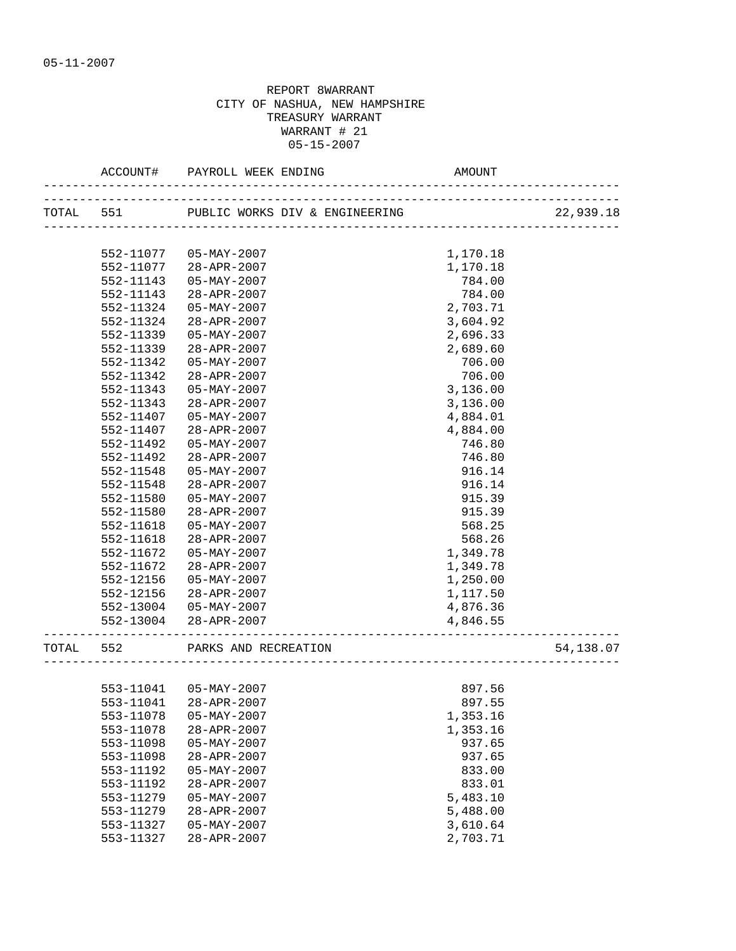|           | ACCOUNT#  | PAYROLL WEEK ENDING                    | AMOUNT   |           |
|-----------|-----------|----------------------------------------|----------|-----------|
|           | TOTAL 551 | PUBLIC WORKS DIV & ENGINEERING         |          | 22,939.18 |
|           | 552-11077 | $05 - MAX - 2007$                      | 1,170.18 |           |
|           | 552-11077 | 28-APR-2007                            | 1,170.18 |           |
|           | 552-11143 | 05-MAY-2007                            | 784.00   |           |
|           | 552-11143 | 28-APR-2007                            | 784.00   |           |
|           | 552-11324 | $05 - MAX - 2007$                      | 2,703.71 |           |
|           | 552-11324 | 28-APR-2007                            | 3,604.92 |           |
|           | 552-11339 | $05 - MAX - 2007$                      | 2,696.33 |           |
|           | 552-11339 | 28-APR-2007                            | 2,689.60 |           |
|           | 552-11342 | $05 - MAX - 2007$                      | 706.00   |           |
|           | 552-11342 | $28 - APR - 2007$                      | 706.00   |           |
|           | 552-11343 | $05 - MAX - 2007$                      | 3,136.00 |           |
|           | 552-11343 | $28 - APR - 2007$                      | 3,136.00 |           |
|           | 552-11407 | $05 - MAX - 2007$                      | 4,884.01 |           |
|           | 552-11407 | $28 - APR - 2007$                      | 4,884.00 |           |
|           | 552-11492 | $05 - MAX - 2007$                      | 746.80   |           |
|           | 552-11492 | 28-APR-2007                            | 746.80   |           |
|           | 552-11548 | $05 - MAX - 2007$                      | 916.14   |           |
|           | 552-11548 | $28 - APR - 2007$                      | 916.14   |           |
|           | 552-11580 | $05 - MAX - 2007$                      | 915.39   |           |
|           | 552-11580 | 28-APR-2007                            | 915.39   |           |
|           | 552-11618 | $05 - MAX - 2007$                      | 568.25   |           |
|           | 552-11618 | 28-APR-2007                            | 568.26   |           |
|           | 552-11672 | 05-MAY-2007                            | 1,349.78 |           |
|           | 552-11672 | 28-APR-2007                            | 1,349.78 |           |
|           | 552-12156 | 05-MAY-2007                            | 1,250.00 |           |
|           | 552-12156 | 28-APR-2007                            | 1,117.50 |           |
|           | 552-13004 | 05-MAY-2007                            | 4,876.36 |           |
|           | 552-13004 | 28-APR-2007<br>----------------------- | 4,846.55 |           |
| TOTAL 552 |           | PARKS AND RECREATION                   |          | 54,138.07 |
|           |           |                                        |          |           |
|           |           | 553-11041  05-MAY-2007                 | 897.56   |           |
|           | 553-11041 | 28-APR-2007                            | 897.55   |           |
|           | 553-11078 | $05 - MAX - 2007$                      | 1,353.16 |           |
|           | 553-11078 | 28-APR-2007                            | 1,353.16 |           |
|           | 553-11098 | $05 - MAX - 2007$                      | 937.65   |           |
|           | 553-11098 | 28-APR-2007                            | 937.65   |           |
|           | 553-11192 | $05 - MAX - 2007$                      | 833.00   |           |
|           | 553-11192 | 28-APR-2007                            | 833.01   |           |
|           | 553-11279 | $05 - MAX - 2007$                      | 5,483.10 |           |
|           | 553-11279 | 28-APR-2007                            | 5,488.00 |           |
|           | 553-11327 | $05 - MAX - 2007$                      | 3,610.64 |           |
|           | 553-11327 | 28-APR-2007                            | 2,703.71 |           |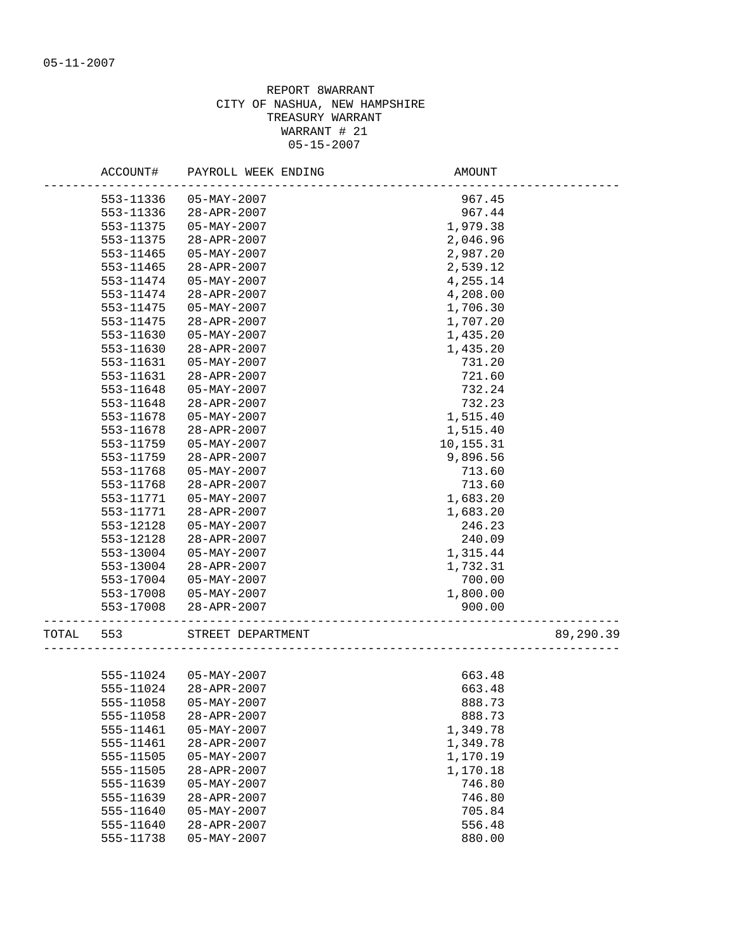|       | ACCOUNT#               | PAYROLL WEEK ENDING   | AMOUNT           |           |
|-------|------------------------|-----------------------|------------------|-----------|
|       | 553-11336              | $05 - MAX - 2007$     | 967.45           |           |
|       | 553-11336              | 28-APR-2007           | 967.44           |           |
|       | 553-11375              | $05 - MAX - 2007$     | 1,979.38         |           |
|       | 553-11375              | $28 - APR - 2007$     | 2,046.96         |           |
|       | 553-11465              | $05 - MAX - 2007$     | 2,987.20         |           |
|       | 553-11465              | 28-APR-2007           | 2,539.12         |           |
|       | 553-11474              | $05 - MAX - 2007$     | 4,255.14         |           |
|       | 553-11474              | 28-APR-2007           | 4,208.00         |           |
|       | 553-11475              | $05 - MAX - 2007$     | 1,706.30         |           |
|       | 553-11475              | 28-APR-2007           | 1,707.20         |           |
|       | 553-11630              | $05 - MAX - 2007$     | 1,435.20         |           |
|       | 553-11630              | 28-APR-2007           | 1,435.20         |           |
|       | 553-11631              | $05 - MAX - 2007$     | 731.20           |           |
|       | 553-11631              | $28 - APR - 2007$     | 721.60           |           |
|       | 553-11648              | $05 - MAX - 2007$     | 732.24           |           |
|       | 553-11648              | 28-APR-2007           | 732.23           |           |
|       | 553-11678              | $05 - MAX - 2007$     | 1,515.40         |           |
|       | 553-11678              | 28-APR-2007           | 1,515.40         |           |
|       | 553-11759              | $05 - MAX - 2007$     | 10,155.31        |           |
|       | 553-11759              | 28-APR-2007           | 9,896.56         |           |
|       | 553-11768              | $05 - MAX - 2007$     | 713.60           |           |
|       | 553-11768              | 28-APR-2007           | 713.60           |           |
|       | 553-11771              | $05 - MAX - 2007$     | 1,683.20         |           |
|       | 553-11771              | $28 - APR - 2007$     | 1,683.20         |           |
|       | 553-12128              | $05 - MAX - 2007$     | 246.23           |           |
|       | 553-12128              | 28-APR-2007           | 240.09           |           |
|       | 553-13004              | $05 - MAX - 2007$     | 1,315.44         |           |
|       | 553-13004              | 28-APR-2007           | 1,732.31         |           |
|       | 553-17004              | $05 - MAX - 2007$     | 700.00           |           |
|       | 553-17008              | 05-MAY-2007           | 1,800.00         |           |
|       | 553-17008              | 28-APR-2007           | 900.00           |           |
|       |                        |                       |                  |           |
| TOTAL | 553                    | STREET DEPARTMENT     |                  | 89,290.39 |
|       |                        | 555-11024 05-MAY-2007 | 663.48           |           |
|       | 555-11024              | 28-APR-2007           | 663.48           |           |
|       |                        | $05 - MAX - 2007$     |                  |           |
|       | 555-11058<br>555-11058 | 28-APR-2007           | 888.73<br>888.73 |           |
|       | 555-11461              | $05 - MAX - 2007$     | 1,349.78         |           |
|       |                        |                       |                  |           |
|       | 555-11461              | 28-APR-2007           | 1,349.78         |           |
|       | 555-11505              | $05 - MAX - 2007$     | 1,170.19         |           |
|       | 555-11505              | 28-APR-2007           | 1,170.18         |           |
|       | 555-11639              | $05 - MAX - 2007$     | 746.80           |           |
|       | 555-11639              | $28 - APR - 2007$     | 746.80           |           |
|       | 555-11640              | $05 - MAX - 2007$     | 705.84           |           |
|       | 555-11640              | 28-APR-2007           | 556.48           |           |
|       | 555-11738              | $05 - MAX - 2007$     | 880.00           |           |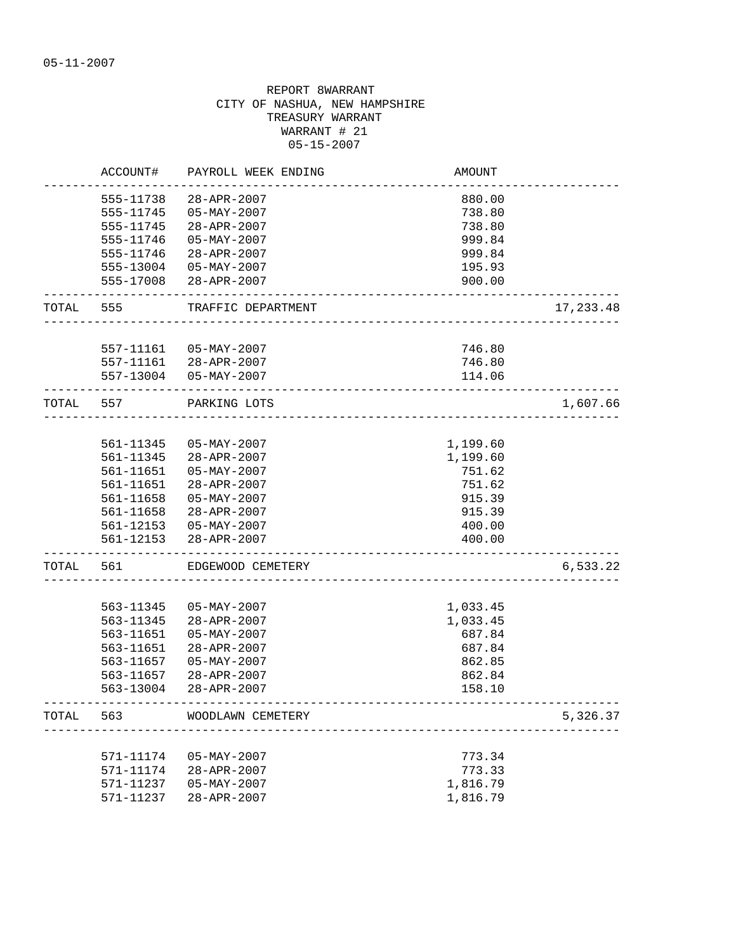|       | ACCOUNT#  | PAYROLL WEEK ENDING | AMOUNT   |           |
|-------|-----------|---------------------|----------|-----------|
|       | 555-11738 | 28-APR-2007         | 880.00   |           |
|       | 555-11745 | $05 - MAX - 2007$   | 738.80   |           |
|       | 555-11745 | 28-APR-2007         | 738.80   |           |
|       | 555-11746 | $05 - MAX - 2007$   | 999.84   |           |
|       | 555-11746 | $28 - APR - 2007$   | 999.84   |           |
|       | 555-13004 | $05 - MAX - 2007$   | 195.93   |           |
|       | 555-17008 | 28-APR-2007         | 900.00   |           |
| TOTAL | 555       | TRAFFIC DEPARTMENT  |          | 17,233.48 |
|       |           |                     |          |           |
|       | 557-11161 | 05-MAY-2007         | 746.80   |           |
|       | 557-11161 | 28-APR-2007         | 746.80   |           |
|       | 557-13004 | $05 - MAX - 2007$   | 114.06   |           |
| TOTAL | 557       | PARKING LOTS        |          | 1,607.66  |
|       |           |                     |          |           |
|       | 561-11345 | 05-MAY-2007         | 1,199.60 |           |
|       | 561-11345 | 28-APR-2007         | 1,199.60 |           |
|       | 561-11651 | $05 - MAX - 2007$   | 751.62   |           |
|       | 561-11651 | 28-APR-2007         | 751.62   |           |
|       | 561-11658 | $05 - MAX - 2007$   | 915.39   |           |
|       | 561-11658 | 28-APR-2007         | 915.39   |           |
|       | 561-12153 | 05-MAY-2007         | 400.00   |           |
|       | 561-12153 | 28-APR-2007         | 400.00   |           |
| TOTAL | 561       | EDGEWOOD CEMETERY   |          | 6,533.22  |
|       | 563-11345 | $05 - MAX - 2007$   | 1,033.45 |           |
|       | 563-11345 | 28-APR-2007         | 1,033.45 |           |
|       | 563-11651 | $05 - MAX - 2007$   | 687.84   |           |
|       | 563-11651 | 28-APR-2007         | 687.84   |           |
|       | 563-11657 | $05 - MAX - 2007$   | 862.85   |           |
|       | 563-11657 | 28-APR-2007         | 862.84   |           |
|       | 563-13004 | 28-APR-2007         | 158.10   |           |
| TOTAL | 563       | WOODLAWN CEMETERY   |          | 5,326.37  |
|       |           |                     |          |           |
|       | 571-11174 | $05 - MAX - 2007$   | 773.34   |           |
|       | 571-11174 | 28-APR-2007         | 773.33   |           |
|       | 571-11237 | $05 - MAX - 2007$   | 1,816.79 |           |
|       | 571-11237 | 28-APR-2007         | 1,816.79 |           |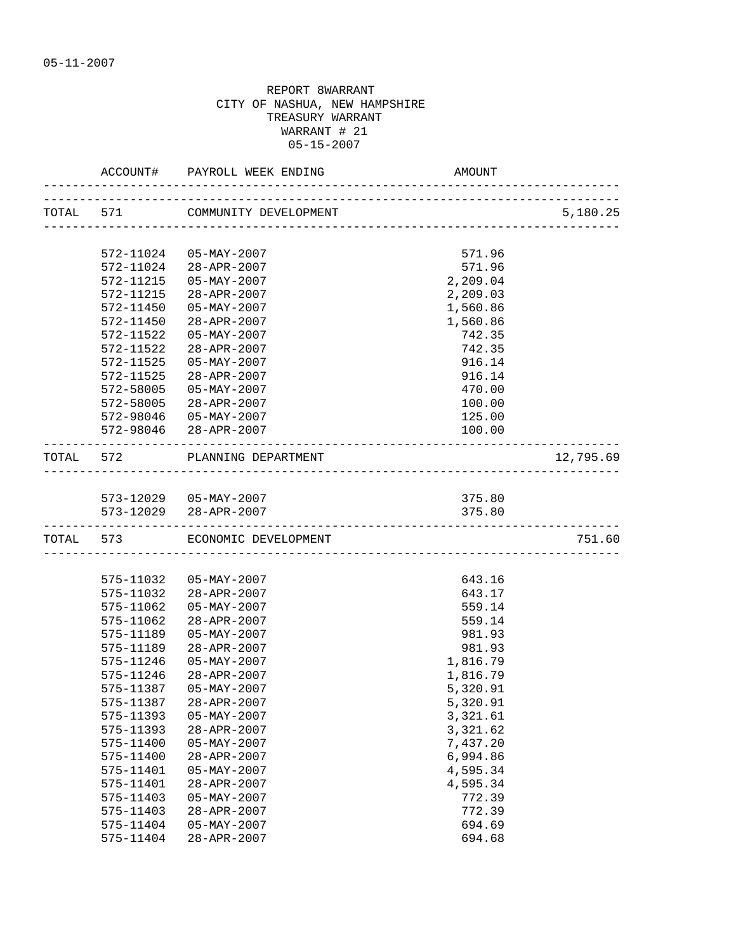|                        | ACCOUNT# PAYROLL WEEK ENDING                    | AMOUNT           |           |
|------------------------|-------------------------------------------------|------------------|-----------|
|                        | TOTAL 571 COMMUNITY DEVELOPMENT                 |                  | 5,180.25  |
| 572-11024              | 05-MAY-2007                                     | 571.96           |           |
| 572-11024              | 28-APR-2007                                     | 571.96           |           |
|                        | 572-11215  05-MAY-2007                          | 2,209.04         |           |
| 572-11215              | 28-APR-2007                                     | 2,209.03         |           |
|                        | 572-11450 05-MAY-2007                           | 1,560.86         |           |
| 572-11450              | 28-APR-2007                                     | 1,560.86         |           |
| 572-11522              | 05-MAY-2007                                     | 742.35           |           |
| 572-11522              | 28-APR-2007                                     | 742.35           |           |
| 572-11525              | $05 - MAX - 2007$                               | 916.14           |           |
| 572-11525              | $28 - APR - 2007$                               | 916.14           |           |
| 572-58005              | $05 - MAX - 2007$                               | 470.00           |           |
| 572-58005              | 28-APR-2007                                     | 100.00           |           |
|                        | 572-98046 05-MAY-2007                           | 125.00           |           |
|                        | 572-98046 28-APR-2007                           | 100.00           |           |
|                        | TOTAL 572 PLANNING DEPARTMENT                   |                  | 12,795.69 |
|                        |                                                 |                  |           |
|                        | 573-12029  05-MAY-2007<br>573-12029 28-APR-2007 | 375.80           |           |
|                        |                                                 | 375.80           |           |
|                        | TOTAL 573 ECONOMIC DEVELOPMENT                  |                  | 751.60    |
|                        |                                                 |                  |           |
|                        | 575-11032  05-MAY-2007                          | 643.16           |           |
| 575-11032              | 28-APR-2007                                     | 643.17           |           |
| 575-11062<br>575-11062 | $05 - MAX - 2007$<br>28-APR-2007                | 559.14<br>559.14 |           |
| 575-11189              | $05 - MAX - 2007$                               | 981.93           |           |
| 575-11189              | $28 - APR - 2007$                               | 981.93           |           |
| 575-11246              | $05 - MAX - 2007$                               | 1,816.79         |           |
| 575-11246              | $28 - APR - 2007$                               | 1,816.79         |           |
| 575-11387              | 05-MAY-2007                                     | 5,320.91         |           |
| 575-11387              | 28-APR-2007                                     | 5,320.91         |           |
| 575-11393              | $05 - MAX - 2007$                               | 3,321.61         |           |
| 575-11393              | $28 - APR - 2007$                               | 3,321.62         |           |
| 575-11400              | $05 - MAX - 2007$                               | 7,437.20         |           |
| 575-11400              | 28-APR-2007                                     | 6,994.86         |           |
| 575-11401              | $05 - MAX - 2007$                               | 4,595.34         |           |
| 575-11401              | $28 - APR - 2007$                               | 4,595.34         |           |
| 575-11403              | $05 - MAX - 2007$                               | 772.39           |           |
| 575-11403              | 28-APR-2007                                     | 772.39           |           |
| 575-11404              | $05 - MAX - 2007$                               | 694.69           |           |
| 575-11404              | 28-APR-2007                                     | 694.68           |           |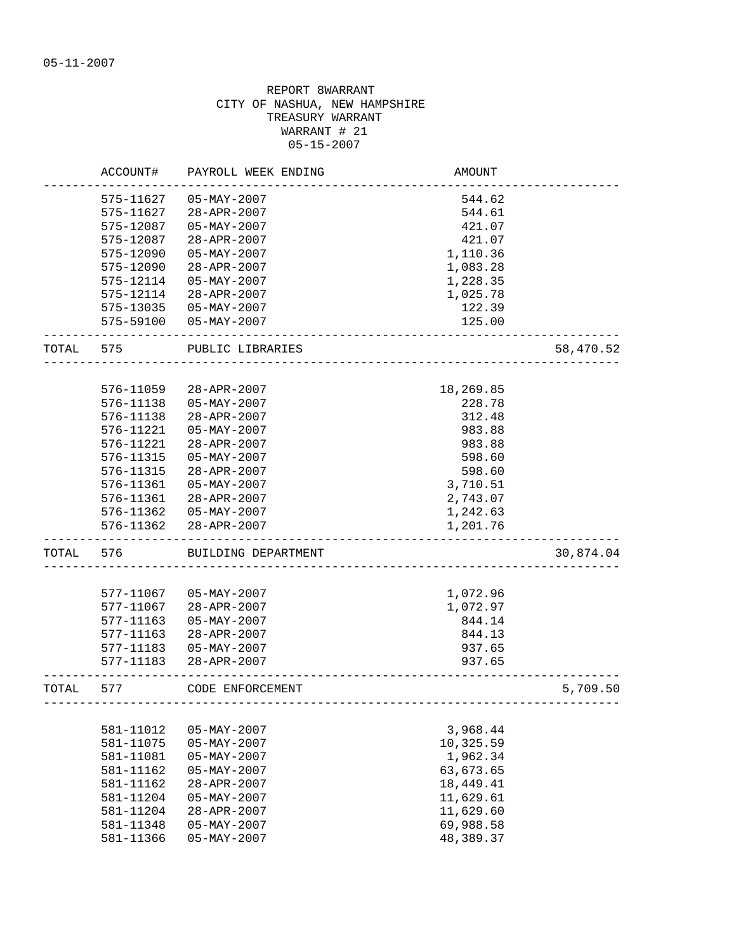|       | ACCOUNT#  | PAYROLL WEEK ENDING    | AMOUNT                             |           |
|-------|-----------|------------------------|------------------------------------|-----------|
|       | 575-11627 | $05 - MAX - 2007$      | 544.62                             |           |
|       | 575-11627 | 28-APR-2007            | 544.61                             |           |
|       | 575-12087 | $05 - MAX - 2007$      | 421.07                             |           |
|       | 575-12087 | $28 - APR - 2007$      | 421.07                             |           |
|       | 575-12090 | $05 - MAX - 2007$      | 1,110.36                           |           |
|       | 575-12090 | 28-APR-2007            | 1,083.28                           |           |
|       | 575-12114 | $05 - MAX - 2007$      | 1,228.35                           |           |
|       | 575-12114 | $28 - APR - 2007$      | 1,025.78                           |           |
|       | 575-13035 | $05 - MAX - 2007$      | 122.39                             |           |
|       |           | 575-59100  05-MAY-2007 | 125.00                             |           |
|       |           |                        |                                    |           |
| TOTAL | 575       | PUBLIC LIBRARIES       |                                    | 58,470.52 |
|       |           |                        |                                    |           |
|       | 576-11059 | 28-APR-2007            | 18,269.85                          |           |
|       | 576-11138 | $05 - MAX - 2007$      | 228.78                             |           |
|       | 576-11138 | $28 - APR - 2007$      | 312.48                             |           |
|       | 576-11221 | $05 - MAX - 2007$      | 983.88                             |           |
|       | 576-11221 | 28-APR-2007            | 983.88                             |           |
|       | 576-11315 | $05 - MAX - 2007$      | 598.60                             |           |
|       | 576-11315 | 28-APR-2007            | 598.60                             |           |
|       | 576-11361 | $05 - MAX - 2007$      | 3,710.51                           |           |
|       | 576-11361 | 28-APR-2007            | 2,743.07                           |           |
|       | 576-11362 | $05 - MAX - 2007$      | 1,242.63                           |           |
|       | 576-11362 | 28-APR-2007            | 1,201.76                           |           |
| TOTAL | 576       | BUILDING DEPARTMENT    |                                    | 30,874.04 |
|       |           |                        |                                    |           |
|       | 577-11067 | $05 - MAX - 2007$      | 1,072.96                           |           |
|       | 577-11067 | 28-APR-2007            | 1,072.97                           |           |
|       | 577-11163 | $05 - MAX - 2007$      | 844.14                             |           |
|       | 577-11163 | 28-APR-2007            | 844.13                             |           |
|       | 577-11183 | $05 - MAX - 2007$      | 937.65                             |           |
|       | 577-11183 | 28-APR-2007            | 937.65                             |           |
| TOTAL | 577       | CODE ENFORCEMENT       | ---------------------------------- | 5,709.50  |
|       |           |                        |                                    |           |
|       | 581-11012 | $05 - MAX - 2007$      | 3,968.44                           |           |
|       | 581-11075 | $05 - MAX - 2007$      | 10,325.59                          |           |
|       | 581-11081 | $05 - MAX - 2007$      | 1,962.34                           |           |
|       | 581-11162 | $05 - MAX - 2007$      | 63,673.65                          |           |
|       | 581-11162 | $28 - APR - 2007$      | 18,449.41                          |           |
|       | 581-11204 | 05-MAY-2007            | 11,629.61                          |           |
|       | 581-11204 | 28-APR-2007            | 11,629.60                          |           |
|       | 581-11348 | $05 - MAX - 2007$      | 69,988.58                          |           |
|       | 581-11366 | $05 - MAX - 2007$      | 48,389.37                          |           |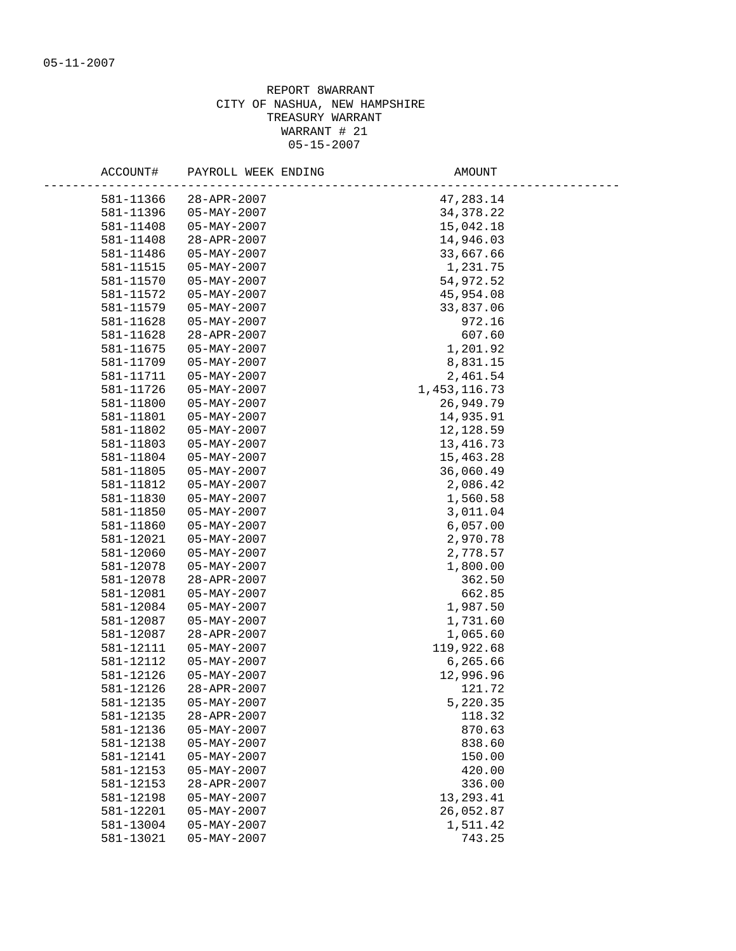| ACCOUNT#  | PAYROLL WEEK ENDING      | AMOUNT         |
|-----------|--------------------------|----------------|
| 581-11366 | 28-APR-2007              | 47,283.14      |
| 581-11396 | $05 - \text{MAX} - 2007$ | 34, 378. 22    |
| 581-11408 | 05-MAY-2007              | 15,042.18      |
| 581-11408 | $28 - APR - 2007$        | 14,946.03      |
| 581-11486 | 05-MAY-2007              | 33,667.66      |
| 581-11515 | $05 - MAX - 2007$        | 1,231.75       |
| 581-11570 | 05-MAY-2007              | 54,972.52      |
| 581-11572 | $05 - \text{MAY} - 2007$ | 45,954.08      |
| 581-11579 | $05 - MAX - 2007$        | 33,837.06      |
| 581-11628 | 05-MAY-2007              | 972.16         |
| 581-11628 | 28-APR-2007              | 607.60         |
| 581-11675 | $05 - \text{MAY} - 2007$ | 1,201.92       |
| 581-11709 | $05 - \text{MAY} - 2007$ | 8,831.15       |
| 581-11711 | 05-MAY-2007              | 2,461.54       |
| 581-11726 | 05-MAY-2007              | 1, 453, 116.73 |
| 581-11800 | 05-MAY-2007              | 26,949.79      |
| 581-11801 | $05 - \text{MAY} - 2007$ | 14,935.91      |
| 581-11802 | 05-MAY-2007              | 12,128.59      |
| 581-11803 | 05-MAY-2007              | 13, 416.73     |
| 581-11804 | $05 - MAX - 2007$        | 15,463.28      |
| 581-11805 | $05 - MAX - 2007$        | 36,060.49      |
| 581-11812 | $05 - MAX - 2007$        | 2,086.42       |
| 581-11830 | $05 - \text{MAY} - 2007$ | 1,560.58       |
| 581-11850 | 05-MAY-2007              | 3,011.04       |
| 581-11860 | 05-MAY-2007              | 6,057.00       |
| 581-12021 | $05 - \text{MAY} - 2007$ | 2,970.78       |
| 581-12060 | 05-MAY-2007              | 2,778.57       |
| 581-12078 | $05 - \text{MAY} - 2007$ | 1,800.00       |
| 581-12078 | 28-APR-2007              | 362.50         |
| 581-12081 | $05 - MAX - 2007$        | 662.85         |
| 581-12084 | $05 - \text{MAY} - 2007$ | 1,987.50       |
| 581-12087 | 05-MAY-2007              | 1,731.60       |
| 581-12087 | 28-APR-2007              | 1,065.60       |
| 581-12111 | $05 - MAX - 2007$        | 119,922.68     |
| 581-12112 | $05 - \text{MAY} - 2007$ | 6,265.66       |
| 581-12126 | 05-MAY-2007              | 12,996.96      |
| 581-12126 | $28 - APR - 2007$        | 121.72         |
| 581-12135 | $05 - MAX - 2007$        | 5,220.35       |
| 581-12135 | 28-APR-2007              | 118.32         |
| 581-12136 | $05 - MAX - 2007$        | 870.63         |
| 581-12138 | $05 - MAX - 2007$        | 838.60         |
| 581-12141 | $05 - MAX - 2007$        | 150.00         |
| 581-12153 | $05 - MAX - 2007$        | 420.00         |
| 581-12153 | 28-APR-2007              | 336.00         |
| 581-12198 | $05 - MAX - 2007$        | 13,293.41      |
| 581-12201 | $05 - MAX - 2007$        | 26,052.87      |
| 581-13004 | $05 - MAX - 2007$        | 1,511.42       |
| 581-13021 | $05 - MAX - 2007$        | 743.25         |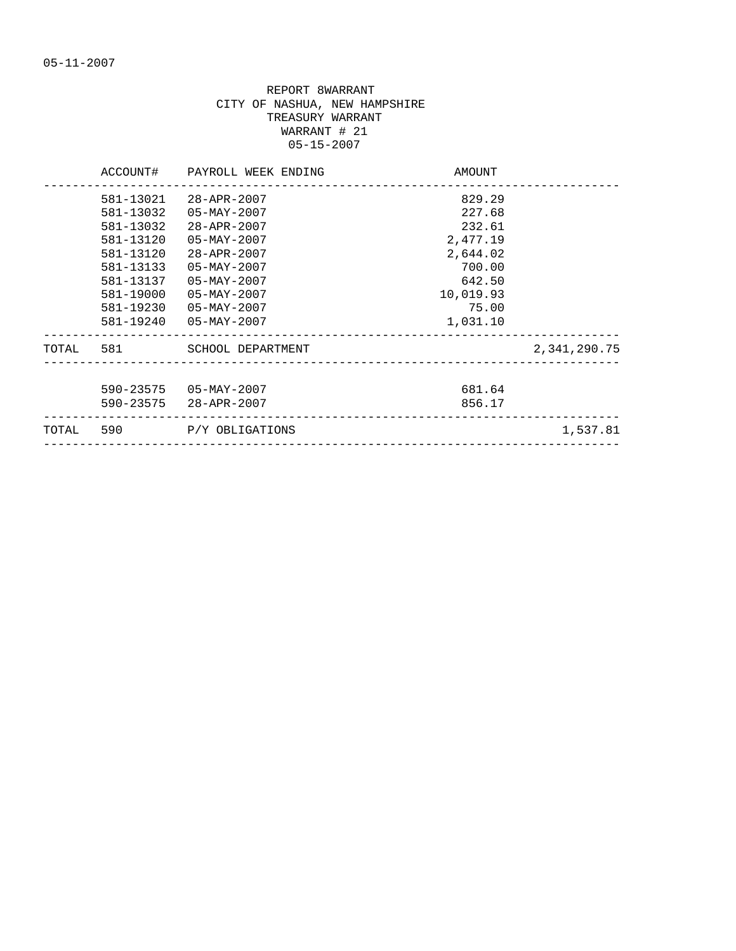|           |           | ACCOUNT# PAYROLL WEEK ENDING                 | AMOUNT    |              |
|-----------|-----------|----------------------------------------------|-----------|--------------|
|           | 581-13021 | $28 - APR - 2007$                            | 829.29    |              |
|           | 581-13032 | 05-MAY-2007                                  | 227.68    |              |
|           | 581-13032 | 28-APR-2007                                  | 232.61    |              |
|           | 581-13120 | 05-MAY-2007                                  | 2,477.19  |              |
|           | 581-13120 | 28-APR-2007                                  | 2,644.02  |              |
|           | 581-13133 | 05-MAY-2007                                  | 700.00    |              |
|           | 581-13137 | $05 - MAX - 2007$                            | 642.50    |              |
|           | 581-19000 | 05-MAY-2007                                  | 10,019.93 |              |
|           | 581-19230 | 05-MAY-2007                                  | 75.00     |              |
|           | 581-19240 | 05-MAY-2007<br>_____________________________ | 1,031.10  |              |
| TOTAL 581 |           | SCHOOL DEPARTMENT                            |           | 2,341,290.75 |
|           |           |                                              |           |              |
|           | 590-23575 | 05-MAY-2007                                  | 681.64    |              |
|           | 590-23575 | 28-APR-2007                                  | 856.17    |              |
| TOTAL     | 590       | P/Y OBLIGATIONS                              |           | 1,537.81     |
|           |           |                                              |           |              |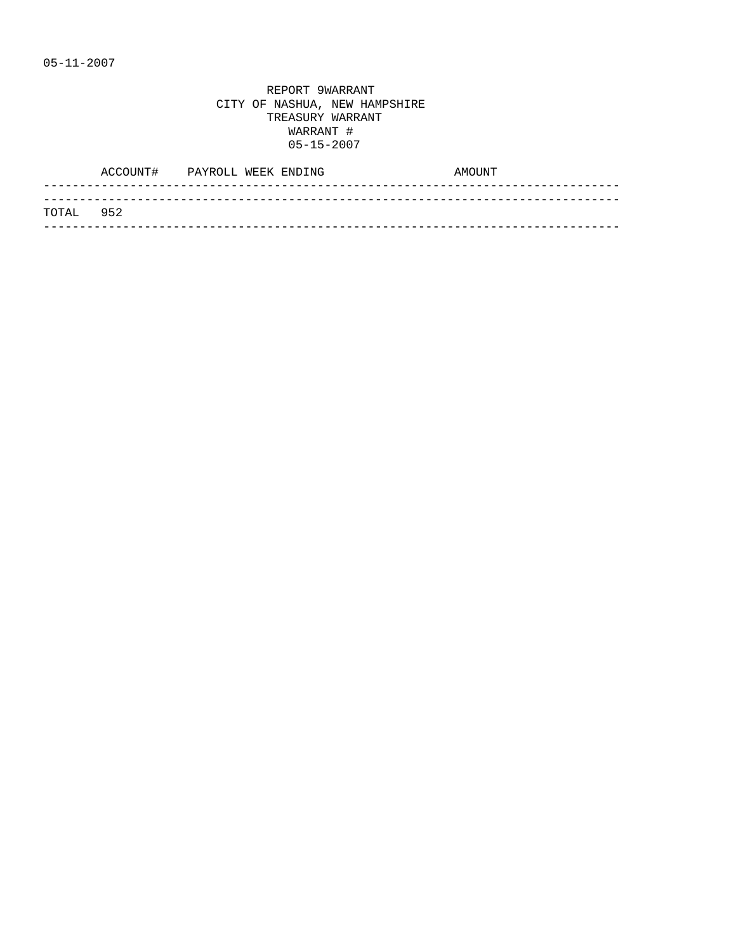|           | ACCOUNT# | PAYROLL WEEK ENDING |  | AMOUNT |
|-----------|----------|---------------------|--|--------|
|           |          |                     |  |        |
| TOTAL 952 |          |                     |  |        |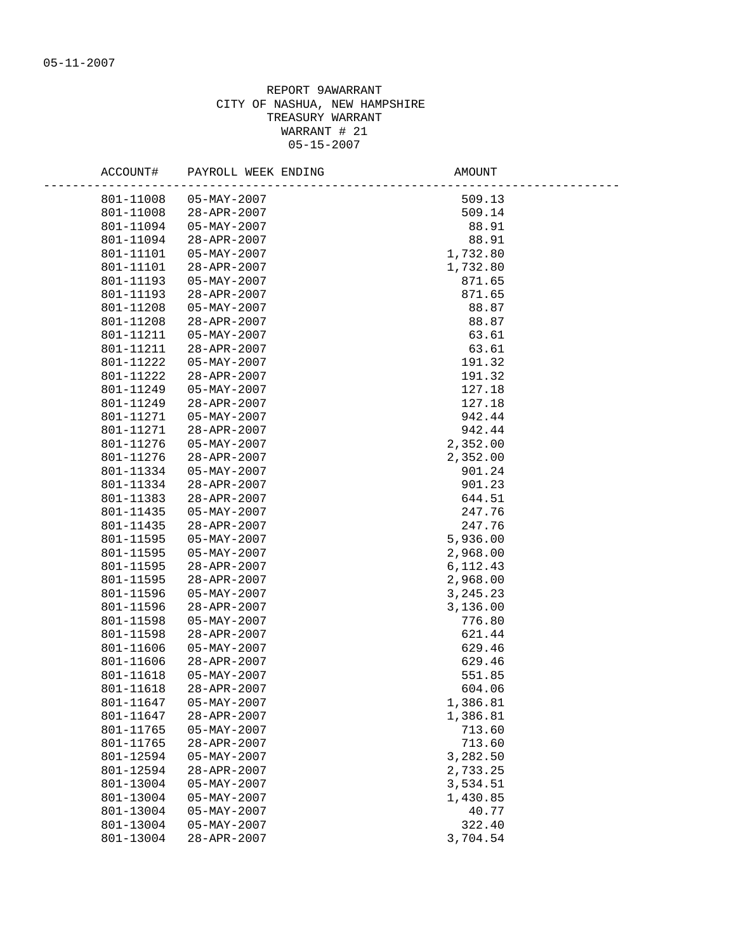| ACCOUNT#  | PAYROLL WEEK ENDING      | AMOUNT     |
|-----------|--------------------------|------------|
| 801-11008 | $05 - MAX - 2007$        | 509.13     |
| 801-11008 | 28-APR-2007              | 509.14     |
| 801-11094 | $05 - MAX - 2007$        | 88.91      |
| 801-11094 | $28 - APR - 2007$        | 88.91      |
| 801-11101 | $05 - MAX - 2007$        | 1,732.80   |
| 801-11101 | 28-APR-2007              | 1,732.80   |
| 801-11193 | $05 - MAX - 2007$        | 871.65     |
| 801-11193 | 28-APR-2007              | 871.65     |
| 801-11208 | $05 - MAX - 2007$        | 88.87      |
| 801-11208 | 28-APR-2007              | 88.87      |
| 801-11211 | $05 - MAX - 2007$        | 63.61      |
| 801-11211 | 28-APR-2007              | 63.61      |
| 801-11222 | $05 - \text{MAY} - 2007$ | 191.32     |
| 801-11222 | 28-APR-2007              | 191.32     |
| 801-11249 | 05-MAY-2007              | 127.18     |
| 801-11249 | 28-APR-2007              | 127.18     |
| 801-11271 | $05 - MAX - 2007$        | 942.44     |
| 801-11271 | 28-APR-2007              | 942.44     |
| 801-11276 | $05 - MAX - 2007$        | 2,352.00   |
| 801-11276 | 28-APR-2007              | 2,352.00   |
| 801-11334 | $05 - MAX - 2007$        | 901.24     |
| 801-11334 | 28-APR-2007              | 901.23     |
| 801-11383 | 28-APR-2007              | 644.51     |
| 801-11435 | $05 - MAX - 2007$        | 247.76     |
| 801-11435 | 28-APR-2007              | 247.76     |
| 801-11595 | $05 - MAX - 2007$        | 5,936.00   |
| 801-11595 | $05 - MAX - 2007$        | 2,968.00   |
| 801-11595 | 28-APR-2007              | 6, 112. 43 |
| 801-11595 | 28-APR-2007              | 2,968.00   |
| 801-11596 | $05 - MAX - 2007$        | 3, 245. 23 |
| 801-11596 | 28-APR-2007              | 3,136.00   |
| 801-11598 | $05 - \text{MAY} - 2007$ | 776.80     |
| 801-11598 | 28-APR-2007              | 621.44     |
| 801-11606 | $05 - MAX - 2007$        | 629.46     |
| 801-11606 | 28-APR-2007              | 629.46     |
| 801-11618 | $05 - \text{MAY} - 2007$ | 551.85     |
| 801-11618 | 28-APR-2007              | 604.06     |
| 801-11647 | $05 - MAX - 2007$        | 1,386.81   |
| 801-11647 | 28-APR-2007              | 1,386.81   |
| 801-11765 | $05 - MAX - 2007$        | 713.60     |
| 801-11765 | 28-APR-2007              | 713.60     |
| 801-12594 | $05 - MAX - 2007$        | 3,282.50   |
| 801-12594 | 28-APR-2007              | 2,733.25   |
| 801-13004 | $05 - MAX - 2007$        | 3,534.51   |
| 801-13004 | $05 - MAX - 2007$        | 1,430.85   |
| 801-13004 | $05 - MAX - 2007$        | 40.77      |
| 801-13004 | $05 - MAX - 2007$        | 322.40     |
| 801-13004 | 28-APR-2007              | 3,704.54   |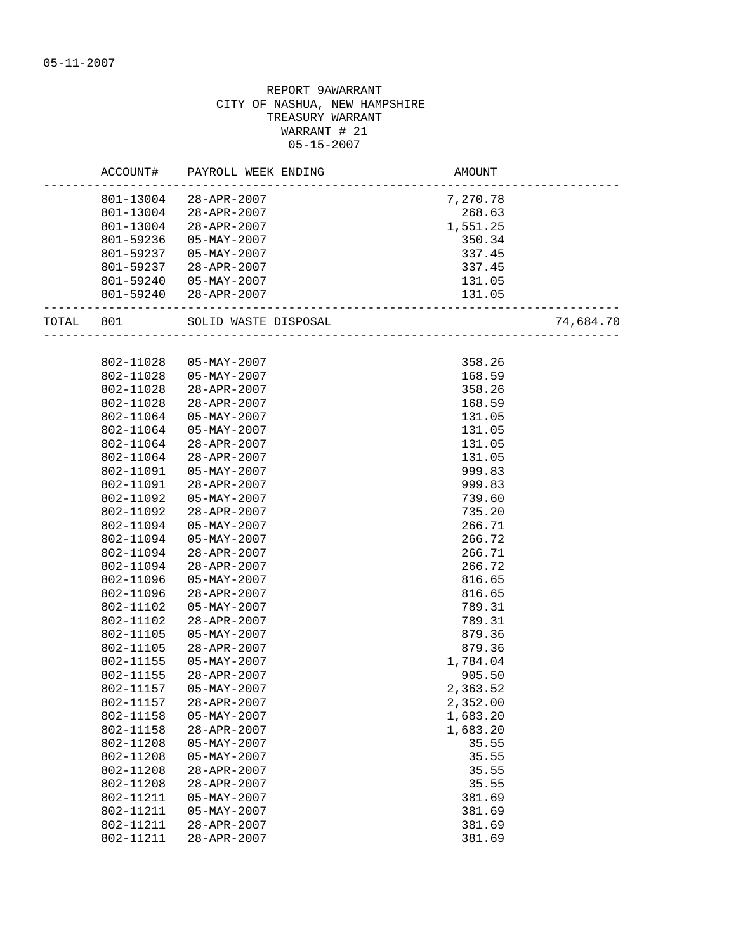|           | ACCOUNT#  | PAYROLL WEEK ENDING                    | AMOUNT   |           |
|-----------|-----------|----------------------------------------|----------|-----------|
|           |           | 801-13004 28-APR-2007                  | 7,270.78 |           |
|           | 801-13004 | 28-APR-2007                            | 268.63   |           |
|           |           |                                        |          |           |
|           | 801-13004 | 28-APR-2007                            | 1,551.25 |           |
|           | 801-59236 | $05 - MAX - 2007$                      | 350.34   |           |
|           | 801-59237 | $05 - MAX - 2007$                      | 337.45   |           |
|           | 801-59237 | 28-APR-2007                            | 337.45   |           |
|           | 801-59240 | 05-MAY-2007                            | 131.05   |           |
|           |           | 801-59240 28-APR-2007                  | 131.05   |           |
| TOTAL 801 |           |                                        |          | 74,684.70 |
|           |           |                                        |          |           |
|           | 802-11028 | 05-MAY-2007                            | 358.26   |           |
|           | 802-11028 | 05-MAY-2007                            | 168.59   |           |
|           | 802-11028 | 28-APR-2007                            | 358.26   |           |
|           | 802-11028 | 28-APR-2007                            | 168.59   |           |
|           | 802-11064 | 05-MAY-2007                            | 131.05   |           |
|           | 802-11064 | 05-MAY-2007                            | 131.05   |           |
|           | 802-11064 | 28-APR-2007                            | 131.05   |           |
|           | 802-11064 | 28-APR-2007                            | 131.05   |           |
|           | 802-11091 | $05 - \text{MAY} - 2007$               | 999.83   |           |
|           | 802-11091 | 28-APR-2007                            | 999.83   |           |
|           | 802-11092 | $05 - \text{MAY} - 2007$               | 739.60   |           |
|           | 802-11092 | 28-APR-2007                            | 735.20   |           |
|           | 802-11094 | 05-MAY-2007                            | 266.71   |           |
|           | 802-11094 | 05-MAY-2007                            | 266.72   |           |
|           | 802-11094 | 28-APR-2007                            | 266.71   |           |
|           | 802-11094 | 28-APR-2007                            | 266.72   |           |
|           | 802-11096 | $05 - MAX - 2007$                      | 816.65   |           |
|           | 802-11096 | 28-APR-2007                            | 816.65   |           |
|           | 802-11102 | $05 - MAX - 2007$                      | 789.31   |           |
|           | 802-11102 | 28-APR-2007                            | 789.31   |           |
|           | 802-11105 | $05 - MAX - 2007$                      | 879.36   |           |
|           | 802-11105 | 28-APR-2007                            | 879.36   |           |
|           | 802-11155 | $05 - MAX - 2007$                      | 1,784.04 |           |
|           | 802-11155 | 28-APR-2007                            | 905.50   |           |
|           | 802-11157 | $05 - MAX - 2007$                      | 2,363.52 |           |
|           | 802-11157 | 28-APR-2007                            | 2,352.00 |           |
|           | 802-11158 | $05 - MAX - 2007$                      | 1,683.20 |           |
|           | 802-11158 | 28-APR-2007                            | 1,683.20 |           |
|           | 802-11208 |                                        | 35.55    |           |
|           | 802-11208 | $05 - MAX - 2007$<br>$05 - MAX - 2007$ | 35.55    |           |
|           | 802-11208 | 28-APR-2007                            | 35.55    |           |
|           |           | 28-APR-2007                            |          |           |
|           | 802-11208 |                                        | 35.55    |           |
|           | 802-11211 | $05 - MAX - 2007$                      | 381.69   |           |
|           | 802-11211 | $05 - MAX - 2007$                      | 381.69   |           |
|           | 802-11211 | 28-APR-2007                            | 381.69   |           |
|           | 802-11211 | 28-APR-2007                            | 381.69   |           |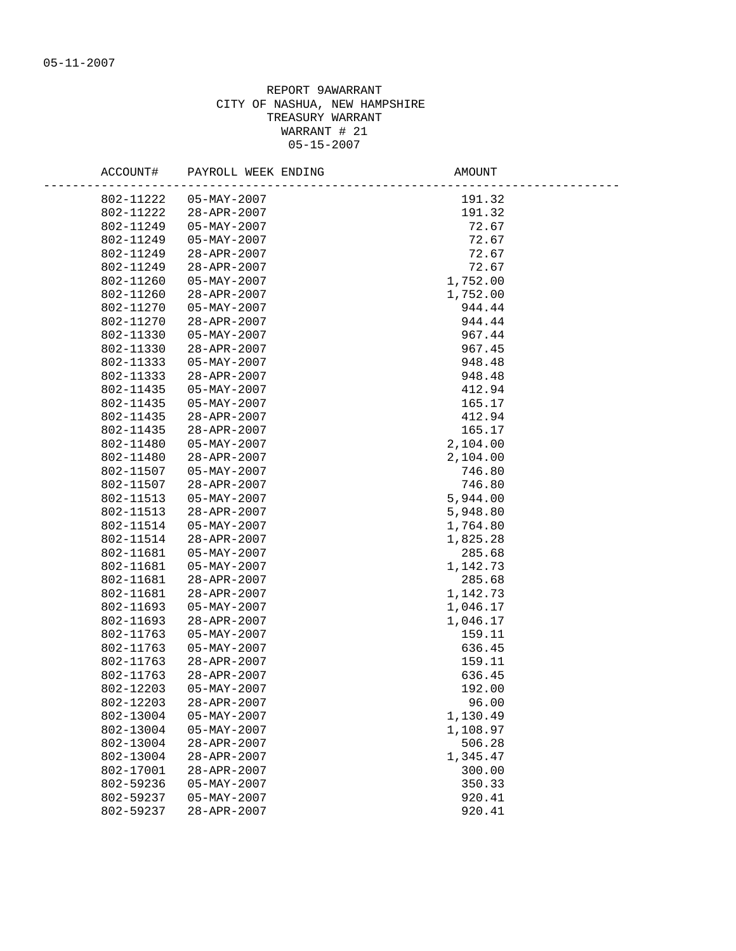| 802-11222<br>$05 - MAX - 2007$<br>191.32<br>191.32<br>802-11222<br>28-APR-2007<br>72.67<br>802-11249<br>$05 - MAX - 2007$<br>802-11249<br>$05 - MAX - 2007$<br>72.67<br>802-11249<br>72.67<br>28-APR-2007 |  |
|-----------------------------------------------------------------------------------------------------------------------------------------------------------------------------------------------------------|--|
|                                                                                                                                                                                                           |  |
|                                                                                                                                                                                                           |  |
|                                                                                                                                                                                                           |  |
|                                                                                                                                                                                                           |  |
|                                                                                                                                                                                                           |  |
| 72.67<br>802-11249<br>28-APR-2007                                                                                                                                                                         |  |
| 802-11260<br>05-MAY-2007<br>1,752.00                                                                                                                                                                      |  |
| 802-11260<br>28-APR-2007<br>1,752.00                                                                                                                                                                      |  |
| 802-11270<br>05-MAY-2007<br>944.44                                                                                                                                                                        |  |
| 802-11270<br>28-APR-2007<br>944.44                                                                                                                                                                        |  |
| 802-11330<br>$05 - MAX - 2007$<br>967.44                                                                                                                                                                  |  |
| 802-11330<br>967.45<br>$28 - APR - 2007$                                                                                                                                                                  |  |
| 802-11333<br>05-MAY-2007<br>948.48                                                                                                                                                                        |  |
| 802-11333<br>28-APR-2007<br>948.48                                                                                                                                                                        |  |
| 412.94<br>802-11435<br>05-MAY-2007                                                                                                                                                                        |  |
| 802-11435<br>05-MAY-2007<br>165.17                                                                                                                                                                        |  |
| 802-11435<br>28-APR-2007<br>412.94                                                                                                                                                                        |  |
| 802-11435<br>28-APR-2007<br>165.17                                                                                                                                                                        |  |
| 802-11480<br>$05 - MAX - 2007$<br>2,104.00                                                                                                                                                                |  |
| 802-11480<br>28-APR-2007<br>2,104.00                                                                                                                                                                      |  |
| 802-11507<br>05-MAY-2007<br>746.80                                                                                                                                                                        |  |
| 802-11507<br>28-APR-2007<br>746.80                                                                                                                                                                        |  |
| 5,944.00<br>802-11513<br>05-MAY-2007                                                                                                                                                                      |  |
| 28-APR-2007<br>5,948.80<br>802-11513                                                                                                                                                                      |  |
| 802-11514<br>05-MAY-2007<br>1,764.80                                                                                                                                                                      |  |
| 802-11514<br>28-APR-2007<br>1,825.28                                                                                                                                                                      |  |
| 802-11681<br>$05 - MAX - 2007$<br>285.68                                                                                                                                                                  |  |
| 802-11681<br>05-MAY-2007<br>1,142.73                                                                                                                                                                      |  |
| 802-11681<br>28-APR-2007<br>285.68                                                                                                                                                                        |  |
| 802-11681<br>28-APR-2007<br>1,142.73                                                                                                                                                                      |  |
| 802-11693<br>$05 - MAX - 2007$<br>1,046.17                                                                                                                                                                |  |
| 802-11693<br>28-APR-2007<br>1,046.17                                                                                                                                                                      |  |
| 802-11763<br>$05 - MAX - 2007$<br>159.11                                                                                                                                                                  |  |
| 802-11763<br>$05 - MAX - 2007$<br>636.45                                                                                                                                                                  |  |
| 802-11763<br>28-APR-2007<br>159.11                                                                                                                                                                        |  |
| 802-11763<br>28-APR-2007<br>636.45                                                                                                                                                                        |  |
| 802-12203<br>$05 - MAX - 2007$<br>192.00                                                                                                                                                                  |  |
| 802-12203<br>96.00<br>28-APR-2007                                                                                                                                                                         |  |
| 802-13004<br>$05 - MAX - 2007$<br>1,130.49                                                                                                                                                                |  |
| 802-13004<br>$05 - MAX - 2007$<br>1,108.97                                                                                                                                                                |  |
| 506.28<br>802-13004<br>$28 - APR - 2007$                                                                                                                                                                  |  |
| 802-13004<br>28-APR-2007<br>1,345.47                                                                                                                                                                      |  |
| 802-17001<br>28-APR-2007<br>300.00                                                                                                                                                                        |  |
| 802-59236<br>$05 - MAX - 2007$<br>350.33                                                                                                                                                                  |  |
| 802-59237<br>$05 - MAX - 2007$<br>920.41                                                                                                                                                                  |  |
| 802-59237<br>28-APR-2007<br>920.41                                                                                                                                                                        |  |